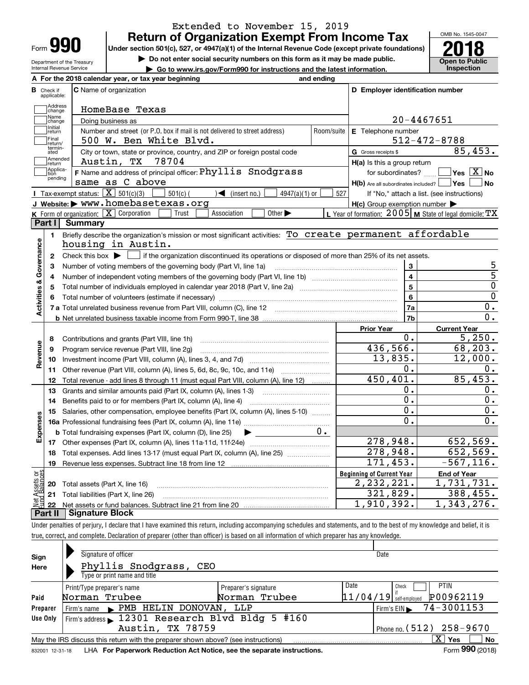| 0 Y O<br>I<br>Form |
|--------------------|
|--------------------|

Department of the Treasury Internal Revenue Service

## **Return of Organization Exempt From Income Tax** Extended to November 15, 2019

Under section 501(c), 527, or 4947(a)(1) of the Internal Revenue Code (except private foundations) **2018** 

**| Do not enter social security numbers on this form as it may be made public.**

**| Go to www.irs.gov/Form990 for instructions and the latest information. Inspection**



|                         |                         | A For the 2018 calendar year, or tax year beginning                                                                                            | and ending |                                                     |                                                           |
|-------------------------|-------------------------|------------------------------------------------------------------------------------------------------------------------------------------------|------------|-----------------------------------------------------|-----------------------------------------------------------|
| В                       | Check if<br>applicable: | <b>C</b> Name of organization                                                                                                                  |            | D Employer identification number                    |                                                           |
|                         | Address<br>change       | HomeBase Texas                                                                                                                                 |            |                                                     |                                                           |
|                         | Name<br>change          | Doing business as                                                                                                                              |            |                                                     | $20 - 4467651$                                            |
|                         | Initial<br>return       | Number and street (or P.O. box if mail is not delivered to street address)                                                                     | Room/suite | E Telephone number                                  |                                                           |
|                         | Final<br>return/        | 500 W. Ben White Blvd.                                                                                                                         |            |                                                     | $512 - 472 - 8788$                                        |
|                         | termin-<br>ated         | City or town, state or province, country, and ZIP or foreign postal code                                                                       |            | G Gross receipts \$                                 | 85,453.                                                   |
|                         | Amended<br>return       | 78704<br>Austin, TX                                                                                                                            |            | $H(a)$ is this a group return                       |                                                           |
|                         | Applica-<br>tion        | F Name and address of principal officer: Phyllis Snodgrass                                                                                     |            |                                                     | for subordinates? $\Box$ Yes $\boxed{X}$ No               |
|                         | pending                 | same as C above                                                                                                                                |            | $H(b)$ Are all subordinates included? $\Box$ Yes    | No                                                        |
|                         |                         | Tax-exempt status: $\boxed{\mathbf{X}}$ 501(c)(3)<br>$\sqrt{\frac{2}{1}}$ (insert no.)<br>$501(c)$ (<br>$4947(a)(1)$ or                        | 527        |                                                     | If "No," attach a list. (see instructions)                |
|                         |                         | J Website: > www.homebasetexas.org                                                                                                             |            | $H(c)$ Group exemption number $\blacktriangleright$ |                                                           |
|                         |                         | K Form of organization: $X$ Corporation<br>Trust<br>Other $\blacktriangleright$<br>Association                                                 |            |                                                     | L Year of formation: 2005   M State of legal domicile: TX |
|                         |                         | Part I Summary                                                                                                                                 |            |                                                     |                                                           |
|                         | 1.                      | Briefly describe the organization's mission or most significant activities: To create permanent affordable                                     |            |                                                     |                                                           |
|                         |                         | housing in Austin.                                                                                                                             |            |                                                     |                                                           |
| Activities & Governance | $\mathbf{2}$            | Check this box $\blacktriangleright$<br>$\Box$ if the organization discontinued its operations or disposed of more than 25% of its net assets. |            |                                                     |                                                           |
|                         | 3                       | Number of voting members of the governing body (Part VI, line 1a)                                                                              |            | 3                                                   | 5                                                         |
|                         | 4                       |                                                                                                                                                |            | $\overline{4}$                                      | $\overline{5}$                                            |
|                         | 5                       |                                                                                                                                                |            | 5                                                   | 0                                                         |
|                         |                         |                                                                                                                                                |            | 6                                                   | $\overline{0}$                                            |
|                         |                         |                                                                                                                                                |            | 7a                                                  | $\mathbf 0$ .                                             |
|                         |                         |                                                                                                                                                |            | 7b                                                  | 0.                                                        |
|                         |                         |                                                                                                                                                |            | <b>Prior Year</b>                                   | <b>Current Year</b>                                       |
|                         | 8                       | Contributions and grants (Part VIII, line 1h)                                                                                                  |            | 0.                                                  | 5,250.                                                    |
| Revenue                 | 9                       | Program service revenue (Part VIII, line 2g)                                                                                                   |            | 436,566.                                            | 68,203.                                                   |
|                         | 10                      |                                                                                                                                                |            | 13,835.                                             | 12,000.                                                   |
|                         | 11                      | Other revenue (Part VIII, column (A), lines 5, 6d, 8c, 9c, 10c, and 11e)                                                                       |            | 0.                                                  | 0.                                                        |
|                         | 12                      | Total revenue - add lines 8 through 11 (must equal Part VIII, column (A), line 12)                                                             |            | 450, 401.                                           | 85,453.                                                   |
|                         | 13                      | Grants and similar amounts paid (Part IX, column (A), lines 1-3) <i>manorononononononon</i>                                                    |            | О.                                                  | 0.                                                        |
|                         | 14                      |                                                                                                                                                |            | $\overline{0}$ .                                    | 0.                                                        |
| Expenses                | 15                      | Salaries, other compensation, employee benefits (Part IX, column (A), lines 5-10)                                                              |            | 0.                                                  | 0.                                                        |
|                         |                         |                                                                                                                                                |            | $\overline{0}$ .                                    | 0.                                                        |
|                         |                         | <b>b</b> Total fundraising expenses (Part IX, column (D), line 25)<br>$\blacktriangleright$ and $\blacktriangleright$                          | $0 \cdot$  |                                                     |                                                           |
|                         |                         |                                                                                                                                                |            | 278,948.                                            | 652,569.                                                  |
|                         | 18                      | Total expenses. Add lines 13-17 (must equal Part IX, column (A), line 25) [11, 11, 11, 11, 11, 11, 11, 11, 11,                                 |            | 278,948.                                            | 652,569.                                                  |
|                         | 19                      |                                                                                                                                                |            | 171,453.                                            | $-567, 116.$                                              |
| ងខ្លី                   |                         |                                                                                                                                                |            | <b>Beginning of Current Year</b>                    | <b>End of Year</b>                                        |
| ssets<br>Ralam          |                         | <b>20</b> Total assets (Part X, line 16)                                                                                                       |            | $\overline{2}$ , 232, 221.                          | 1,731,731.                                                |
|                         |                         | 21 Total liabilities (Part X, line 26)                                                                                                         |            | 321,829.<br>1,910,392.                              | 388,455.                                                  |
|                         | 22                      | <b>Part II   Signature Block</b>                                                                                                               |            |                                                     | 1,343,276.                                                |

Under penalties of perjury, I declare that I have examined this return, including accompanying schedules and statements, and to the best of my knowledge and belief, it is true, correct, and complete. Declaration of preparer (other than officer) is based on all information of which preparer has any knowledge.

| Sign            | Signature of officer                                                              |                      | Date                                  |
|-----------------|-----------------------------------------------------------------------------------|----------------------|---------------------------------------|
| Here            | Phyllis Snodgrass, CEO                                                            |                      |                                       |
|                 | Type or print name and title                                                      |                      |                                       |
|                 | Print/Type preparer's name                                                        | Preparer's signature | Date<br><b>PTIN</b><br>Check          |
| Paid            | Norman Trubee                                                                     | Norman Trubee        | P00962119<br>$11/04/19$ self-employed |
| Preparer        | Firm's name PMB HELIN DONOVAN,                                                    | LLP                  | $\frac{1}{2}$ Firm's EIN = 74-3001153 |
| Use Only        | Firm's address 12301 Research Blvd Bldg 5 #160                                    |                      |                                       |
|                 | Phone no. $(512)$ 258-9670                                                        |                      |                                       |
|                 | May the IRS discuss this return with the preparer shown above? (see instructions) |                      | x<br>No<br>Yes                        |
| 832001 12-31-18 | LHA For Paperwork Reduction Act Notice, see the separate instructions.            |                      | Form 990 (2018)                       |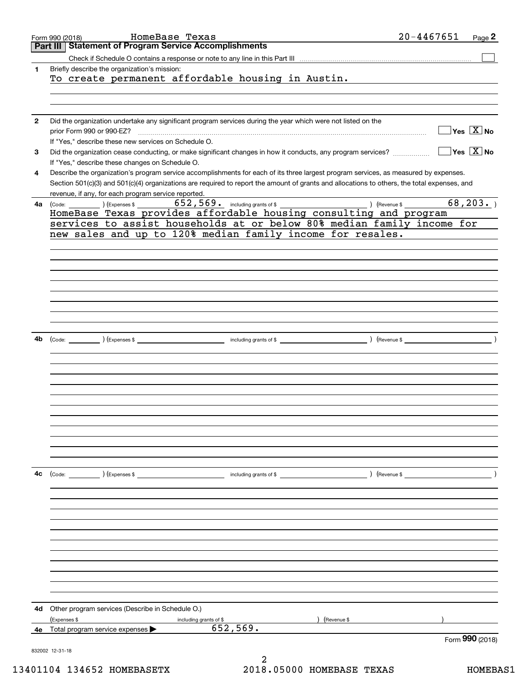| Part III Statement of Program Service Accomplishments<br>Briefly describe the organization's mission:<br>1<br>To create permanent affordable housing in Austin.<br>Did the organization undertake any significant program services during the year which were not listed on the<br>$\mathbf{2}$<br>prior Form 990 or 990-EZ?<br>If "Yes," describe these new services on Schedule O.<br>Did the organization cease conducting, or make significant changes in how it conducts, any program services?<br>3<br>If "Yes," describe these changes on Schedule O.<br>Describe the organization's program service accomplishments for each of its three largest program services, as measured by expenses.<br>4<br>Section 501(c)(3) and 501(c)(4) organizations are required to report the amount of grants and allocations to others, the total expenses, and<br>revenue, if any, for each program service reported.<br>652,569. Including grants of \$<br>) (Revenue \$<br>$\left(\text{Code:}\ \_\_\_\_\_\right)$ $\left(\text{Expenses $}\ \text{).}\right)$<br>4a l<br>HomeBase Texas provides affordable housing consulting and program<br>services to assist households at or below 80% median family income for<br>new sales and up to 120% median family income for resales.<br>and a set of \$<br>4b<br>(Expenses \$<br>) (Revenue \$<br>(Code:<br>4с<br>$\left(\text{Code:} \right)$ $\left(\text{Expenses $}\right)$<br>including grants of \$<br>) (Revenue \$<br>Other program services (Describe in Schedule O.)<br>4d | $20 - 4467651$<br>Page 2                  |
|----------------------------------------------------------------------------------------------------------------------------------------------------------------------------------------------------------------------------------------------------------------------------------------------------------------------------------------------------------------------------------------------------------------------------------------------------------------------------------------------------------------------------------------------------------------------------------------------------------------------------------------------------------------------------------------------------------------------------------------------------------------------------------------------------------------------------------------------------------------------------------------------------------------------------------------------------------------------------------------------------------------------------------------------------------------------------------------------------------------------------------------------------------------------------------------------------------------------------------------------------------------------------------------------------------------------------------------------------------------------------------------------------------------------------------------------------------------------------------------------------------------------------------|-------------------------------------------|
|                                                                                                                                                                                                                                                                                                                                                                                                                                                                                                                                                                                                                                                                                                                                                                                                                                                                                                                                                                                                                                                                                                                                                                                                                                                                                                                                                                                                                                                                                                                                  |                                           |
|                                                                                                                                                                                                                                                                                                                                                                                                                                                                                                                                                                                                                                                                                                                                                                                                                                                                                                                                                                                                                                                                                                                                                                                                                                                                                                                                                                                                                                                                                                                                  |                                           |
|                                                                                                                                                                                                                                                                                                                                                                                                                                                                                                                                                                                                                                                                                                                                                                                                                                                                                                                                                                                                                                                                                                                                                                                                                                                                                                                                                                                                                                                                                                                                  |                                           |
|                                                                                                                                                                                                                                                                                                                                                                                                                                                                                                                                                                                                                                                                                                                                                                                                                                                                                                                                                                                                                                                                                                                                                                                                                                                                                                                                                                                                                                                                                                                                  |                                           |
|                                                                                                                                                                                                                                                                                                                                                                                                                                                                                                                                                                                                                                                                                                                                                                                                                                                                                                                                                                                                                                                                                                                                                                                                                                                                                                                                                                                                                                                                                                                                  |                                           |
|                                                                                                                                                                                                                                                                                                                                                                                                                                                                                                                                                                                                                                                                                                                                                                                                                                                                                                                                                                                                                                                                                                                                                                                                                                                                                                                                                                                                                                                                                                                                  |                                           |
|                                                                                                                                                                                                                                                                                                                                                                                                                                                                                                                                                                                                                                                                                                                                                                                                                                                                                                                                                                                                                                                                                                                                                                                                                                                                                                                                                                                                                                                                                                                                  |                                           |
|                                                                                                                                                                                                                                                                                                                                                                                                                                                                                                                                                                                                                                                                                                                                                                                                                                                                                                                                                                                                                                                                                                                                                                                                                                                                                                                                                                                                                                                                                                                                  |                                           |
|                                                                                                                                                                                                                                                                                                                                                                                                                                                                                                                                                                                                                                                                                                                                                                                                                                                                                                                                                                                                                                                                                                                                                                                                                                                                                                                                                                                                                                                                                                                                  | $\overline{\mathsf{Yes} \ \mathbb{X}}$ No |
|                                                                                                                                                                                                                                                                                                                                                                                                                                                                                                                                                                                                                                                                                                                                                                                                                                                                                                                                                                                                                                                                                                                                                                                                                                                                                                                                                                                                                                                                                                                                  |                                           |
|                                                                                                                                                                                                                                                                                                                                                                                                                                                                                                                                                                                                                                                                                                                                                                                                                                                                                                                                                                                                                                                                                                                                                                                                                                                                                                                                                                                                                                                                                                                                  | $\sqrt{}$ Yes $\sqrt{}$ X $\sqrt{}$ No    |
|                                                                                                                                                                                                                                                                                                                                                                                                                                                                                                                                                                                                                                                                                                                                                                                                                                                                                                                                                                                                                                                                                                                                                                                                                                                                                                                                                                                                                                                                                                                                  |                                           |
|                                                                                                                                                                                                                                                                                                                                                                                                                                                                                                                                                                                                                                                                                                                                                                                                                                                                                                                                                                                                                                                                                                                                                                                                                                                                                                                                                                                                                                                                                                                                  |                                           |
|                                                                                                                                                                                                                                                                                                                                                                                                                                                                                                                                                                                                                                                                                                                                                                                                                                                                                                                                                                                                                                                                                                                                                                                                                                                                                                                                                                                                                                                                                                                                  |                                           |
|                                                                                                                                                                                                                                                                                                                                                                                                                                                                                                                                                                                                                                                                                                                                                                                                                                                                                                                                                                                                                                                                                                                                                                                                                                                                                                                                                                                                                                                                                                                                  |                                           |
|                                                                                                                                                                                                                                                                                                                                                                                                                                                                                                                                                                                                                                                                                                                                                                                                                                                                                                                                                                                                                                                                                                                                                                                                                                                                                                                                                                                                                                                                                                                                  |                                           |
|                                                                                                                                                                                                                                                                                                                                                                                                                                                                                                                                                                                                                                                                                                                                                                                                                                                                                                                                                                                                                                                                                                                                                                                                                                                                                                                                                                                                                                                                                                                                  | 68, 203.                                  |
|                                                                                                                                                                                                                                                                                                                                                                                                                                                                                                                                                                                                                                                                                                                                                                                                                                                                                                                                                                                                                                                                                                                                                                                                                                                                                                                                                                                                                                                                                                                                  |                                           |
|                                                                                                                                                                                                                                                                                                                                                                                                                                                                                                                                                                                                                                                                                                                                                                                                                                                                                                                                                                                                                                                                                                                                                                                                                                                                                                                                                                                                                                                                                                                                  |                                           |
|                                                                                                                                                                                                                                                                                                                                                                                                                                                                                                                                                                                                                                                                                                                                                                                                                                                                                                                                                                                                                                                                                                                                                                                                                                                                                                                                                                                                                                                                                                                                  |                                           |
|                                                                                                                                                                                                                                                                                                                                                                                                                                                                                                                                                                                                                                                                                                                                                                                                                                                                                                                                                                                                                                                                                                                                                                                                                                                                                                                                                                                                                                                                                                                                  |                                           |
|                                                                                                                                                                                                                                                                                                                                                                                                                                                                                                                                                                                                                                                                                                                                                                                                                                                                                                                                                                                                                                                                                                                                                                                                                                                                                                                                                                                                                                                                                                                                  |                                           |
|                                                                                                                                                                                                                                                                                                                                                                                                                                                                                                                                                                                                                                                                                                                                                                                                                                                                                                                                                                                                                                                                                                                                                                                                                                                                                                                                                                                                                                                                                                                                  |                                           |
|                                                                                                                                                                                                                                                                                                                                                                                                                                                                                                                                                                                                                                                                                                                                                                                                                                                                                                                                                                                                                                                                                                                                                                                                                                                                                                                                                                                                                                                                                                                                  |                                           |
|                                                                                                                                                                                                                                                                                                                                                                                                                                                                                                                                                                                                                                                                                                                                                                                                                                                                                                                                                                                                                                                                                                                                                                                                                                                                                                                                                                                                                                                                                                                                  |                                           |
|                                                                                                                                                                                                                                                                                                                                                                                                                                                                                                                                                                                                                                                                                                                                                                                                                                                                                                                                                                                                                                                                                                                                                                                                                                                                                                                                                                                                                                                                                                                                  |                                           |
|                                                                                                                                                                                                                                                                                                                                                                                                                                                                                                                                                                                                                                                                                                                                                                                                                                                                                                                                                                                                                                                                                                                                                                                                                                                                                                                                                                                                                                                                                                                                  |                                           |
|                                                                                                                                                                                                                                                                                                                                                                                                                                                                                                                                                                                                                                                                                                                                                                                                                                                                                                                                                                                                                                                                                                                                                                                                                                                                                                                                                                                                                                                                                                                                  |                                           |
|                                                                                                                                                                                                                                                                                                                                                                                                                                                                                                                                                                                                                                                                                                                                                                                                                                                                                                                                                                                                                                                                                                                                                                                                                                                                                                                                                                                                                                                                                                                                  |                                           |
|                                                                                                                                                                                                                                                                                                                                                                                                                                                                                                                                                                                                                                                                                                                                                                                                                                                                                                                                                                                                                                                                                                                                                                                                                                                                                                                                                                                                                                                                                                                                  |                                           |
|                                                                                                                                                                                                                                                                                                                                                                                                                                                                                                                                                                                                                                                                                                                                                                                                                                                                                                                                                                                                                                                                                                                                                                                                                                                                                                                                                                                                                                                                                                                                  |                                           |
|                                                                                                                                                                                                                                                                                                                                                                                                                                                                                                                                                                                                                                                                                                                                                                                                                                                                                                                                                                                                                                                                                                                                                                                                                                                                                                                                                                                                                                                                                                                                  |                                           |
|                                                                                                                                                                                                                                                                                                                                                                                                                                                                                                                                                                                                                                                                                                                                                                                                                                                                                                                                                                                                                                                                                                                                                                                                                                                                                                                                                                                                                                                                                                                                  |                                           |
|                                                                                                                                                                                                                                                                                                                                                                                                                                                                                                                                                                                                                                                                                                                                                                                                                                                                                                                                                                                                                                                                                                                                                                                                                                                                                                                                                                                                                                                                                                                                  |                                           |
|                                                                                                                                                                                                                                                                                                                                                                                                                                                                                                                                                                                                                                                                                                                                                                                                                                                                                                                                                                                                                                                                                                                                                                                                                                                                                                                                                                                                                                                                                                                                  |                                           |
|                                                                                                                                                                                                                                                                                                                                                                                                                                                                                                                                                                                                                                                                                                                                                                                                                                                                                                                                                                                                                                                                                                                                                                                                                                                                                                                                                                                                                                                                                                                                  |                                           |
|                                                                                                                                                                                                                                                                                                                                                                                                                                                                                                                                                                                                                                                                                                                                                                                                                                                                                                                                                                                                                                                                                                                                                                                                                                                                                                                                                                                                                                                                                                                                  |                                           |
|                                                                                                                                                                                                                                                                                                                                                                                                                                                                                                                                                                                                                                                                                                                                                                                                                                                                                                                                                                                                                                                                                                                                                                                                                                                                                                                                                                                                                                                                                                                                  |                                           |
|                                                                                                                                                                                                                                                                                                                                                                                                                                                                                                                                                                                                                                                                                                                                                                                                                                                                                                                                                                                                                                                                                                                                                                                                                                                                                                                                                                                                                                                                                                                                  |                                           |
|                                                                                                                                                                                                                                                                                                                                                                                                                                                                                                                                                                                                                                                                                                                                                                                                                                                                                                                                                                                                                                                                                                                                                                                                                                                                                                                                                                                                                                                                                                                                  |                                           |
|                                                                                                                                                                                                                                                                                                                                                                                                                                                                                                                                                                                                                                                                                                                                                                                                                                                                                                                                                                                                                                                                                                                                                                                                                                                                                                                                                                                                                                                                                                                                  |                                           |
|                                                                                                                                                                                                                                                                                                                                                                                                                                                                                                                                                                                                                                                                                                                                                                                                                                                                                                                                                                                                                                                                                                                                                                                                                                                                                                                                                                                                                                                                                                                                  |                                           |
|                                                                                                                                                                                                                                                                                                                                                                                                                                                                                                                                                                                                                                                                                                                                                                                                                                                                                                                                                                                                                                                                                                                                                                                                                                                                                                                                                                                                                                                                                                                                  |                                           |
|                                                                                                                                                                                                                                                                                                                                                                                                                                                                                                                                                                                                                                                                                                                                                                                                                                                                                                                                                                                                                                                                                                                                                                                                                                                                                                                                                                                                                                                                                                                                  |                                           |
|                                                                                                                                                                                                                                                                                                                                                                                                                                                                                                                                                                                                                                                                                                                                                                                                                                                                                                                                                                                                                                                                                                                                                                                                                                                                                                                                                                                                                                                                                                                                  |                                           |
|                                                                                                                                                                                                                                                                                                                                                                                                                                                                                                                                                                                                                                                                                                                                                                                                                                                                                                                                                                                                                                                                                                                                                                                                                                                                                                                                                                                                                                                                                                                                  |                                           |
|                                                                                                                                                                                                                                                                                                                                                                                                                                                                                                                                                                                                                                                                                                                                                                                                                                                                                                                                                                                                                                                                                                                                                                                                                                                                                                                                                                                                                                                                                                                                  |                                           |
|                                                                                                                                                                                                                                                                                                                                                                                                                                                                                                                                                                                                                                                                                                                                                                                                                                                                                                                                                                                                                                                                                                                                                                                                                                                                                                                                                                                                                                                                                                                                  |                                           |
|                                                                                                                                                                                                                                                                                                                                                                                                                                                                                                                                                                                                                                                                                                                                                                                                                                                                                                                                                                                                                                                                                                                                                                                                                                                                                                                                                                                                                                                                                                                                  |                                           |
|                                                                                                                                                                                                                                                                                                                                                                                                                                                                                                                                                                                                                                                                                                                                                                                                                                                                                                                                                                                                                                                                                                                                                                                                                                                                                                                                                                                                                                                                                                                                  |                                           |
|                                                                                                                                                                                                                                                                                                                                                                                                                                                                                                                                                                                                                                                                                                                                                                                                                                                                                                                                                                                                                                                                                                                                                                                                                                                                                                                                                                                                                                                                                                                                  |                                           |
|                                                                                                                                                                                                                                                                                                                                                                                                                                                                                                                                                                                                                                                                                                                                                                                                                                                                                                                                                                                                                                                                                                                                                                                                                                                                                                                                                                                                                                                                                                                                  |                                           |
|                                                                                                                                                                                                                                                                                                                                                                                                                                                                                                                                                                                                                                                                                                                                                                                                                                                                                                                                                                                                                                                                                                                                                                                                                                                                                                                                                                                                                                                                                                                                  |                                           |
|                                                                                                                                                                                                                                                                                                                                                                                                                                                                                                                                                                                                                                                                                                                                                                                                                                                                                                                                                                                                                                                                                                                                                                                                                                                                                                                                                                                                                                                                                                                                  |                                           |
|                                                                                                                                                                                                                                                                                                                                                                                                                                                                                                                                                                                                                                                                                                                                                                                                                                                                                                                                                                                                                                                                                                                                                                                                                                                                                                                                                                                                                                                                                                                                  |                                           |
|                                                                                                                                                                                                                                                                                                                                                                                                                                                                                                                                                                                                                                                                                                                                                                                                                                                                                                                                                                                                                                                                                                                                                                                                                                                                                                                                                                                                                                                                                                                                  |                                           |
|                                                                                                                                                                                                                                                                                                                                                                                                                                                                                                                                                                                                                                                                                                                                                                                                                                                                                                                                                                                                                                                                                                                                                                                                                                                                                                                                                                                                                                                                                                                                  |                                           |
|                                                                                                                                                                                                                                                                                                                                                                                                                                                                                                                                                                                                                                                                                                                                                                                                                                                                                                                                                                                                                                                                                                                                                                                                                                                                                                                                                                                                                                                                                                                                  |                                           |
|                                                                                                                                                                                                                                                                                                                                                                                                                                                                                                                                                                                                                                                                                                                                                                                                                                                                                                                                                                                                                                                                                                                                                                                                                                                                                                                                                                                                                                                                                                                                  |                                           |
|                                                                                                                                                                                                                                                                                                                                                                                                                                                                                                                                                                                                                                                                                                                                                                                                                                                                                                                                                                                                                                                                                                                                                                                                                                                                                                                                                                                                                                                                                                                                  |                                           |
| (Expenses \$<br>Revenue \$<br>including grants of \$                                                                                                                                                                                                                                                                                                                                                                                                                                                                                                                                                                                                                                                                                                                                                                                                                                                                                                                                                                                                                                                                                                                                                                                                                                                                                                                                                                                                                                                                             |                                           |
| 652,569.<br>Total program service expenses ><br>4e                                                                                                                                                                                                                                                                                                                                                                                                                                                                                                                                                                                                                                                                                                                                                                                                                                                                                                                                                                                                                                                                                                                                                                                                                                                                                                                                                                                                                                                                               |                                           |
|                                                                                                                                                                                                                                                                                                                                                                                                                                                                                                                                                                                                                                                                                                                                                                                                                                                                                                                                                                                                                                                                                                                                                                                                                                                                                                                                                                                                                                                                                                                                  | Form 990 (2018)                           |
| 832002 12-31-18                                                                                                                                                                                                                                                                                                                                                                                                                                                                                                                                                                                                                                                                                                                                                                                                                                                                                                                                                                                                                                                                                                                                                                                                                                                                                                                                                                                                                                                                                                                  |                                           |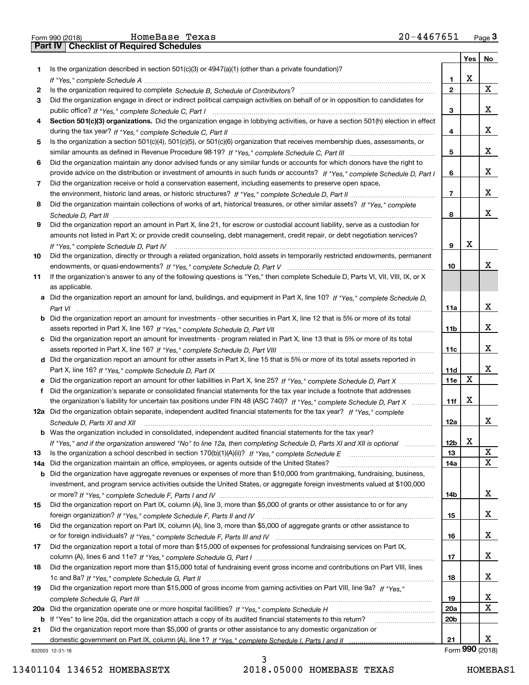|     | 20-4467651<br>HomeBase Texas<br>Form 990 (2018)                                                                                                                                                                                |                 |     | $Page$ 3    |
|-----|--------------------------------------------------------------------------------------------------------------------------------------------------------------------------------------------------------------------------------|-----------------|-----|-------------|
|     | Part IV<br><b>Checklist of Required Schedules</b>                                                                                                                                                                              |                 |     |             |
|     |                                                                                                                                                                                                                                |                 | Yes | No          |
| 1   | Is the organization described in section $501(c)(3)$ or $4947(a)(1)$ (other than a private foundation)?                                                                                                                        |                 |     |             |
|     | If "Yes," complete Schedule A measure and a control of the state of the state of the state of the state of the state of the state of the state of the state of the state of the state of the state of the state of the state o | 1               | Х   |             |
| 2   |                                                                                                                                                                                                                                | $\mathbf{2}$    |     | $\mathbf X$ |
| 3   | Did the organization engage in direct or indirect political campaign activities on behalf of or in opposition to candidates for                                                                                                |                 |     |             |
|     |                                                                                                                                                                                                                                | 3               |     | х           |
| 4   | Section 501(c)(3) organizations. Did the organization engage in lobbying activities, or have a section 501(h) election in effect                                                                                               |                 |     |             |
|     |                                                                                                                                                                                                                                | 4               |     | х           |
| 5   | Is the organization a section 501(c)(4), 501(c)(5), or 501(c)(6) organization that receives membership dues, assessments, or                                                                                                   |                 |     |             |
|     |                                                                                                                                                                                                                                | 5               |     | х           |
| 6   | Did the organization maintain any donor advised funds or any similar funds or accounts for which donors have the right to                                                                                                      |                 |     |             |
|     | provide advice on the distribution or investment of amounts in such funds or accounts? If "Yes," complete Schedule D, Part I                                                                                                   | 6               |     | х           |
| 7   | Did the organization receive or hold a conservation easement, including easements to preserve open space,                                                                                                                      |                 |     |             |
|     |                                                                                                                                                                                                                                | $\overline{7}$  |     | х           |
| 8   | Did the organization maintain collections of works of art, historical treasures, or other similar assets? If "Yes," complete                                                                                                   |                 |     |             |
|     |                                                                                                                                                                                                                                | 8               |     | х           |
| 9   | Did the organization report an amount in Part X, line 21, for escrow or custodial account liability, serve as a custodian for                                                                                                  |                 |     |             |
|     | amounts not listed in Part X; or provide credit counseling, debt management, credit repair, or debt negotiation services?                                                                                                      |                 |     |             |
|     | If "Yes." complete Schedule D. Part IV                                                                                                                                                                                         | 9               | Х   |             |
| 10  | Did the organization, directly or through a related organization, hold assets in temporarily restricted endowments, permanent                                                                                                  |                 |     |             |
|     |                                                                                                                                                                                                                                | 10              |     | x           |
| 11  | If the organization's answer to any of the following questions is "Yes," then complete Schedule D, Parts VI, VII, VIII, IX, or X                                                                                               |                 |     |             |
|     | as applicable.                                                                                                                                                                                                                 |                 |     |             |
|     | a Did the organization report an amount for land, buildings, and equipment in Part X, line 10? If "Yes." complete Schedule D.                                                                                                  |                 |     |             |
|     |                                                                                                                                                                                                                                | 11a             |     | х           |
|     | <b>b</b> Did the organization report an amount for investments - other securities in Part X, line 12 that is 5% or more of its total                                                                                           |                 |     |             |
|     |                                                                                                                                                                                                                                | 11 <sub>b</sub> |     | х           |
|     | c Did the organization report an amount for investments - program related in Part X, line 13 that is 5% or more of its total                                                                                                   |                 |     |             |
|     |                                                                                                                                                                                                                                | 11c             |     | x           |
|     | d Did the organization report an amount for other assets in Part X, line 15 that is 5% or more of its total assets reported in                                                                                                 |                 |     |             |
|     |                                                                                                                                                                                                                                | 11d             |     | х           |
|     | e Did the organization report an amount for other liabilities in Part X, line 25? If "Yes," complete Schedule D, Part X                                                                                                        | 11e             | X   |             |
| f   | Did the organization's separate or consolidated financial statements for the tax year include a footnote that addresses                                                                                                        |                 |     |             |
|     | the organization's liability for uncertain tax positions under FIN 48 (ASC 740)? If "Yes," complete Schedule D, Part X                                                                                                         | 11f             | х   |             |
|     | 12a Did the organization obtain separate, independent audited financial statements for the tax year? If "Yes," complete                                                                                                        |                 |     |             |
|     | Schedule D, Parts XI and XII material contents and content to the content of the set of the set of the set of the set of the set of the set of the set of the set of the set of the set of the set of the set of the set of th | 12a             |     | ∡⊾          |
|     | b Was the organization included in consolidated, independent audited financial statements for the tax year?                                                                                                                    |                 |     |             |
|     | If "Yes," and if the organization answered "No" to line 12a, then completing Schedule D, Parts XI and XII is optional                                                                                                          | 12 <sub>b</sub> | х   |             |
| 13  |                                                                                                                                                                                                                                | 13              |     | X           |
| 14a | Did the organization maintain an office, employees, or agents outside of the United States?                                                                                                                                    | 14a             |     | х           |
|     | <b>b</b> Did the organization have aggregate revenues or expenses of more than \$10,000 from grantmaking, fundraising, business,                                                                                               |                 |     |             |
|     | investment, and program service activities outside the United States, or aggregate foreign investments valued at \$100,000                                                                                                     |                 |     |             |
|     |                                                                                                                                                                                                                                | 14b             |     | x           |
| 15  | Did the organization report on Part IX, column (A), line 3, more than \$5,000 of grants or other assistance to or for any                                                                                                      |                 |     |             |
|     |                                                                                                                                                                                                                                | 15              |     | x           |
| 16  | Did the organization report on Part IX, column (A), line 3, more than \$5,000 of aggregate grants or other assistance to                                                                                                       |                 |     |             |
|     |                                                                                                                                                                                                                                | 16              |     | x           |
| 17  | Did the organization report a total of more than \$15,000 of expenses for professional fundraising services on Part IX,                                                                                                        |                 |     |             |
|     |                                                                                                                                                                                                                                | 17              |     | X           |
| 18  | Did the organization report more than \$15,000 total of fundraising event gross income and contributions on Part VIII, lines                                                                                                   |                 |     |             |
|     |                                                                                                                                                                                                                                | 18              |     | X           |
| 19  | Did the organization report more than \$15,000 of gross income from gaming activities on Part VIII, line 9a? If "Yes."                                                                                                         |                 |     |             |
|     |                                                                                                                                                                                                                                | 19              |     | х           |
| 20a |                                                                                                                                                                                                                                | 20a             |     | X           |
|     | b If "Yes" to line 20a, did the organization attach a copy of its audited financial statements to this return?                                                                                                                 | 20 <sub>b</sub> |     |             |
| 21  | Did the organization report more than \$5,000 of grants or other assistance to any domestic organization or                                                                                                                    |                 |     |             |
|     |                                                                                                                                                                                                                                | 21              |     | х           |
|     |                                                                                                                                                                                                                                |                 |     |             |

832003 12-31-18

3

Form (2018) **990**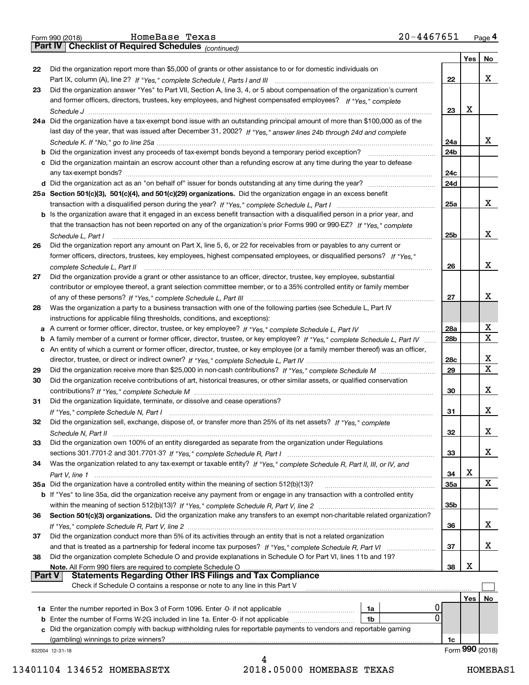|  | Form 990 (2018) |  |
|--|-----------------|--|
|  |                 |  |

*(continued)*

|               |                                                                                                                                   |     | Yes             | No          |  |
|---------------|-----------------------------------------------------------------------------------------------------------------------------------|-----|-----------------|-------------|--|
| 22            | Did the organization report more than \$5,000 of grants or other assistance to or for domestic individuals on                     |     |                 |             |  |
|               |                                                                                                                                   | 22  |                 | x           |  |
| 23            | Did the organization answer "Yes" to Part VII, Section A, line 3, 4, or 5 about compensation of the organization's current        |     |                 |             |  |
|               | and former officers, directors, trustees, key employees, and highest compensated employees? If "Yes," complete                    | 23  | Х               |             |  |
|               | 24a Did the organization have a tax-exempt bond issue with an outstanding principal amount of more than \$100,000 as of the       |     |                 |             |  |
|               | last day of the year, that was issued after December 31, 2002? If "Yes," answer lines 24b through 24d and complete                |     |                 |             |  |
|               |                                                                                                                                   | 24a |                 | x           |  |
|               |                                                                                                                                   | 24b |                 |             |  |
|               | c Did the organization maintain an escrow account other than a refunding escrow at any time during the year to defease            |     |                 |             |  |
|               |                                                                                                                                   | 24с |                 |             |  |
|               |                                                                                                                                   | 24d |                 |             |  |
|               | 25a Section 501(c)(3), 501(c)(4), and 501(c)(29) organizations. Did the organization engage in an excess benefit                  |     |                 |             |  |
|               |                                                                                                                                   | 25a |                 | x           |  |
|               | b Is the organization aware that it engaged in an excess benefit transaction with a disqualified person in a prior year, and      |     |                 |             |  |
|               | that the transaction has not been reported on any of the organization's prior Forms 990 or 990-EZ? If "Yes," complete             |     |                 |             |  |
|               | Schedule L. Part I                                                                                                                | 25b |                 | х           |  |
| 26            | Did the organization report any amount on Part X, line 5, 6, or 22 for receivables from or payables to any current or             |     |                 |             |  |
|               | former officers, directors, trustees, key employees, highest compensated employees, or disqualified persons? If "Yes."            |     |                 |             |  |
|               | complete Schedule L, Part II                                                                                                      | 26  |                 | х           |  |
| 27            | Did the organization provide a grant or other assistance to an officer, director, trustee, key employee, substantial              |     |                 |             |  |
|               | contributor or employee thereof, a grant selection committee member, or to a 35% controlled entity or family member               | 27  |                 | х           |  |
| 28            | Was the organization a party to a business transaction with one of the following parties (see Schedule L, Part IV                 |     |                 |             |  |
|               | instructions for applicable filing thresholds, conditions, and exceptions):                                                       |     |                 |             |  |
|               |                                                                                                                                   | 28a |                 | X           |  |
|               | b A family member of a current or former officer, director, trustee, or key employee? If "Yes," complete Schedule L, Part IV      | 28b |                 | $\mathbf X$ |  |
|               | c An entity of which a current or former officer, director, trustee, or key employee (or a family member thereof) was an officer, |     |                 |             |  |
|               |                                                                                                                                   | 28c |                 | X           |  |
| 29            |                                                                                                                                   | 29  |                 | $\mathbf X$ |  |
| 30            | Did the organization receive contributions of art, historical treasures, or other similar assets, or qualified conservation       |     |                 |             |  |
|               |                                                                                                                                   | 30  |                 | х           |  |
| 31            | Did the organization liquidate, terminate, or dissolve and cease operations?                                                      |     |                 |             |  |
|               |                                                                                                                                   | 31  |                 | х           |  |
| 32            | Did the organization sell, exchange, dispose of, or transfer more than 25% of its net assets? If "Yes," complete                  |     |                 |             |  |
|               | Schedule N, Part II (1996) (1996) (1997) (1997) (1998) (1998) (1998) (1998) (1998) (1998) (1998) (1999) (1999)                    | 32  |                 | х           |  |
| 33            | Did the organization own 100% of an entity disregarded as separate from the organization under Regulations                        |     |                 | х           |  |
| 34            | Was the organization related to any tax-exempt or taxable entity? If "Yes," complete Schedule R, Part II, III, or IV, and         | 33  |                 |             |  |
|               |                                                                                                                                   | 34  | X               |             |  |
|               | 35a Did the organization have a controlled entity within the meaning of section 512(b)(13)?                                       | 35a |                 | X           |  |
|               | b If "Yes" to line 35a, did the organization receive any payment from or engage in any transaction with a controlled entity       |     |                 |             |  |
|               |                                                                                                                                   | 35b |                 |             |  |
| 36            | Section 501(c)(3) organizations. Did the organization make any transfers to an exempt non-charitable related organization?        |     |                 |             |  |
|               |                                                                                                                                   | 36  |                 | x           |  |
| 37            | Did the organization conduct more than 5% of its activities through an entity that is not a related organization                  |     |                 |             |  |
|               | and that is treated as a partnership for federal income tax purposes? If "Yes," complete Schedule R, Part VI                      | 37  |                 | x           |  |
| 38            | Did the organization complete Schedule O and provide explanations in Schedule O for Part VI, lines 11b and 19?                    |     |                 |             |  |
| <b>Part V</b> | Note. All Form 990 filers are required to complete Schedule O<br><b>Statements Regarding Other IRS Filings and Tax Compliance</b> | 38  | х               |             |  |
|               | Check if Schedule O contains a response or note to any line in this Part V                                                        |     |                 |             |  |
|               |                                                                                                                                   |     |                 | No          |  |
|               | 1a                                                                                                                                | 0   | Yes             |             |  |
|               | $\Omega$<br><b>b</b> Enter the number of Forms W-2G included in line 1a. Enter -0- if not applicable<br>1b                        |     |                 |             |  |
| c             | Did the organization comply with backup withholding rules for reportable payments to vendors and reportable gaming                |     |                 |             |  |
|               | (gambling) winnings to prize winners?                                                                                             | 1c  |                 |             |  |
|               | 832004 12-31-18                                                                                                                   |     | Form 990 (2018) |             |  |
|               |                                                                                                                                   |     |                 |             |  |

<sup>4</sup> 13401104 134652 HOMEBASETX 2018.05000 HOMEBASE TEXAS HOMEBAS1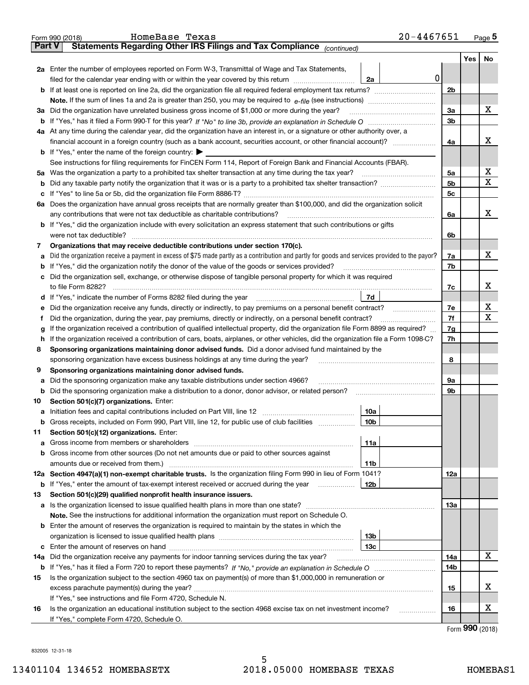|               | $20 - 4467651$<br>HomeBase Texas<br>Form 990 (2018)                                                                                                                            |                |     | Page $5$ |
|---------------|--------------------------------------------------------------------------------------------------------------------------------------------------------------------------------|----------------|-----|----------|
| <b>Part V</b> | Statements Regarding Other IRS Filings and Tax Compliance (continued)                                                                                                          |                |     |          |
|               |                                                                                                                                                                                |                | Yes | No       |
|               | 2a Enter the number of employees reported on Form W-3, Transmittal of Wage and Tax Statements,                                                                                 |                |     |          |
|               | 0<br>filed for the calendar year ending with or within the year covered by this return [11] [11] the calendar year ending with or within the year covered by this return<br>2a |                |     |          |
|               |                                                                                                                                                                                | 2 <sub>b</sub> |     |          |
|               |                                                                                                                                                                                |                |     |          |
|               | 3a Did the organization have unrelated business gross income of \$1,000 or more during the year?                                                                               | 3a             |     | х        |
|               |                                                                                                                                                                                | 3 <sub>b</sub> |     |          |
|               | 4a At any time during the calendar year, did the organization have an interest in, or a signature or other authority over, a                                                   |                |     |          |
|               |                                                                                                                                                                                | 4a             |     | х        |
|               | <b>b</b> If "Yes," enter the name of the foreign country: $\blacktriangleright$                                                                                                |                |     |          |
|               | See instructions for filing requirements for FinCEN Form 114, Report of Foreign Bank and Financial Accounts (FBAR).                                                            |                |     |          |
|               | 5a Was the organization a party to a prohibited tax shelter transaction at any time during the tax year?                                                                       | 5a             |     | X        |
|               |                                                                                                                                                                                | 5 <sub>b</sub> |     | Х        |
|               |                                                                                                                                                                                | 5c             |     |          |
|               | 6a Does the organization have annual gross receipts that are normally greater than \$100,000, and did the organization solicit                                                 |                |     |          |
|               | any contributions that were not tax deductible as charitable contributions?                                                                                                    | 6a             |     | х        |
|               | b If "Yes," did the organization include with every solicitation an express statement that such contributions or gifts                                                         |                |     |          |
|               | were not tax deductible?                                                                                                                                                       | 6b             |     |          |
| 7             | Organizations that may receive deductible contributions under section 170(c).                                                                                                  |                |     |          |
| а             | Did the organization receive a payment in excess of \$75 made partly as a contribution and partly for goods and services provided to the payor?                                | 7a             |     | x        |
|               | <b>b</b> If "Yes," did the organization notify the donor of the value of the goods or services provided?                                                                       | 7b             |     |          |
|               | c Did the organization sell, exchange, or otherwise dispose of tangible personal property for which it was required                                                            |                |     |          |
|               |                                                                                                                                                                                | 7c             |     | х        |
|               | 7d<br>d If "Yes," indicate the number of Forms 8282 filed during the year manufactured in the second of the New York                                                           |                |     |          |
| е             | Did the organization receive any funds, directly or indirectly, to pay premiums on a personal benefit contract?                                                                | 7e             |     | х        |
| f             | Did the organization, during the year, pay premiums, directly or indirectly, on a personal benefit contract?                                                                   | 7f             |     | х        |
| g             | If the organization received a contribution of qualified intellectual property, did the organization file Form 8899 as required?                                               | 7g             |     |          |
|               | h If the organization received a contribution of cars, boats, airplanes, or other vehicles, did the organization file a Form 1098-C?                                           | 7h             |     |          |
| 8             | Sponsoring organizations maintaining donor advised funds. Did a donor advised fund maintained by the                                                                           |                |     |          |
|               | sponsoring organization have excess business holdings at any time during the year?                                                                                             | 8              |     |          |
| 9             | Sponsoring organizations maintaining donor advised funds.                                                                                                                      |                |     |          |
| а             | Did the sponsoring organization make any taxable distributions under section 4966?                                                                                             | 9а             |     |          |
| b             | Did the sponsoring organization make a distribution to a donor, donor advisor, or related person?                                                                              | 9b             |     |          |
| 10            | Section 501(c)(7) organizations. Enter:                                                                                                                                        |                |     |          |
|               | 10a                                                                                                                                                                            |                |     |          |
|               | <b>b</b> Gross receipts, included on Form 990, Part VIII, line 12, for public use of club facilities <i>manument</i><br>10b                                                    |                |     |          |
| 11            | Section 501(c)(12) organizations. Enter:                                                                                                                                       |                |     |          |
| a             | 11a                                                                                                                                                                            |                |     |          |
|               | <b>b</b> Gross income from other sources (Do not net amounts due or paid to other sources against                                                                              |                |     |          |
|               | amounts due or received from them.)<br>11b                                                                                                                                     |                |     |          |
|               | 12a Section 4947(a)(1) non-exempt charitable trusts. Is the organization filing Form 990 in lieu of Form 1041?                                                                 | 12a            |     |          |
|               | <b>b</b> If "Yes," enter the amount of tax-exempt interest received or accrued during the year<br>12b                                                                          |                |     |          |
| 13            | Section 501(c)(29) qualified nonprofit health insurance issuers.                                                                                                               |                |     |          |
|               | a Is the organization licensed to issue qualified health plans in more than one state?                                                                                         | 13а            |     |          |
|               | Note. See the instructions for additional information the organization must report on Schedule O.                                                                              |                |     |          |
|               | <b>b</b> Enter the amount of reserves the organization is required to maintain by the states in which the                                                                      |                |     |          |
|               | 13 <sub>b</sub>                                                                                                                                                                |                |     |          |
| с             | 13c                                                                                                                                                                            |                |     |          |
| 14a           | Did the organization receive any payments for indoor tanning services during the tax year?                                                                                     | 14a            |     | х        |
|               |                                                                                                                                                                                | 14b            |     |          |
| 15            | Is the organization subject to the section 4960 tax on payment(s) of more than \$1,000,000 in remuneration or                                                                  |                |     |          |
|               |                                                                                                                                                                                | 15             |     | х        |
|               | If "Yes," see instructions and file Form 4720, Schedule N.                                                                                                                     |                |     |          |
| 16            | Is the organization an educational institution subject to the section 4968 excise tax on net investment income?<br>.                                                           | 16             |     | х        |
|               | If "Yes," complete Form 4720, Schedule O.                                                                                                                                      |                | ה ה |          |

Form (2018) **990**

832005 12-31-18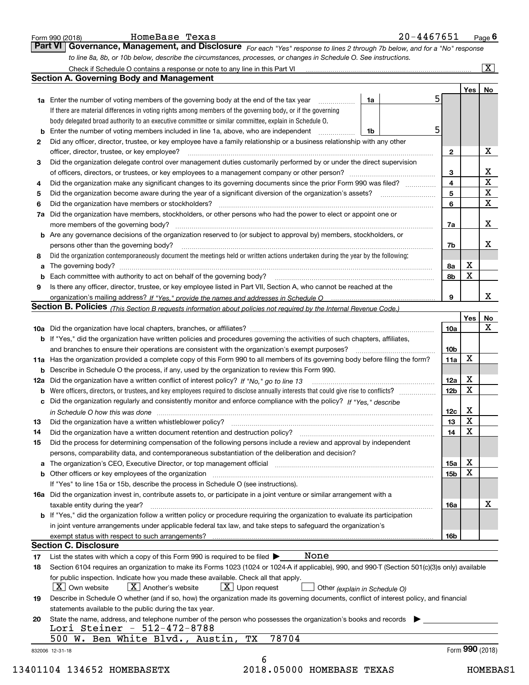|    | to line 8a, 8b, or 10b below, describe the circumstances, processes, or changes in Schedule O. See instructions.                                                                                                                                                                                                                                                                                                                                                     |                 |                 |                         |
|----|----------------------------------------------------------------------------------------------------------------------------------------------------------------------------------------------------------------------------------------------------------------------------------------------------------------------------------------------------------------------------------------------------------------------------------------------------------------------|-----------------|-----------------|-------------------------|
|    |                                                                                                                                                                                                                                                                                                                                                                                                                                                                      |                 |                 | $\overline{\mathbf{x}}$ |
|    | <b>Section A. Governing Body and Management</b>                                                                                                                                                                                                                                                                                                                                                                                                                      |                 |                 |                         |
|    | 5                                                                                                                                                                                                                                                                                                                                                                                                                                                                    |                 | Yes             | No                      |
|    | 1a Enter the number of voting members of the governing body at the end of the tax year<br>1a                                                                                                                                                                                                                                                                                                                                                                         |                 |                 |                         |
|    | If there are material differences in voting rights among members of the governing body, or if the governing                                                                                                                                                                                                                                                                                                                                                          |                 |                 |                         |
|    | body delegated broad authority to an executive committee or similar committee, explain in Schedule O.<br>5                                                                                                                                                                                                                                                                                                                                                           |                 |                 |                         |
|    | <b>b</b> Enter the number of voting members included in line 1a, above, who are independent <i>manument</i><br>1b                                                                                                                                                                                                                                                                                                                                                    |                 |                 |                         |
| 2  | Did any officer, director, trustee, or key employee have a family relationship or a business relationship with any other                                                                                                                                                                                                                                                                                                                                             |                 |                 | х                       |
|    | officer, director, trustee, or key employee?                                                                                                                                                                                                                                                                                                                                                                                                                         | $\mathbf{2}$    |                 |                         |
| З  | Did the organization delegate control over management duties customarily performed by or under the direct supervision                                                                                                                                                                                                                                                                                                                                                | 3               |                 | X                       |
| 4  | Did the organization make any significant changes to its governing documents since the prior Form 990 was filed?                                                                                                                                                                                                                                                                                                                                                     | 4               |                 | $\overline{\mathbf{x}}$ |
| 5  |                                                                                                                                                                                                                                                                                                                                                                                                                                                                      | 5               |                 | $\mathbf X$             |
| 6  |                                                                                                                                                                                                                                                                                                                                                                                                                                                                      | 6               |                 | X                       |
|    | 7a Did the organization have members, stockholders, or other persons who had the power to elect or appoint one or                                                                                                                                                                                                                                                                                                                                                    |                 |                 |                         |
|    | more members of the governing body?                                                                                                                                                                                                                                                                                                                                                                                                                                  | 7a              |                 | X                       |
|    | $\begin{bmatrix} \begin{bmatrix} 0 & 0 & 0 \\ 0 & 0 & 0 \\ 0 & 0 & 0 \\ 0 & 0 & 0 \\ 0 & 0 & 0 \\ 0 & 0 & 0 \\ 0 & 0 & 0 & 0 \\ 0 & 0 & 0 & 0 \\ 0 & 0 & 0 & 0 \\ 0 & 0 & 0 & 0 & 0 \\ 0 & 0 & 0 & 0 & 0 \\ 0 & 0 & 0 & 0 & 0 \\ 0 & 0 & 0 & 0 & 0 & 0 \\ 0 & 0 & 0 & 0 & 0 & 0 \\ 0 & 0 & 0 & 0 & 0 & 0 & 0 \\ 0 & 0 & 0 & 0 & 0 & $<br><b>b</b> Are any governance decisions of the organization reserved to (or subject to approval by) members, stockholders, or |                 |                 |                         |
|    | persons other than the governing body?                                                                                                                                                                                                                                                                                                                                                                                                                               | 7b              |                 | X                       |
| 8  | Did the organization contemporaneously document the meetings held or written actions undertaken during the year by the following:                                                                                                                                                                                                                                                                                                                                    |                 |                 |                         |
| a  |                                                                                                                                                                                                                                                                                                                                                                                                                                                                      | 8а              | X               |                         |
|    |                                                                                                                                                                                                                                                                                                                                                                                                                                                                      | 8b              | $\mathbf X$     |                         |
| 9  | Is there any officer, director, trustee, or key employee listed in Part VII, Section A, who cannot be reached at the                                                                                                                                                                                                                                                                                                                                                 |                 |                 |                         |
|    |                                                                                                                                                                                                                                                                                                                                                                                                                                                                      | 9               |                 | X                       |
|    | Section B. Policies (This Section B requests information about policies not required by the Internal Revenue Code.)                                                                                                                                                                                                                                                                                                                                                  |                 |                 |                         |
|    |                                                                                                                                                                                                                                                                                                                                                                                                                                                                      |                 | Yes             | No                      |
|    |                                                                                                                                                                                                                                                                                                                                                                                                                                                                      | 10a             |                 | X                       |
|    | <b>b</b> If "Yes," did the organization have written policies and procedures governing the activities of such chapters, affiliates,                                                                                                                                                                                                                                                                                                                                  |                 |                 |                         |
|    | and branches to ensure their operations are consistent with the organization's exempt purposes?                                                                                                                                                                                                                                                                                                                                                                      | 10 <sub>b</sub> |                 |                         |
|    | 11a Has the organization provided a complete copy of this Form 990 to all members of its governing body before filing the form?                                                                                                                                                                                                                                                                                                                                      | 11a             | X               |                         |
|    | <b>b</b> Describe in Schedule O the process, if any, used by the organization to review this Form 990.                                                                                                                                                                                                                                                                                                                                                               |                 |                 |                         |
|    | 12a Did the organization have a written conflict of interest policy? If "No," go to line 13                                                                                                                                                                                                                                                                                                                                                                          | 12a             | X               |                         |
|    | <b>b</b> Were officers, directors, or trustees, and key employees required to disclose annually interests that could give rise to conflicts?                                                                                                                                                                                                                                                                                                                         | 12 <sub>b</sub> | $\mathbf X$     |                         |
|    | c Did the organization regularly and consistently monitor and enforce compliance with the policy? If "Yes," describe                                                                                                                                                                                                                                                                                                                                                 |                 |                 |                         |
|    | in Schedule O how this was done manufactured and continuum control of the state of the state of the state of t                                                                                                                                                                                                                                                                                                                                                       | 12c             | X               |                         |
| 13 | Did the organization have a written whistleblower policy?                                                                                                                                                                                                                                                                                                                                                                                                            | 13              | x               |                         |
| 14 | Did the organization have a written document retention and destruction policy?                                                                                                                                                                                                                                                                                                                                                                                       | 14              | X               |                         |
| 15 | Did the process for determining compensation of the following persons include a review and approval by independent                                                                                                                                                                                                                                                                                                                                                   |                 |                 |                         |
|    | persons, comparability data, and contemporaneous substantiation of the deliberation and decision?                                                                                                                                                                                                                                                                                                                                                                    |                 |                 |                         |
|    |                                                                                                                                                                                                                                                                                                                                                                                                                                                                      | 15a             | X               |                         |
|    |                                                                                                                                                                                                                                                                                                                                                                                                                                                                      | 15 <sub>b</sub> | X               |                         |
|    | If "Yes" to line 15a or 15b, describe the process in Schedule O (see instructions).                                                                                                                                                                                                                                                                                                                                                                                  |                 |                 |                         |
|    | 16a Did the organization invest in, contribute assets to, or participate in a joint venture or similar arrangement with a                                                                                                                                                                                                                                                                                                                                            |                 |                 |                         |
|    | taxable entity during the year?                                                                                                                                                                                                                                                                                                                                                                                                                                      | 16a             |                 | X                       |
|    | b If "Yes," did the organization follow a written policy or procedure requiring the organization to evaluate its participation                                                                                                                                                                                                                                                                                                                                       |                 |                 |                         |
|    | in joint venture arrangements under applicable federal tax law, and take steps to safeguard the organization's                                                                                                                                                                                                                                                                                                                                                       |                 |                 |                         |
|    |                                                                                                                                                                                                                                                                                                                                                                                                                                                                      | 16b             |                 |                         |
|    | <b>Section C. Disclosure</b>                                                                                                                                                                                                                                                                                                                                                                                                                                         |                 |                 |                         |
|    | None<br>List the states with which a copy of this Form 990 is required to be filed $\blacktriangleright$                                                                                                                                                                                                                                                                                                                                                             |                 |                 |                         |
|    | Section 6104 requires an organization to make its Forms 1023 (1024 or 1024 A if applicable), 990, and 990-T (Section 501(c)(3)s only) available                                                                                                                                                                                                                                                                                                                      |                 |                 |                         |
| 18 | for public inspection. Indicate how you made these available. Check all that apply.                                                                                                                                                                                                                                                                                                                                                                                  |                 |                 |                         |
| 17 | $\lfloor x \rfloor$ Upon request<br>$\mid$ $\rm X\mid$ Own website<br>$X$ Another's website<br>Other (explain in Schedule O)                                                                                                                                                                                                                                                                                                                                         |                 |                 |                         |
|    |                                                                                                                                                                                                                                                                                                                                                                                                                                                                      |                 |                 |                         |
| 19 | Describe in Schedule O whether (and if so, how) the organization made its governing documents, conflict of interest policy, and financial                                                                                                                                                                                                                                                                                                                            |                 |                 |                         |
|    | statements available to the public during the tax year.                                                                                                                                                                                                                                                                                                                                                                                                              |                 |                 |                         |
| 20 | State the name, address, and telephone number of the person who possesses the organization's books and records                                                                                                                                                                                                                                                                                                                                                       |                 |                 |                         |
|    | Lori Steiner - 512-472-8788                                                                                                                                                                                                                                                                                                                                                                                                                                          |                 |                 |                         |
|    | 500 W. Ben White Blvd., Austin, TX<br>78704                                                                                                                                                                                                                                                                                                                                                                                                                          |                 | Form 990 (2018) |                         |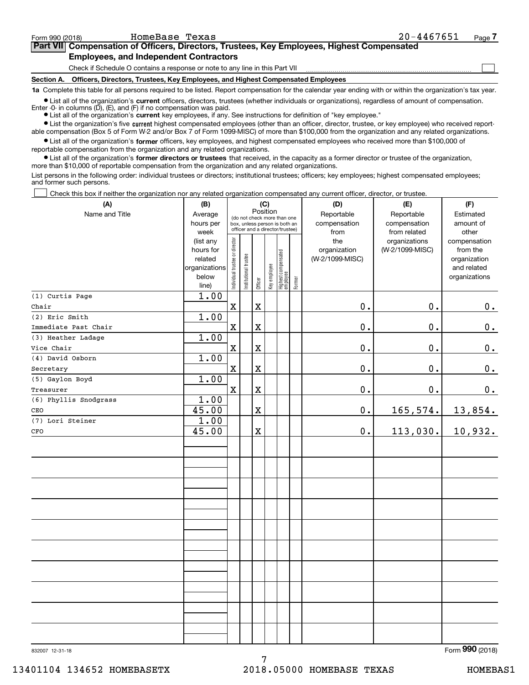**(A)**

 $\mathcal{L}^{\text{max}}$ 

# **7Part VII Compensation of Officers, Directors, Trustees, Key Employees, Highest Compensated Employees, and Independent Contractors**

Check if Schedule O contains a response or note to any line in this Part VII

**Section A. Officers, Directors, Trustees, Key Employees, and Highest Compensated Employees**

**1a**  Complete this table for all persons required to be listed. Report compensation for the calendar year ending with or within the organization's tax year.

**•** List all of the organization's current officers, directors, trustees (whether individuals or organizations), regardless of amount of compensation. Enter -0- in columns  $(D)$ ,  $(E)$ , and  $(F)$  if no compensation was paid.

● List all of the organization's **current** key employees, if any. See instructions for definition of "key employee."

**•** List the organization's five current highest compensated employees (other than an officer, director, trustee, or key employee) who received reportable compensation (Box 5 of Form W-2 and/or Box 7 of Form 1099-MISC) of more than \$100,000 from the organization and any related organizations.

 $\bullet$  List all of the organization's **former** officers, key employees, and highest compensated employees who received more than \$100,000 of reportable compensation from the organization and any related organizations.

**•** List all of the organization's former directors or trustees that received, in the capacity as a former director or trustee of the organization, more than \$10,000 of reportable compensation from the organization and any related organizations.

List persons in the following order: individual trustees or directors; institutional trustees; officers; key employees; highest compensated employees; and former such persons.

Check this box if neither the organization nor any related organization compensated any current officer, director, or trustee.  $\mathcal{L}^{\text{max}}$ 

| (A)                   | (B)                                                                          |                                                                                                                                                                     |  |                                                | (C) |                                                              |                                                  | (D)                        | (E)                        | (F)                    |
|-----------------------|------------------------------------------------------------------------------|---------------------------------------------------------------------------------------------------------------------------------------------------------------------|--|------------------------------------------------|-----|--------------------------------------------------------------|--------------------------------------------------|----------------------------|----------------------------|------------------------|
| Name and Title        | Average<br>hours per                                                         |                                                                                                                                                                     |  | Position                                       |     | (do not check more than one<br>box, unless person is both an |                                                  | Reportable<br>compensation | Reportable<br>compensation | Estimated<br>amount of |
|                       | week<br>(list any<br>hours for<br>related<br>organizations<br>below<br>line) | officer and a director/trustee)<br>Individual trustee or director<br>Highest compensated<br> employee<br>Institutional trustee<br>Key employee<br>Former<br>Officer |  | from<br>the<br>organization<br>(W-2/1099-MISC) |     |                                                              | from related<br>organizations<br>(W-2/1099-MISC) |                            |                            |                        |
| (1) Curtis Page       | 1.00                                                                         |                                                                                                                                                                     |  |                                                |     |                                                              |                                                  |                            |                            |                        |
| Chair                 |                                                                              | $\mathbf x$                                                                                                                                                         |  | $\mathbf X$                                    |     |                                                              |                                                  | $\mathbf 0$ .              | $0$ .                      | $0_{\bullet}$          |
| (2) Eric Smith        | 1.00                                                                         |                                                                                                                                                                     |  |                                                |     |                                                              |                                                  |                            |                            |                        |
| Immediate Past Chair  |                                                                              | $\overline{\textbf{X}}$                                                                                                                                             |  | $\mathbf X$                                    |     |                                                              |                                                  | $0$ .                      | $0$ .                      | 0.                     |
| (3) Heather Ladage    | 1.00                                                                         |                                                                                                                                                                     |  |                                                |     |                                                              |                                                  |                            |                            |                        |
| Vice Chair            |                                                                              | $\mathbf x$                                                                                                                                                         |  | $\mathbf X$                                    |     |                                                              |                                                  | 0.                         | 0.                         | 0.                     |
| (4) David Osborn      | 1.00                                                                         |                                                                                                                                                                     |  |                                                |     |                                                              |                                                  |                            |                            |                        |
| Secretary             |                                                                              | $\mathbf X$                                                                                                                                                         |  | $\mathbf x$                                    |     |                                                              |                                                  | $\mathbf 0$ .              | 0.                         | $0_{\bullet}$          |
| (5) Gaylon Boyd       | 1.00                                                                         |                                                                                                                                                                     |  |                                                |     |                                                              |                                                  |                            |                            |                        |
| Treasurer             |                                                                              | $\mathbf X$                                                                                                                                                         |  | $\mathbf X$                                    |     |                                                              |                                                  | 0.                         | $\mathbf 0$ .              | $0_{.}$                |
| (6) Phyllis Snodgrass | 1.00                                                                         |                                                                                                                                                                     |  |                                                |     |                                                              |                                                  |                            |                            |                        |
| CEO                   | 45.00                                                                        |                                                                                                                                                                     |  | $\mathbf X$                                    |     |                                                              |                                                  | $\mathbf 0$ .              | 165,574.                   | 13,854.                |
| (7) Lori Steiner      | 1.00                                                                         |                                                                                                                                                                     |  |                                                |     |                                                              |                                                  |                            |                            |                        |
| CFO                   | 45.00                                                                        |                                                                                                                                                                     |  | $\mathbf X$                                    |     |                                                              |                                                  | $0$ .                      | 113,030.                   | 10,932.                |
|                       |                                                                              |                                                                                                                                                                     |  |                                                |     |                                                              |                                                  |                            |                            |                        |
|                       |                                                                              |                                                                                                                                                                     |  |                                                |     |                                                              |                                                  |                            |                            |                        |
|                       |                                                                              |                                                                                                                                                                     |  |                                                |     |                                                              |                                                  |                            |                            |                        |
|                       |                                                                              |                                                                                                                                                                     |  |                                                |     |                                                              |                                                  |                            |                            |                        |
|                       |                                                                              |                                                                                                                                                                     |  |                                                |     |                                                              |                                                  |                            |                            |                        |
|                       |                                                                              |                                                                                                                                                                     |  |                                                |     |                                                              |                                                  |                            |                            |                        |
|                       |                                                                              |                                                                                                                                                                     |  |                                                |     |                                                              |                                                  |                            |                            |                        |
|                       |                                                                              |                                                                                                                                                                     |  |                                                |     |                                                              |                                                  |                            |                            |                        |
|                       |                                                                              |                                                                                                                                                                     |  |                                                |     |                                                              |                                                  |                            |                            |                        |
|                       |                                                                              |                                                                                                                                                                     |  |                                                |     |                                                              |                                                  |                            |                            |                        |
|                       |                                                                              |                                                                                                                                                                     |  |                                                |     |                                                              |                                                  |                            |                            |                        |
|                       |                                                                              |                                                                                                                                                                     |  |                                                |     |                                                              |                                                  |                            |                            |                        |
|                       |                                                                              |                                                                                                                                                                     |  |                                                |     |                                                              |                                                  |                            |                            |                        |
|                       |                                                                              |                                                                                                                                                                     |  |                                                |     |                                                              |                                                  |                            |                            |                        |
|                       |                                                                              |                                                                                                                                                                     |  |                                                |     |                                                              |                                                  |                            |                            |                        |
|                       |                                                                              |                                                                                                                                                                     |  |                                                |     |                                                              |                                                  |                            |                            |                        |
|                       |                                                                              |                                                                                                                                                                     |  |                                                |     |                                                              |                                                  |                            |                            |                        |
|                       |                                                                              |                                                                                                                                                                     |  |                                                |     |                                                              |                                                  |                            |                            |                        |
|                       |                                                                              |                                                                                                                                                                     |  |                                                |     |                                                              |                                                  |                            |                            |                        |
|                       |                                                                              |                                                                                                                                                                     |  |                                                |     |                                                              |                                                  |                            |                            |                        |

7

832007 12-31-18

Form (2018) **990**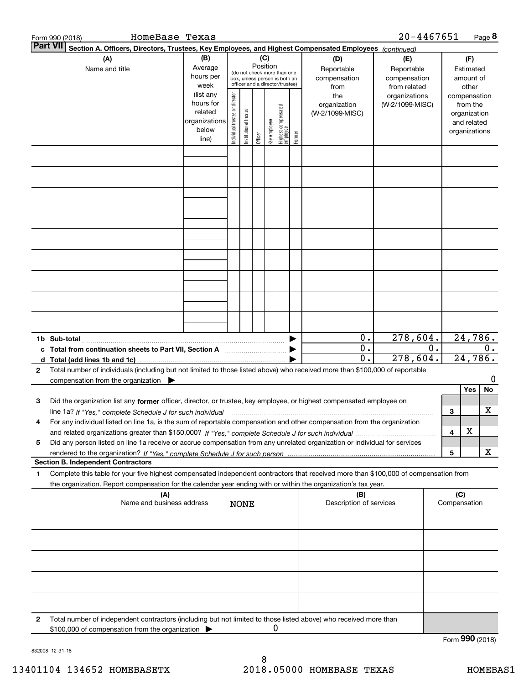| HomeBase Texas<br>Form 990 (2018)                                                                                                                                                                                                                           |                                                                      |                                |                       |          |              |                                                                                                 |        |                                           | 20-4467651                                        |       |                                                                          | Page 8           |
|-------------------------------------------------------------------------------------------------------------------------------------------------------------------------------------------------------------------------------------------------------------|----------------------------------------------------------------------|--------------------------------|-----------------------|----------|--------------|-------------------------------------------------------------------------------------------------|--------|-------------------------------------------|---------------------------------------------------|-------|--------------------------------------------------------------------------|------------------|
| <b>Part VII</b><br>Section A. Officers, Directors, Trustees, Key Employees, and Highest Compensated Employees (continued)                                                                                                                                   |                                                                      |                                |                       |          |              |                                                                                                 |        |                                           |                                                   |       |                                                                          |                  |
| (A)<br>Name and title                                                                                                                                                                                                                                       | (B)<br>Average<br>hours per<br>week                                  |                                |                       | Position | (C)          | (do not check more than one<br>box, unless person is both an<br>officer and a director/trustee) |        | (D)<br>Reportable<br>compensation<br>from | (E)<br>Reportable<br>compensation<br>from related |       | (F)<br>Estimated<br>amount of<br>other                                   |                  |
|                                                                                                                                                                                                                                                             | (list any<br>hours for<br>related<br>organizations<br>below<br>line) | Individual trustee or director | Institutional trustee | Officer  | key employee | Highest compensated<br>  employee                                                               | Former | the<br>organization<br>(W-2/1099-MISC)    | organizations<br>(W-2/1099-MISC)                  |       | compensation<br>from the<br>organization<br>and related<br>organizations |                  |
|                                                                                                                                                                                                                                                             |                                                                      |                                |                       |          |              |                                                                                                 |        |                                           |                                                   |       |                                                                          |                  |
|                                                                                                                                                                                                                                                             |                                                                      |                                |                       |          |              |                                                                                                 |        |                                           |                                                   |       |                                                                          |                  |
|                                                                                                                                                                                                                                                             |                                                                      |                                |                       |          |              |                                                                                                 |        |                                           |                                                   |       |                                                                          |                  |
|                                                                                                                                                                                                                                                             |                                                                      |                                |                       |          |              |                                                                                                 |        |                                           |                                                   |       |                                                                          |                  |
|                                                                                                                                                                                                                                                             |                                                                      |                                |                       |          |              |                                                                                                 |        |                                           |                                                   |       |                                                                          |                  |
|                                                                                                                                                                                                                                                             |                                                                      |                                |                       |          |              |                                                                                                 |        |                                           |                                                   |       |                                                                          |                  |
|                                                                                                                                                                                                                                                             |                                                                      |                                |                       |          |              |                                                                                                 |        | $0$ .                                     | 278,604.                                          |       |                                                                          | 24,786.          |
| c Total from continuation sheets to Part VII, Section A                                                                                                                                                                                                     |                                                                      |                                |                       |          |              |                                                                                                 |        | $0$ .<br>0.                               | 278,604.                                          | $0$ . |                                                                          | $0$ .<br>24,786. |
| Total number of individuals (including but not limited to those listed above) who received more than \$100,000 of reportable<br>$\mathbf{2}$<br>compensation from the organization $\blacktriangleright$                                                    |                                                                      |                                |                       |          |              |                                                                                                 |        |                                           |                                                   |       |                                                                          | 0                |
| Did the organization list any former officer, director, or trustee, key employee, or highest compensated employee on<br>3<br>line 1a? If "Yes," complete Schedule J for such individual manumanamental communities and the communities of t                 |                                                                      |                                |                       |          |              |                                                                                                 |        |                                           |                                                   | 3     | Yes                                                                      | No<br>х          |
| For any individual listed on line 1a, is the sum of reportable compensation and other compensation from the organization                                                                                                                                    |                                                                      |                                |                       |          |              |                                                                                                 |        |                                           |                                                   | 4     | х                                                                        |                  |
| Did any person listed on line 1a receive or accrue compensation from any unrelated organization or individual for services<br>5<br><b>Section B. Independent Contractors</b>                                                                                |                                                                      |                                |                       |          |              |                                                                                                 |        |                                           |                                                   | 5     |                                                                          | х                |
| Complete this table for your five highest compensated independent contractors that received more than \$100,000 of compensation from<br>1<br>the organization. Report compensation for the calendar year ending with or within the organization's tax year. |                                                                      |                                |                       |          |              |                                                                                                 |        |                                           |                                                   |       |                                                                          |                  |
| (A)<br>Name and business address                                                                                                                                                                                                                            |                                                                      |                                | <b>NONE</b>           |          |              |                                                                                                 |        | (B)<br>Description of services            |                                                   |       | (C)<br>Compensation                                                      |                  |
|                                                                                                                                                                                                                                                             |                                                                      |                                |                       |          |              |                                                                                                 |        |                                           |                                                   |       |                                                                          |                  |
|                                                                                                                                                                                                                                                             |                                                                      |                                |                       |          |              |                                                                                                 |        |                                           |                                                   |       |                                                                          |                  |
|                                                                                                                                                                                                                                                             |                                                                      |                                |                       |          |              |                                                                                                 |        |                                           |                                                   |       |                                                                          |                  |
|                                                                                                                                                                                                                                                             |                                                                      |                                |                       |          |              |                                                                                                 |        |                                           |                                                   |       |                                                                          |                  |
| Total number of independent contractors (including but not limited to those listed above) who received more than<br>$\mathbf{2}$<br>\$100,000 of compensation from the organization                                                                         |                                                                      |                                |                       |          | 0            |                                                                                                 |        |                                           |                                                   |       |                                                                          |                  |

832008 12-31-18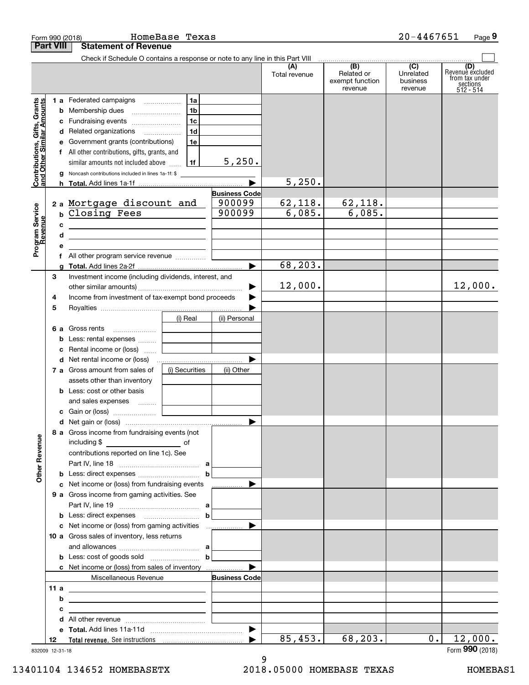|                                                           |        | Form 990 (2018)                                                                                                       | HomeBase Texas |                                |                      |                                                                                                                                         | 20-4467651                       | Page 9                                                             |
|-----------------------------------------------------------|--------|-----------------------------------------------------------------------------------------------------------------------|----------------|--------------------------------|----------------------|-----------------------------------------------------------------------------------------------------------------------------------------|----------------------------------|--------------------------------------------------------------------|
| <b>Part VIII</b>                                          |        | <b>Statement of Revenue</b>                                                                                           |                |                                |                      |                                                                                                                                         |                                  |                                                                    |
|                                                           |        | Check if Schedule O contains a response or note to any line in this Part VIII                                         |                |                                | (A)<br>Total revenue | $\begin{array}{ c c c c c c } \hline \quad & \text{(B)} & \text{(C)} \\ \hline \end{array}$<br>Related or<br>exempt function<br>revenue | Unrelated<br>business<br>revenue | (D)<br>Revenue excluded<br>from tax under<br>sections<br>512 - 514 |
|                                                           |        | 1 a Federated campaigns                                                                                               | 1a             |                                |                      |                                                                                                                                         |                                  |                                                                    |
| Contributions, Gifts, Grants<br>and Other Similar Amounts |        |                                                                                                                       | 1b             |                                |                      |                                                                                                                                         |                                  |                                                                    |
|                                                           |        | c Fundraising events                                                                                                  | 1c             |                                |                      |                                                                                                                                         |                                  |                                                                    |
|                                                           |        | d Related organizations                                                                                               | 1d             |                                |                      |                                                                                                                                         |                                  |                                                                    |
|                                                           |        | e Government grants (contributions)                                                                                   | 1e             |                                |                      |                                                                                                                                         |                                  |                                                                    |
|                                                           |        | f All other contributions, gifts, grants, and                                                                         |                |                                |                      |                                                                                                                                         |                                  |                                                                    |
|                                                           |        | similar amounts not included above                                                                                    | 1f             | 5,250.                         |                      |                                                                                                                                         |                                  |                                                                    |
|                                                           |        | g Noncash contributions included in lines 1a-1f: \$                                                                   |                |                                |                      |                                                                                                                                         |                                  |                                                                    |
|                                                           |        |                                                                                                                       |                |                                | 5,250.               |                                                                                                                                         |                                  |                                                                    |
|                                                           |        | 2 a Mortgage discount and                                                                                             |                | <b>Business Code</b><br>900099 | 62,118.              | 62,118.                                                                                                                                 |                                  |                                                                    |
|                                                           |        | b Closing Fees                                                                                                        |                | 900099                         | 6,085.               | 6,085.                                                                                                                                  |                                  |                                                                    |
|                                                           |        |                                                                                                                       |                |                                |                      |                                                                                                                                         |                                  |                                                                    |
|                                                           | с<br>d | <u> 1980 - Johann Barn, mars ann an t-Amhain Aonaich an t-Aonaich an t-Aonaich ann an t-Aonaich ann an t-Aonaich</u>  |                |                                |                      |                                                                                                                                         |                                  |                                                                    |
| Program Service<br>Revenue                                | е      | the contract of the contract of the contract of the contract of the contract of                                       |                |                                |                      |                                                                                                                                         |                                  |                                                                    |
|                                                           |        | f All other program service revenue                                                                                   |                |                                |                      |                                                                                                                                         |                                  |                                                                    |
|                                                           |        |                                                                                                                       |                | ▶                              | 68, 203.             |                                                                                                                                         |                                  |                                                                    |
| 3                                                         |        | Investment income (including dividends, interest, and                                                                 |                |                                |                      |                                                                                                                                         |                                  |                                                                    |
|                                                           |        |                                                                                                                       |                | ▶                              | 12,000.              |                                                                                                                                         |                                  | 12,000.                                                            |
| 4                                                         |        | Income from investment of tax-exempt bond proceeds                                                                    |                |                                |                      |                                                                                                                                         |                                  |                                                                    |
| 5                                                         |        |                                                                                                                       |                |                                |                      |                                                                                                                                         |                                  |                                                                    |
|                                                           |        |                                                                                                                       | (i) Real       | (ii) Personal                  |                      |                                                                                                                                         |                                  |                                                                    |
|                                                           |        | 6 a Gross rents                                                                                                       |                |                                |                      |                                                                                                                                         |                                  |                                                                    |
|                                                           |        | <b>b</b> Less: rental expenses                                                                                        |                |                                |                      |                                                                                                                                         |                                  |                                                                    |
|                                                           | c      | Rental income or (loss)                                                                                               |                |                                |                      |                                                                                                                                         |                                  |                                                                    |
|                                                           |        |                                                                                                                       |                | ▶                              |                      |                                                                                                                                         |                                  |                                                                    |
|                                                           |        | 7 a Gross amount from sales of                                                                                        | (i) Securities | (ii) Other                     |                      |                                                                                                                                         |                                  |                                                                    |
|                                                           |        | assets other than inventory                                                                                           |                |                                |                      |                                                                                                                                         |                                  |                                                                    |
|                                                           |        | <b>b</b> Less: cost or other basis                                                                                    |                |                                |                      |                                                                                                                                         |                                  |                                                                    |
|                                                           |        | and sales expenses                                                                                                    |                |                                |                      |                                                                                                                                         |                                  |                                                                    |
|                                                           |        |                                                                                                                       |                |                                |                      |                                                                                                                                         |                                  |                                                                    |
|                                                           |        | 8 a Gross income from fundraising events (not                                                                         |                |                                |                      |                                                                                                                                         |                                  |                                                                    |
|                                                           |        | including \$<br><u>of</u> of<br>contributions reported on line 1c). See                                               |                |                                |                      |                                                                                                                                         |                                  |                                                                    |
| <b>Other Revenue</b>                                      |        |                                                                                                                       |                |                                |                      |                                                                                                                                         |                                  |                                                                    |
|                                                           |        |                                                                                                                       |                |                                |                      |                                                                                                                                         |                                  |                                                                    |
|                                                           |        | c Net income or (loss) from fundraising events                                                                        |                | ▶<br>.                         |                      |                                                                                                                                         |                                  |                                                                    |
|                                                           |        | 9 a Gross income from gaming activities. See                                                                          |                |                                |                      |                                                                                                                                         |                                  |                                                                    |
|                                                           |        |                                                                                                                       |                |                                |                      |                                                                                                                                         |                                  |                                                                    |
|                                                           |        |                                                                                                                       |                | b                              |                      |                                                                                                                                         |                                  |                                                                    |
|                                                           |        | c Net income or (loss) from gaming activities                                                                         |                | ▶                              |                      |                                                                                                                                         |                                  |                                                                    |
|                                                           |        | 10 a Gross sales of inventory, less returns                                                                           |                |                                |                      |                                                                                                                                         |                                  |                                                                    |
|                                                           |        |                                                                                                                       |                |                                |                      |                                                                                                                                         |                                  |                                                                    |
|                                                           |        | <b>b</b> Less: cost of goods sold $\ldots$ $\ldots$ $\ldots$ $\ldots$ <b>b</b>                                        |                |                                |                      |                                                                                                                                         |                                  |                                                                    |
|                                                           |        |                                                                                                                       |                | ▶                              |                      |                                                                                                                                         |                                  |                                                                    |
|                                                           |        | Miscellaneous Revenue                                                                                                 |                | <b>Business Code</b>           |                      |                                                                                                                                         |                                  |                                                                    |
|                                                           | 11 a   | <u> 1989 - Johann Barn, mars ann an t-Amhair an t-Amhair an t-Amhair an t-Amhair an t-Amhair an t-Amhair an t-Amh</u> |                |                                |                      |                                                                                                                                         |                                  |                                                                    |
|                                                           | b      | the contract of the contract of the contract of the contract of the contract of                                       |                |                                |                      |                                                                                                                                         |                                  |                                                                    |
|                                                           | с      | <u> 1989 - Andrea Andrew Maria (b. 1989)</u>                                                                          |                |                                |                      |                                                                                                                                         |                                  |                                                                    |
|                                                           |        |                                                                                                                       |                |                                |                      |                                                                                                                                         |                                  |                                                                    |
|                                                           |        |                                                                                                                       |                |                                |                      |                                                                                                                                         |                                  |                                                                    |
| 12                                                        |        |                                                                                                                       |                | ▶                              | 85,453.              | 68,203.                                                                                                                                 | 0.1                              | 12,000.                                                            |

832009 12-31-18

13401104 134652 HOMEBASETX 2018.05000 HOMEBASE TEXAS HOMEBAS1

9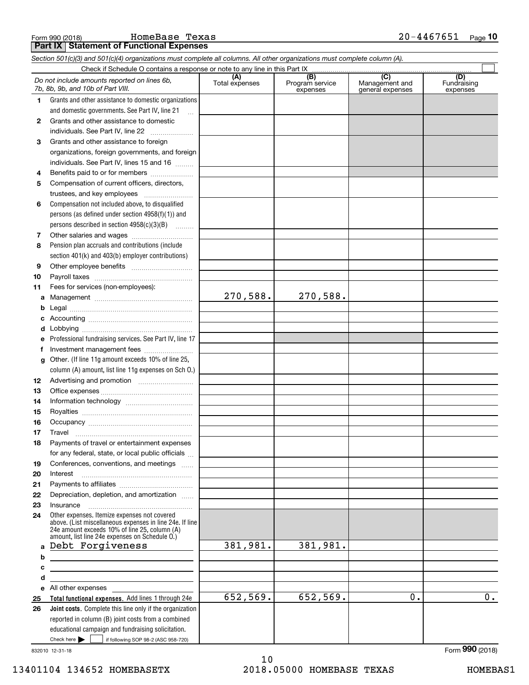Form 990 (2018) HOmeBase Texas 2 0-4467651 <sub>Page</sub> **Part IX Statement of Functional Expenses**

|              | Section 501(c)(3) and 501(c)(4) organizations must complete all columns. All other organizations must complete column (A).                                                                                  |                       |                                    |                                           |                                |
|--------------|-------------------------------------------------------------------------------------------------------------------------------------------------------------------------------------------------------------|-----------------------|------------------------------------|-------------------------------------------|--------------------------------|
|              | Check if Schedule O contains a response or note to any line in this Part IX                                                                                                                                 |                       |                                    |                                           |                                |
|              | Do not include amounts reported on lines 6b,<br>7b, 8b, 9b, and 10b of Part VIII.                                                                                                                           | (A)<br>Total expenses | (B)<br>Program service<br>expenses | (C)<br>Management and<br>general expenses | (D)<br>Fundraising<br>expenses |
| 1.           | Grants and other assistance to domestic organizations                                                                                                                                                       |                       |                                    |                                           |                                |
|              | and domestic governments. See Part IV, line 21                                                                                                                                                              |                       |                                    |                                           |                                |
| $\mathbf{2}$ | Grants and other assistance to domestic                                                                                                                                                                     |                       |                                    |                                           |                                |
|              | individuals. See Part IV, line 22<br>$\overline{\phantom{a}}$                                                                                                                                               |                       |                                    |                                           |                                |
| 3            | Grants and other assistance to foreign                                                                                                                                                                      |                       |                                    |                                           |                                |
|              | organizations, foreign governments, and foreign                                                                                                                                                             |                       |                                    |                                           |                                |
|              | individuals. See Part IV, lines 15 and 16                                                                                                                                                                   |                       |                                    |                                           |                                |
| 4            | Benefits paid to or for members                                                                                                                                                                             |                       |                                    |                                           |                                |
| 5            | Compensation of current officers, directors,                                                                                                                                                                |                       |                                    |                                           |                                |
|              | trustees, and key employees                                                                                                                                                                                 |                       |                                    |                                           |                                |
| 6            | Compensation not included above, to disqualified                                                                                                                                                            |                       |                                    |                                           |                                |
|              | persons (as defined under section $4958(f)(1)$ ) and                                                                                                                                                        |                       |                                    |                                           |                                |
|              | persons described in section 4958(c)(3)(B)                                                                                                                                                                  |                       |                                    |                                           |                                |
| 7            |                                                                                                                                                                                                             |                       |                                    |                                           |                                |
| 8            | Pension plan accruals and contributions (include                                                                                                                                                            |                       |                                    |                                           |                                |
|              | section 401(k) and 403(b) employer contributions)                                                                                                                                                           |                       |                                    |                                           |                                |
| 9            |                                                                                                                                                                                                             |                       |                                    |                                           |                                |
| 10           |                                                                                                                                                                                                             |                       |                                    |                                           |                                |
| 11           | Fees for services (non-employees):                                                                                                                                                                          |                       |                                    |                                           |                                |
| a            |                                                                                                                                                                                                             | 270,588.              | 270,588.                           |                                           |                                |
| b            |                                                                                                                                                                                                             |                       |                                    |                                           |                                |
| c            |                                                                                                                                                                                                             |                       |                                    |                                           |                                |
| d            |                                                                                                                                                                                                             |                       |                                    |                                           |                                |
| е            | Professional fundraising services. See Part IV, line 17                                                                                                                                                     |                       |                                    |                                           |                                |
| f            | Investment management fees                                                                                                                                                                                  |                       |                                    |                                           |                                |
| g            | Other. (If line 11g amount exceeds 10% of line 25,                                                                                                                                                          |                       |                                    |                                           |                                |
|              | column (A) amount, list line 11g expenses on Sch O.)                                                                                                                                                        |                       |                                    |                                           |                                |
| 12           |                                                                                                                                                                                                             |                       |                                    |                                           |                                |
| 13           |                                                                                                                                                                                                             |                       |                                    |                                           |                                |
| 14           |                                                                                                                                                                                                             |                       |                                    |                                           |                                |
| 15           |                                                                                                                                                                                                             |                       |                                    |                                           |                                |
| 16           |                                                                                                                                                                                                             |                       |                                    |                                           |                                |
| 17           |                                                                                                                                                                                                             |                       |                                    |                                           |                                |
| 18           | Payments of travel or entertainment expenses                                                                                                                                                                |                       |                                    |                                           |                                |
|              | for any federal, state, or local public officials                                                                                                                                                           |                       |                                    |                                           |                                |
| 19           | Conferences, conventions, and meetings                                                                                                                                                                      |                       |                                    |                                           |                                |
| 20           | Interest                                                                                                                                                                                                    |                       |                                    |                                           |                                |
| 21           |                                                                                                                                                                                                             |                       |                                    |                                           |                                |
| 22           | Depreciation, depletion, and amortization                                                                                                                                                                   |                       |                                    |                                           |                                |
| 23           | Insurance                                                                                                                                                                                                   |                       |                                    |                                           |                                |
| 24           | Other expenses. Itemize expenses not covered<br>above. (List miscellaneous expenses in line 24e. If line<br>24e amount exceeds 10% of line 25, column (A)<br>amount, list line 24e expenses on Schedule O.) |                       |                                    |                                           |                                |
| a            | Debt Forgiveness                                                                                                                                                                                            | 381,981.              | 381,981.                           |                                           |                                |
| b            |                                                                                                                                                                                                             |                       |                                    |                                           |                                |
| c            |                                                                                                                                                                                                             |                       |                                    |                                           |                                |
| d            | <u> 1989 - Johann Barn, fransk politik amerikansk politik (</u>                                                                                                                                             |                       |                                    |                                           |                                |
| е            | All other expenses and the state of the state of the state of the state of the state of the state of the state                                                                                              |                       |                                    |                                           |                                |
| 25           | Total functional expenses. Add lines 1 through 24e                                                                                                                                                          | 652,569.              | 652,569.                           | 0.                                        | 0.                             |
| 26           | Joint costs. Complete this line only if the organization                                                                                                                                                    |                       |                                    |                                           |                                |
|              | reported in column (B) joint costs from a combined                                                                                                                                                          |                       |                                    |                                           |                                |
|              | educational campaign and fundraising solicitation.<br>Check here $\blacktriangleright$<br>if following SOP 98-2 (ASC 958-720)                                                                               |                       |                                    |                                           |                                |
|              |                                                                                                                                                                                                             |                       |                                    |                                           |                                |

832010 12-31-18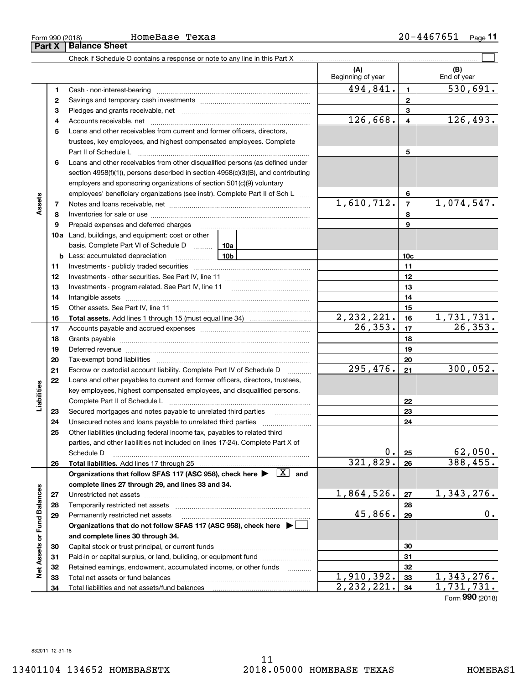## Form 990 (2018) HOmeBase Texas 2 0-4467651 <sub>Page</sub> **Part X Balance Sheet**

Check if Schedule O contains a response or note to any line in this Part X

|                             |    |                                                                                                                                                                    |                 | (A)<br>Beginning of year   |                         | (B)<br>End of year         |
|-----------------------------|----|--------------------------------------------------------------------------------------------------------------------------------------------------------------------|-----------------|----------------------------|-------------------------|----------------------------|
|                             | 1  |                                                                                                                                                                    |                 | 494,841.                   | $\mathbf{1}$            | $\overline{530,691}$ .     |
|                             | 2  |                                                                                                                                                                    |                 |                            | $\mathbf{2}$            |                            |
|                             | з  |                                                                                                                                                                    |                 | 3                          |                         |                            |
|                             | 4  |                                                                                                                                                                    |                 | 126,668.                   | $\overline{\mathbf{4}}$ | 126,493.                   |
|                             | 5  | Loans and other receivables from current and former officers, directors,                                                                                           |                 |                            |                         |                            |
|                             |    | trustees, key employees, and highest compensated employees. Complete                                                                                               |                 |                            |                         |                            |
|                             |    | Part II of Schedule L                                                                                                                                              |                 |                            | 5                       |                            |
|                             | 6  | Loans and other receivables from other disqualified persons (as defined under<br>section 4958(f)(1)), persons described in section 4958(c)(3)(B), and contributing |                 |                            |                         |                            |
|                             |    | employers and sponsoring organizations of section 501(c)(9) voluntary                                                                                              |                 |                            |                         |                            |
|                             |    | employees' beneficiary organizations (see instr). Complete Part II of Sch L                                                                                        |                 |                            | 6                       |                            |
| Assets                      | 7  |                                                                                                                                                                    |                 | 1,610,712.                 | $\overline{7}$          | 1,074,547.                 |
|                             | 8  |                                                                                                                                                                    |                 |                            | 8                       |                            |
|                             | 9  | Prepaid expenses and deferred charges                                                                                                                              |                 |                            | 9                       |                            |
|                             |    | <b>10a</b> Land, buildings, and equipment: cost or other                                                                                                           |                 |                            |                         |                            |
|                             |    | basis. Complete Part VI of Schedule D  10a                                                                                                                         |                 |                            |                         |                            |
|                             |    | <b>b</b> Less: accumulated depreciation                                                                                                                            | 10 <sub>b</sub> |                            | 10c                     |                            |
|                             | 11 |                                                                                                                                                                    |                 |                            | 11                      |                            |
|                             | 12 |                                                                                                                                                                    |                 |                            | 12                      |                            |
|                             | 13 |                                                                                                                                                                    |                 | 13                         |                         |                            |
|                             | 14 |                                                                                                                                                                    |                 |                            | 14                      |                            |
|                             | 15 |                                                                                                                                                                    |                 |                            | 15                      |                            |
|                             | 16 |                                                                                                                                                                    |                 | $\frac{2,232,221}{26,353}$ | 16                      | $\frac{1,731,731}{26,353}$ |
|                             | 17 |                                                                                                                                                                    |                 | 17                         |                         |                            |
|                             | 18 |                                                                                                                                                                    |                 | 18                         |                         |                            |
|                             | 19 | Deferred revenue manual contracts and contracts are all the manual contracts and contracts are contracted and c                                                    |                 | 19                         |                         |                            |
|                             | 20 |                                                                                                                                                                    |                 |                            | 20                      |                            |
|                             | 21 | Escrow or custodial account liability. Complete Part IV of Schedule D                                                                                              | .               | 295,476.                   | 21                      | 300,052.                   |
|                             | 22 | Loans and other payables to current and former officers, directors, trustees,                                                                                      |                 |                            |                         |                            |
| Liabilities                 |    | key employees, highest compensated employees, and disqualified persons.                                                                                            |                 |                            |                         |                            |
|                             |    | Complete Part II of Schedule L                                                                                                                                     |                 |                            | 22                      |                            |
|                             | 23 | Secured mortgages and notes payable to unrelated third parties                                                                                                     |                 |                            | 23                      |                            |
|                             | 24 | Unsecured notes and loans payable to unrelated third parties                                                                                                       |                 |                            | 24                      |                            |
|                             | 25 | Other liabilities (including federal income tax, payables to related third                                                                                         |                 |                            |                         |                            |
|                             |    | parties, and other liabilities not included on lines 17-24). Complete Part X of                                                                                    |                 |                            |                         |                            |
|                             |    | Schedule D                                                                                                                                                         |                 | 0.1                        | 25                      | 62,050.                    |
|                             | 26 |                                                                                                                                                                    |                 | 321,829.                   | 26                      | 388,455.                   |
|                             |    | Organizations that follow SFAS 117 (ASC 958), check here $\blacktriangleright \begin{array}{ c } \hline X & \text{and} \end{array}$                                |                 |                            |                         |                            |
|                             |    | complete lines 27 through 29, and lines 33 and 34.                                                                                                                 |                 |                            |                         |                            |
|                             | 27 |                                                                                                                                                                    |                 | 1,864,526.                 | 27                      | 1,343,276.                 |
|                             | 28 | Temporarily restricted net assets                                                                                                                                  |                 |                            | 28                      |                            |
| Net Assets or Fund Balances | 29 | Permanently restricted net assets                                                                                                                                  |                 | 45,866.                    | 29                      | 0.                         |
|                             |    | Organizations that do not follow SFAS 117 (ASC 958), check here ▶ □                                                                                                |                 |                            |                         |                            |
|                             |    | and complete lines 30 through 34.                                                                                                                                  |                 |                            |                         |                            |
|                             | 30 |                                                                                                                                                                    |                 |                            | 30                      |                            |
|                             | 31 | Paid-in or capital surplus, or land, building, or equipment fund                                                                                                   |                 |                            | 31                      |                            |
|                             | 32 | Retained earnings, endowment, accumulated income, or other funds                                                                                                   | $\cdots$        |                            | 32                      |                            |
|                             | 33 | Total net assets or fund balances                                                                                                                                  |                 | 1,910,392.                 | 33                      | 1,343,276.                 |
|                             | 34 |                                                                                                                                                                    | 2, 232, 221.    | 34                         | 1,731,731.              |                            |

 $\mathcal{L}^{\text{max}}$ 

Form (2018) **990**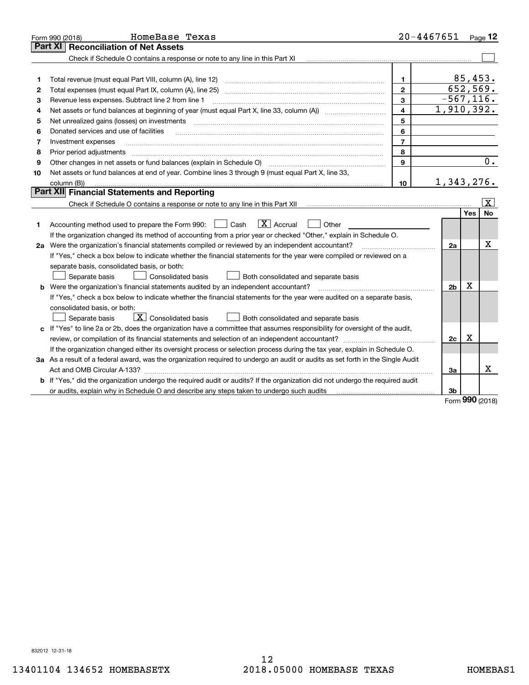|    | HomeBase Texas<br>Form 990 (2018)                                                                                                                                       | $20 - 4467651$          |                |               | Page 12                |
|----|-------------------------------------------------------------------------------------------------------------------------------------------------------------------------|-------------------------|----------------|---------------|------------------------|
|    | Part XI<br><b>Reconciliation of Net Assets</b>                                                                                                                          |                         |                |               |                        |
|    |                                                                                                                                                                         |                         |                |               |                        |
|    |                                                                                                                                                                         |                         |                |               |                        |
| 1  |                                                                                                                                                                         | 1.                      |                | 85,453.       |                        |
| 2  |                                                                                                                                                                         | $\overline{2}$          | 652,569.       |               |                        |
| З  | Revenue less expenses. Subtract line 2 from line 1                                                                                                                      | 3                       | $-567, 116.$   |               |                        |
| 4  |                                                                                                                                                                         | $\overline{\mathbf{4}}$ | 1,910,392.     |               |                        |
| 5  | Net unrealized gains (losses) on investments                                                                                                                            | 5                       |                |               |                        |
| 6  | Donated services and use of facilities                                                                                                                                  | 6                       |                |               |                        |
| 7  | Investment expenses                                                                                                                                                     | $\overline{7}$          |                |               |                        |
| 8  | Prior period adjustments                                                                                                                                                | 8                       |                |               |                        |
| 9  | Other changes in net assets or fund balances (explain in Schedule O) [11] [12] [13] [13] [13] [13] Other changes in net assets or fund balances (explain in Schedule O) | 9                       |                |               | 0.                     |
| 10 | Net assets or fund balances at end of year. Combine lines 3 through 9 (must equal Part X, line 33,                                                                      |                         |                |               |                        |
|    | column (B))                                                                                                                                                             | 10                      | 1,343,276.     |               |                        |
|    | Part XII Financial Statements and Reporting                                                                                                                             |                         |                |               |                        |
|    |                                                                                                                                                                         |                         |                |               | $\vert \text{X} \vert$ |
|    |                                                                                                                                                                         |                         |                | Yes           | No                     |
| 1  | $\boxed{\mathbf{X}}$ Accrual<br>Accounting method used to prepare the Form 990: <u>[</u> Cash<br>Other                                                                  |                         |                |               |                        |
|    | If the organization changed its method of accounting from a prior year or checked "Other," explain in Schedule O.                                                       |                         |                |               |                        |
|    | 2a Were the organization's financial statements compiled or reviewed by an independent accountant?                                                                      |                         | 2a             |               | X                      |
|    | If "Yes," check a box below to indicate whether the financial statements for the year were compiled or reviewed on a                                                    |                         |                |               |                        |
|    | separate basis, consolidated basis, or both:                                                                                                                            |                         |                |               |                        |
|    | Separate basis<br>Consolidated basis<br>Both consolidated and separate basis                                                                                            |                         |                |               |                        |
|    | <b>b</b> Were the organization's financial statements audited by an independent accountant?                                                                             |                         | 2 <sub>b</sub> | x             |                        |
|    | If "Yes," check a box below to indicate whether the financial statements for the year were audited on a separate basis,                                                 |                         |                |               |                        |
|    | consolidated basis, or both:                                                                                                                                            |                         |                |               |                        |
|    | $\boxed{\textbf{X}}$ Consolidated basis<br>Separate basis<br>Both consolidated and separate basis                                                                       |                         |                |               |                        |
|    | c If "Yes" to line 2a or 2b, does the organization have a committee that assumes responsibility for oversight of the audit,                                             |                         |                |               |                        |
|    |                                                                                                                                                                         |                         | 2c             | X             |                        |
|    | If the organization changed either its oversight process or selection process during the tax year, explain in Schedule O.                                               |                         |                |               |                        |
|    | 3a As a result of a federal award, was the organization required to undergo an audit or audits as set forth in the Single Audit                                         |                         |                |               |                        |
|    |                                                                                                                                                                         |                         | За             |               | x                      |
|    | b If "Yes," did the organization undergo the required audit or audits? If the organization did not undergo the required audit                                           |                         |                |               |                        |
|    | or audits, explain why in Schedule O and describe any steps taken to undergo such audits contains and the second                                                        |                         | 3b             | $000 \approx$ |                        |

Form (2018) **990**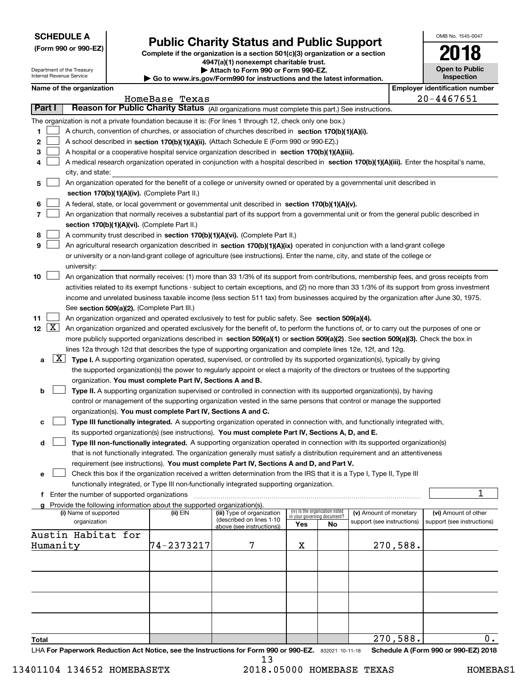| <b>SCHEDULE A</b> |
|-------------------|
|-------------------|

Department of the Treasury

**(Form 990 or 990-EZ)**

# **Public Charity Status and Public Support**

**Complete if the organization is a section 501(c)(3) organization or a section 4947(a)(1) nonexempt charitable trust. | Attach to Form 990 or Form 990-EZ.** 

|  | ⋅ Go to www.irs.gov/Form990 for instructions and the latest information. |  |  |  |  |
|--|--------------------------------------------------------------------------|--|--|--|--|
|--|--------------------------------------------------------------------------|--|--|--|--|

| OMB No. 1545-0047                        |
|------------------------------------------|
| 2018                                     |
| <b>Open to Public</b><br>$- - - + - - -$ |

|       |        | Internal Revenue Service                      |                                                                        | $\blacktriangleright$ Go to www.irs.gov/Form990 for instructions and the latest information.                                                                                                                                                                      |     |                                 |                                                      |          |                | <b>Inspection</b>                                  |
|-------|--------|-----------------------------------------------|------------------------------------------------------------------------|-------------------------------------------------------------------------------------------------------------------------------------------------------------------------------------------------------------------------------------------------------------------|-----|---------------------------------|------------------------------------------------------|----------|----------------|----------------------------------------------------|
|       |        | Name of the organization                      |                                                                        |                                                                                                                                                                                                                                                                   |     |                                 |                                                      |          |                | <b>Employer identification number</b>              |
|       |        |                                               | HomeBase Texas                                                         |                                                                                                                                                                                                                                                                   |     |                                 |                                                      |          | $20 - 4467651$ |                                                    |
|       | Part I |                                               |                                                                        | Reason for Public Charity Status (All organizations must complete this part.) See instructions.                                                                                                                                                                   |     |                                 |                                                      |          |                |                                                    |
|       |        |                                               |                                                                        | The organization is not a private foundation because it is: (For lines 1 through 12, check only one box.)                                                                                                                                                         |     |                                 |                                                      |          |                |                                                    |
| 1.    |        |                                               |                                                                        | A church, convention of churches, or association of churches described in section 170(b)(1)(A)(i).                                                                                                                                                                |     |                                 |                                                      |          |                |                                                    |
| 2     |        |                                               |                                                                        | A school described in section 170(b)(1)(A)(ii). (Attach Schedule E (Form 990 or 990-EZ).)                                                                                                                                                                         |     |                                 |                                                      |          |                |                                                    |
| 3     |        |                                               |                                                                        | A hospital or a cooperative hospital service organization described in section 170(b)(1)(A)(iii).                                                                                                                                                                 |     |                                 |                                                      |          |                |                                                    |
| 4     |        |                                               |                                                                        | A medical research organization operated in conjunction with a hospital described in section 170(b)(1)(A)(iii). Enter the hospital's name,                                                                                                                        |     |                                 |                                                      |          |                |                                                    |
|       |        | city, and state:                              |                                                                        |                                                                                                                                                                                                                                                                   |     |                                 |                                                      |          |                |                                                    |
| 5     |        |                                               |                                                                        | An organization operated for the benefit of a college or university owned or operated by a governmental unit described in                                                                                                                                         |     |                                 |                                                      |          |                |                                                    |
|       |        |                                               | section 170(b)(1)(A)(iv). (Complete Part II.)                          |                                                                                                                                                                                                                                                                   |     |                                 |                                                      |          |                |                                                    |
| 6     |        |                                               |                                                                        | A federal, state, or local government or governmental unit described in section 170(b)(1)(A)(v).                                                                                                                                                                  |     |                                 |                                                      |          |                |                                                    |
| 7     |        |                                               |                                                                        | An organization that normally receives a substantial part of its support from a governmental unit or from the general public described in                                                                                                                         |     |                                 |                                                      |          |                |                                                    |
|       |        |                                               | section 170(b)(1)(A)(vi). (Complete Part II.)                          |                                                                                                                                                                                                                                                                   |     |                                 |                                                      |          |                |                                                    |
| 8     |        |                                               |                                                                        | A community trust described in section 170(b)(1)(A)(vi). (Complete Part II.)                                                                                                                                                                                      |     |                                 |                                                      |          |                |                                                    |
| 9     |        |                                               |                                                                        | An agricultural research organization described in section 170(b)(1)(A)(ix) operated in conjunction with a land-grant college                                                                                                                                     |     |                                 |                                                      |          |                |                                                    |
|       |        |                                               |                                                                        | or university or a non-land-grant college of agriculture (see instructions). Enter the name, city, and state of the college or                                                                                                                                    |     |                                 |                                                      |          |                |                                                    |
|       |        | university:                                   |                                                                        |                                                                                                                                                                                                                                                                   |     |                                 |                                                      |          |                |                                                    |
| 10    |        |                                               |                                                                        | An organization that normally receives: (1) more than 33 1/3% of its support from contributions, membership fees, and gross receipts from                                                                                                                         |     |                                 |                                                      |          |                |                                                    |
|       |        |                                               |                                                                        | activities related to its exempt functions - subject to certain exceptions, and (2) no more than 33 1/3% of its support from gross investment                                                                                                                     |     |                                 |                                                      |          |                |                                                    |
|       |        |                                               |                                                                        | income and unrelated business taxable income (less section 511 tax) from businesses acquired by the organization after June 30, 1975.                                                                                                                             |     |                                 |                                                      |          |                |                                                    |
|       |        |                                               |                                                                        |                                                                                                                                                                                                                                                                   |     |                                 |                                                      |          |                |                                                    |
| 11    |        |                                               | See section 509(a)(2). (Complete Part III.)                            |                                                                                                                                                                                                                                                                   |     |                                 |                                                      |          |                |                                                    |
|       |        |                                               |                                                                        | An organization organized and operated exclusively to test for public safety. See section 509(a)(4).<br>12 $\boxed{X}$ An organization organized and operated exclusively for the benefit of, to perform the functions of, or to carry out the purposes of one or |     |                                 |                                                      |          |                |                                                    |
|       |        |                                               |                                                                        |                                                                                                                                                                                                                                                                   |     |                                 |                                                      |          |                |                                                    |
|       |        |                                               |                                                                        | more publicly supported organizations described in section 509(a)(1) or section 509(a)(2). See section 509(a)(3). Check the box in                                                                                                                                |     |                                 |                                                      |          |                |                                                    |
|       |        |                                               |                                                                        | lines 12a through 12d that describes the type of supporting organization and complete lines 12e, 12f, and 12g.                                                                                                                                                    |     |                                 |                                                      |          |                |                                                    |
| а     |        |                                               |                                                                        | $X$ Type I. A supporting organization operated, supervised, or controlled by its supported organization(s), typically by giving                                                                                                                                   |     |                                 |                                                      |          |                |                                                    |
|       |        |                                               |                                                                        | the supported organization(s) the power to regularly appoint or elect a majority of the directors or trustees of the supporting                                                                                                                                   |     |                                 |                                                      |          |                |                                                    |
|       |        |                                               | organization. You must complete Part IV, Sections A and B.             |                                                                                                                                                                                                                                                                   |     |                                 |                                                      |          |                |                                                    |
| b     |        |                                               |                                                                        | Type II. A supporting organization supervised or controlled in connection with its supported organization(s), by having                                                                                                                                           |     |                                 |                                                      |          |                |                                                    |
|       |        |                                               |                                                                        | control or management of the supporting organization vested in the same persons that control or manage the supported                                                                                                                                              |     |                                 |                                                      |          |                |                                                    |
|       |        |                                               | organization(s). You must complete Part IV, Sections A and C.          |                                                                                                                                                                                                                                                                   |     |                                 |                                                      |          |                |                                                    |
| с     |        |                                               |                                                                        | Type III functionally integrated. A supporting organization operated in connection with, and functionally integrated with,                                                                                                                                        |     |                                 |                                                      |          |                |                                                    |
|       |        |                                               |                                                                        | its supported organization(s) (see instructions). You must complete Part IV, Sections A, D, and E.                                                                                                                                                                |     |                                 |                                                      |          |                |                                                    |
| d     |        |                                               |                                                                        | Type III non-functionally integrated. A supporting organization operated in connection with its supported organization(s)                                                                                                                                         |     |                                 |                                                      |          |                |                                                    |
|       |        |                                               |                                                                        | that is not functionally integrated. The organization generally must satisfy a distribution requirement and an attentiveness                                                                                                                                      |     |                                 |                                                      |          |                |                                                    |
|       |        |                                               |                                                                        | requirement (see instructions). You must complete Part IV, Sections A and D, and Part V.                                                                                                                                                                          |     |                                 |                                                      |          |                |                                                    |
| е     |        |                                               |                                                                        | Check this box if the organization received a written determination from the IRS that it is a Type I, Type II, Type III                                                                                                                                           |     |                                 |                                                      |          |                |                                                    |
|       |        |                                               |                                                                        | functionally integrated, or Type III non-functionally integrated supporting organization.                                                                                                                                                                         |     |                                 |                                                      |          |                |                                                    |
|       |        | f Enter the number of supported organizations |                                                                        |                                                                                                                                                                                                                                                                   |     |                                 |                                                      |          |                | 1                                                  |
|       |        |                                               | Provide the following information about the supported organization(s). |                                                                                                                                                                                                                                                                   |     | (iv) Is the organization listed |                                                      |          |                |                                                    |
|       |        | (i) Name of supported<br>organization         | (ii) EIN                                                               | (iii) Type of organization<br>(described on lines 1-10                                                                                                                                                                                                            |     | in your governing document?     | (v) Amount of monetary<br>support (see instructions) |          |                | (vi) Amount of other<br>support (see instructions) |
|       |        |                                               |                                                                        | above (see instructions))                                                                                                                                                                                                                                         | Yes | No                              |                                                      |          |                |                                                    |
|       |        | Austin Habitat for                            |                                                                        |                                                                                                                                                                                                                                                                   |     |                                 |                                                      |          |                |                                                    |
|       |        | Humanity                                      | 74-2373217                                                             | 7                                                                                                                                                                                                                                                                 | х   |                                 |                                                      | 270,588. |                |                                                    |
|       |        |                                               |                                                                        |                                                                                                                                                                                                                                                                   |     |                                 |                                                      |          |                |                                                    |
|       |        |                                               |                                                                        |                                                                                                                                                                                                                                                                   |     |                                 |                                                      |          |                |                                                    |
|       |        |                                               |                                                                        |                                                                                                                                                                                                                                                                   |     |                                 |                                                      |          |                |                                                    |
|       |        |                                               |                                                                        |                                                                                                                                                                                                                                                                   |     |                                 |                                                      |          |                |                                                    |
|       |        |                                               |                                                                        |                                                                                                                                                                                                                                                                   |     |                                 |                                                      |          |                |                                                    |
|       |        |                                               |                                                                        |                                                                                                                                                                                                                                                                   |     |                                 |                                                      |          |                |                                                    |
|       |        |                                               |                                                                        |                                                                                                                                                                                                                                                                   |     |                                 |                                                      |          |                |                                                    |
|       |        |                                               |                                                                        |                                                                                                                                                                                                                                                                   |     |                                 |                                                      |          |                |                                                    |
| Total |        |                                               |                                                                        |                                                                                                                                                                                                                                                                   |     |                                 |                                                      | 270,588. |                | $\mathbf 0$ .                                      |

LHA For Paperwork Reduction Act Notice, see the Instructions for Form 990 or 990-EZ. 832021 10-11-18 Schedule A (Form 990 or 990-EZ) 2018

 $\bullet$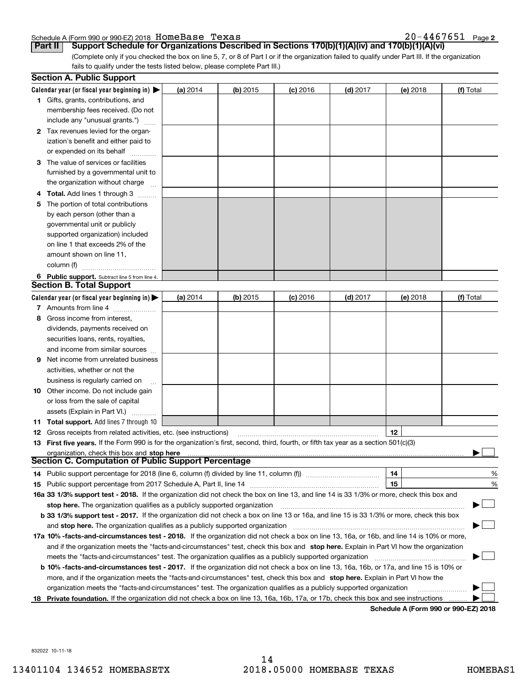#### Schedule A (Form 990 or 990-EZ) 2018 Page HomeBase Texas 20-4467651

20-4467651 Page 2

(Complete only if you checked the box on line 5, 7, or 8 of Part I or if the organization failed to qualify under Part III. If the organization fails to qualify under the tests listed below, please complete Part III.) **Part II Support Schedule for Organizations Described in Sections 170(b)(1)(A)(iv) and 170(b)(1)(A)(vi)**

|    | <b>Section A. Public Support</b>                                                                                                               |          |            |                 |            |          |           |
|----|------------------------------------------------------------------------------------------------------------------------------------------------|----------|------------|-----------------|------------|----------|-----------|
|    | Calendar year (or fiscal year beginning in) $\blacktriangleright$                                                                              | (a) 2014 | (b) 2015   | <b>(c)</b> 2016 | $(d)$ 2017 | (e) 2018 | (f) Total |
|    | 1 Gifts, grants, contributions, and                                                                                                            |          |            |                 |            |          |           |
|    | membership fees received. (Do not                                                                                                              |          |            |                 |            |          |           |
|    | include any "unusual grants.")                                                                                                                 |          |            |                 |            |          |           |
|    | 2 Tax revenues levied for the organ-                                                                                                           |          |            |                 |            |          |           |
|    | ization's benefit and either paid to                                                                                                           |          |            |                 |            |          |           |
|    | or expended on its behalf                                                                                                                      |          |            |                 |            |          |           |
|    | 3 The value of services or facilities                                                                                                          |          |            |                 |            |          |           |
|    | furnished by a governmental unit to                                                                                                            |          |            |                 |            |          |           |
|    | the organization without charge                                                                                                                |          |            |                 |            |          |           |
|    | 4 Total. Add lines 1 through 3                                                                                                                 |          |            |                 |            |          |           |
| 5. | The portion of total contributions                                                                                                             |          |            |                 |            |          |           |
|    | by each person (other than a                                                                                                                   |          |            |                 |            |          |           |
|    | governmental unit or publicly                                                                                                                  |          |            |                 |            |          |           |
|    | supported organization) included                                                                                                               |          |            |                 |            |          |           |
|    | on line 1 that exceeds 2% of the                                                                                                               |          |            |                 |            |          |           |
|    | amount shown on line 11,                                                                                                                       |          |            |                 |            |          |           |
|    | column (f)                                                                                                                                     |          |            |                 |            |          |           |
|    | 6 Public support. Subtract line 5 from line 4.                                                                                                 |          |            |                 |            |          |           |
|    | <b>Section B. Total Support</b>                                                                                                                |          |            |                 |            |          |           |
|    | Calendar year (or fiscal year beginning in) $\blacktriangleright$                                                                              | (a) 2014 | (b) $2015$ | <b>(c)</b> 2016 | $(d)$ 2017 | (e) 2018 | (f) Total |
|    | 7 Amounts from line 4                                                                                                                          |          |            |                 |            |          |           |
| 8  | Gross income from interest,                                                                                                                    |          |            |                 |            |          |           |
|    | dividends, payments received on                                                                                                                |          |            |                 |            |          |           |
|    | securities loans, rents, royalties,                                                                                                            |          |            |                 |            |          |           |
|    | and income from similar sources                                                                                                                |          |            |                 |            |          |           |
| 9. | Net income from unrelated business                                                                                                             |          |            |                 |            |          |           |
|    | activities, whether or not the                                                                                                                 |          |            |                 |            |          |           |
|    | business is regularly carried on                                                                                                               |          |            |                 |            |          |           |
|    | <b>10</b> Other income. Do not include gain                                                                                                    |          |            |                 |            |          |           |
|    | or loss from the sale of capital                                                                                                               |          |            |                 |            |          |           |
|    | assets (Explain in Part VI.)                                                                                                                   |          |            |                 |            |          |           |
|    | 11 Total support. Add lines 7 through 10                                                                                                       |          |            |                 |            |          |           |
|    | <b>12</b> Gross receipts from related activities, etc. (see instructions)                                                                      |          |            |                 |            | 12       |           |
|    | 13 First five years. If the Form 990 is for the organization's first, second, third, fourth, or fifth tax year as a section 501(c)(3)          |          |            |                 |            |          |           |
|    | organization, check this box and stop here                                                                                                     |          |            |                 |            |          |           |
|    | <b>Section C. Computation of Public Support Percentage</b>                                                                                     |          |            |                 |            |          |           |
|    | 14 Public support percentage for 2018 (line 6, column (f) divided by line 11, column (f) <i>mummeronom</i>                                     |          |            |                 |            | 14       | %         |
|    |                                                                                                                                                |          |            |                 |            | 15       | %         |
|    | 16a 33 1/3% support test - 2018. If the organization did not check the box on line 13, and line 14 is 33 1/3% or more, check this box and      |          |            |                 |            |          |           |
|    | stop here. The organization qualifies as a publicly supported organization                                                                     |          |            |                 |            |          |           |
|    | b 33 1/3% support test - 2017. If the organization did not check a box on line 13 or 16a, and line 15 is 33 1/3% or more, check this box       |          |            |                 |            |          |           |
|    | and stop here. The organization qualifies as a publicly supported organization                                                                 |          |            |                 |            |          |           |
|    | 17a 10% -facts-and-circumstances test - 2018. If the organization did not check a box on line 13, 16a, or 16b, and line 14 is 10% or more,     |          |            |                 |            |          |           |
|    | and if the organization meets the "facts-and-circumstances" test, check this box and stop here. Explain in Part VI how the organization        |          |            |                 |            |          |           |
|    | meets the "facts-and-circumstances" test. The organization qualifies as a publicly supported organization                                      |          |            |                 |            |          |           |
|    | <b>b 10% -facts-and-circumstances test - 2017.</b> If the organization did not check a box on line 13, 16a, 16b, or 17a, and line 15 is 10% or |          |            |                 |            |          |           |
|    | more, and if the organization meets the "facts-and-circumstances" test, check this box and stop here. Explain in Part VI how the               |          |            |                 |            |          |           |
|    | organization meets the "facts-and-circumstances" test. The organization qualifies as a publicly supported organization                         |          |            |                 |            |          |           |
|    | 18 Private foundation. If the organization did not check a box on line 13, 16a, 16b, 17a, or 17b, check this box and see instructions          |          |            |                 |            |          |           |
|    |                                                                                                                                                |          |            |                 |            |          |           |

**Schedule A (Form 990 or 990-EZ) 2018**

832022 10-11-18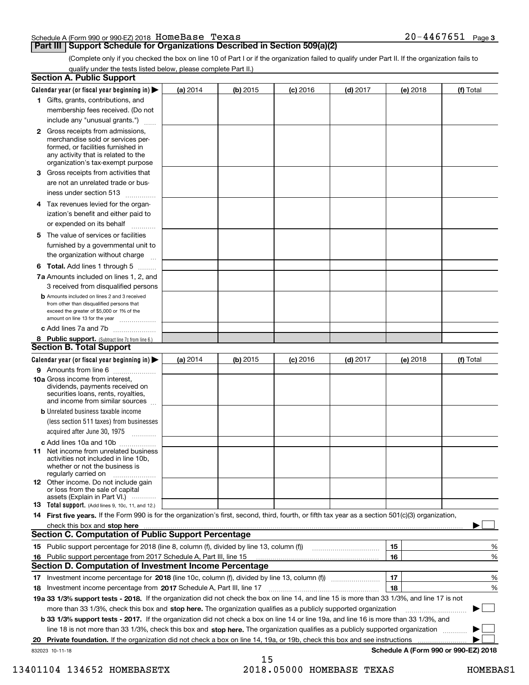| Schedule A (Form 990 or 990-EZ) 2018 HOMeBase Texas |  |  | 20-4467651 | Page 3 |
|-----------------------------------------------------|--|--|------------|--------|
|                                                     |  |  |            |        |

## **Part III Support Schedule for Organizations Described in Section 509(a)(2)**

(Complete only if you checked the box on line 10 of Part I or if the organization failed to qualify under Part II. If the organization fails to qualify under the tests listed below, please complete Part II.)

| <b>Section A. Public Support</b>                                                                                                                                                         |            |          |            |            |          |                                      |
|------------------------------------------------------------------------------------------------------------------------------------------------------------------------------------------|------------|----------|------------|------------|----------|--------------------------------------|
| Calendar year (or fiscal year beginning in) $\blacktriangleright$                                                                                                                        | (a) 2014   | (b) 2015 | $(c)$ 2016 | $(d)$ 2017 | (e) 2018 | (f) Total                            |
| 1 Gifts, grants, contributions, and                                                                                                                                                      |            |          |            |            |          |                                      |
| membership fees received. (Do not                                                                                                                                                        |            |          |            |            |          |                                      |
| include any "unusual grants.")                                                                                                                                                           |            |          |            |            |          |                                      |
| 2 Gross receipts from admissions,<br>merchandise sold or services per-<br>formed, or facilities furnished in<br>any activity that is related to the<br>organization's tax-exempt purpose |            |          |            |            |          |                                      |
| 3 Gross receipts from activities that<br>are not an unrelated trade or bus-                                                                                                              |            |          |            |            |          |                                      |
| iness under section 513                                                                                                                                                                  |            |          |            |            |          |                                      |
| 4 Tax revenues levied for the organ-<br>ization's benefit and either paid to<br>or expended on its behalf<br>.                                                                           |            |          |            |            |          |                                      |
| 5 The value of services or facilities<br>furnished by a governmental unit to<br>the organization without charge                                                                          |            |          |            |            |          |                                      |
| <b>6 Total.</b> Add lines 1 through 5                                                                                                                                                    |            |          |            |            |          |                                      |
| 7a Amounts included on lines 1, 2, and<br>3 received from disqualified persons                                                                                                           |            |          |            |            |          |                                      |
| <b>b</b> Amounts included on lines 2 and 3 received<br>from other than disqualified persons that<br>exceed the greater of \$5,000 or 1% of the<br>amount on line 13 for the year         |            |          |            |            |          |                                      |
| c Add lines 7a and 7b                                                                                                                                                                    |            |          |            |            |          |                                      |
| 8 Public support. (Subtract line 7c from line 6.)<br><b>Section B. Total Support</b>                                                                                                     |            |          |            |            |          |                                      |
| Calendar year (or fiscal year beginning in) $\blacktriangleright$                                                                                                                        | (a) $2014$ | (b) 2015 | $(c)$ 2016 | $(d)$ 2017 | (e) 2018 | (f) Total                            |
| 9 Amounts from line 6                                                                                                                                                                    |            |          |            |            |          |                                      |
| 10a Gross income from interest,<br>dividends, payments received on<br>securities loans, rents, royalties,<br>and income from similar sources                                             |            |          |            |            |          |                                      |
| <b>b</b> Unrelated business taxable income<br>(less section 511 taxes) from businesses<br>acquired after June 30, 1975<br>1.1.1.1.1.1.1.1.1.1                                            |            |          |            |            |          |                                      |
| c Add lines 10a and 10b                                                                                                                                                                  |            |          |            |            |          |                                      |
| <b>11</b> Net income from unrelated business<br>activities not included in line 10b,<br>whether or not the business is<br>regularly carried on                                           |            |          |            |            |          |                                      |
| <b>12</b> Other income. Do not include gain<br>or loss from the sale of capital<br>assets (Explain in Part VI.)                                                                          |            |          |            |            |          |                                      |
| <b>13</b> Total support. (Add lines 9, 10c, 11, and 12.)                                                                                                                                 |            |          |            |            |          |                                      |
| 14 First five years. If the Form 990 is for the organization's first, second, third, fourth, or fifth tax year as a section 501(c)(3) organization,                                      |            |          |            |            |          |                                      |
| check this box and stop here <b>contractly contractly and structure and stop here</b> check this box and stop here <b>contractly and stop here contractly</b>                            |            |          |            |            |          |                                      |
| <b>Section C. Computation of Public Support Percentage</b>                                                                                                                               |            |          |            |            |          |                                      |
|                                                                                                                                                                                          |            |          |            |            | 15       | %                                    |
| 16 Public support percentage from 2017 Schedule A, Part III, line 15                                                                                                                     |            |          |            |            | 16       | %                                    |
| <b>Section D. Computation of Investment Income Percentage</b>                                                                                                                            |            |          |            |            |          |                                      |
| 17 Investment income percentage for 2018 (line 10c, column (f), divided by line 13, column (f))                                                                                          |            |          |            |            | 17       | %                                    |
| 18 Investment income percentage from 2017 Schedule A, Part III, line 17                                                                                                                  |            |          |            |            | 18       | %                                    |
| 19a 33 1/3% support tests - 2018. If the organization did not check the box on line 14, and line 15 is more than 33 1/3%, and line 17 is not                                             |            |          |            |            |          |                                      |
| more than 33 1/3%, check this box and stop here. The organization qualifies as a publicly supported organization                                                                         |            |          |            |            |          |                                      |
| b 33 1/3% support tests - 2017. If the organization did not check a box on line 14 or line 19a, and line 16 is more than 33 1/3%, and                                                    |            |          |            |            |          |                                      |
| line 18 is not more than 33 1/3%, check this box and stop here. The organization qualifies as a publicly supported organization                                                          |            |          |            |            |          |                                      |
| 20 Private foundation. If the organization did not check a box on line 14, 19a, or 19b, check this box and see instructions                                                              |            |          |            |            |          |                                      |
| 832023 10-11-18                                                                                                                                                                          |            | 15       |            |            |          | Schedule A (Form 990 or 990-EZ) 2018 |

13401104 134652 HOMEBASETX 2018.05000 HOMEBASE TEXAS HOMEBAS1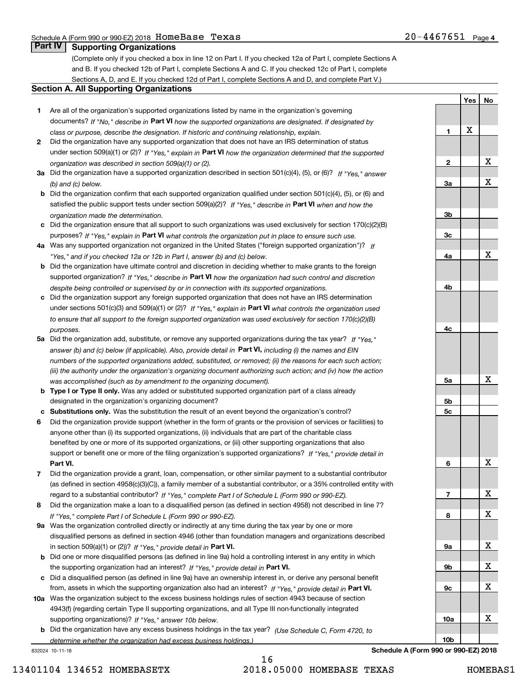**1**

**2**

**3a**

**3b**

**3c**

**4a**

**4b**

**4c**

**5a**

**5b5c**

**6**

**7**

**8**

**9a**

**9b**

**9c**

**10a**

**10b**

**Yes**

X

**No**

X

X

X

X

X

X

X

X

X

X

X

## **Part IV Supporting Organizations**

(Complete only if you checked a box in line 12 on Part I. If you checked 12a of Part I, complete Sections A and B. If you checked 12b of Part I, complete Sections A and C. If you checked 12c of Part I, complete Sections A, D, and E. If you checked 12d of Part I, complete Sections A and D, and complete Part V.)

### **Section A. All Supporting Organizations**

- **1** Are all of the organization's supported organizations listed by name in the organization's governing documents? If "No," describe in **Part VI** how the supported organizations are designated. If designated by *class or purpose, describe the designation. If historic and continuing relationship, explain.*
- **2** Did the organization have any supported organization that does not have an IRS determination of status under section 509(a)(1) or (2)? If "Yes," explain in Part VI how the organization determined that the supported *organization was described in section 509(a)(1) or (2).*
- **3a** Did the organization have a supported organization described in section 501(c)(4), (5), or (6)? If "Yes," answer *(b) and (c) below.*
- **b** Did the organization confirm that each supported organization qualified under section 501(c)(4), (5), or (6) and satisfied the public support tests under section 509(a)(2)? If "Yes," describe in **Part VI** when and how the *organization made the determination.*
- **c**Did the organization ensure that all support to such organizations was used exclusively for section 170(c)(2)(B) purposes? If "Yes," explain in **Part VI** what controls the organization put in place to ensure such use.
- **4a***If* Was any supported organization not organized in the United States ("foreign supported organization")? *"Yes," and if you checked 12a or 12b in Part I, answer (b) and (c) below.*
- **b** Did the organization have ultimate control and discretion in deciding whether to make grants to the foreign supported organization? If "Yes," describe in **Part VI** how the organization had such control and discretion *despite being controlled or supervised by or in connection with its supported organizations.*
- **c** Did the organization support any foreign supported organization that does not have an IRS determination under sections 501(c)(3) and 509(a)(1) or (2)? If "Yes," explain in **Part VI** what controls the organization used *to ensure that all support to the foreign supported organization was used exclusively for section 170(c)(2)(B) purposes.*
- **5a** Did the organization add, substitute, or remove any supported organizations during the tax year? If "Yes," answer (b) and (c) below (if applicable). Also, provide detail in **Part VI,** including (i) the names and EIN *numbers of the supported organizations added, substituted, or removed; (ii) the reasons for each such action; (iii) the authority under the organization's organizing document authorizing such action; and (iv) how the action was accomplished (such as by amendment to the organizing document).*
- **b** Type I or Type II only. Was any added or substituted supported organization part of a class already designated in the organization's organizing document?
- **cSubstitutions only.**  Was the substitution the result of an event beyond the organization's control?
- **6** Did the organization provide support (whether in the form of grants or the provision of services or facilities) to **Part VI.** *If "Yes," provide detail in* support or benefit one or more of the filing organization's supported organizations? anyone other than (i) its supported organizations, (ii) individuals that are part of the charitable class benefited by one or more of its supported organizations, or (iii) other supporting organizations that also
- **7**Did the organization provide a grant, loan, compensation, or other similar payment to a substantial contributor *If "Yes," complete Part I of Schedule L (Form 990 or 990-EZ).* regard to a substantial contributor? (as defined in section 4958(c)(3)(C)), a family member of a substantial contributor, or a 35% controlled entity with
- **8** Did the organization make a loan to a disqualified person (as defined in section 4958) not described in line 7? *If "Yes," complete Part I of Schedule L (Form 990 or 990-EZ).*
- **9a** Was the organization controlled directly or indirectly at any time during the tax year by one or more in section 509(a)(1) or (2))? If "Yes," *provide detail in* <code>Part VI.</code> disqualified persons as defined in section 4946 (other than foundation managers and organizations described
- **b**the supporting organization had an interest? If "Yes," provide detail in P**art VI**. Did one or more disqualified persons (as defined in line 9a) hold a controlling interest in any entity in which
- **c**Did a disqualified person (as defined in line 9a) have an ownership interest in, or derive any personal benefit from, assets in which the supporting organization also had an interest? If "Yes," provide detail in P**art VI.**
- **10a** Was the organization subject to the excess business holdings rules of section 4943 because of section supporting organizations)? If "Yes," answer 10b below. 4943(f) (regarding certain Type II supporting organizations, and all Type III non-functionally integrated
- **b** Did the organization have any excess business holdings in the tax year? (Use Schedule C, Form 4720, to *determine whether the organization had excess business holdings.)*

832024 10-11-18

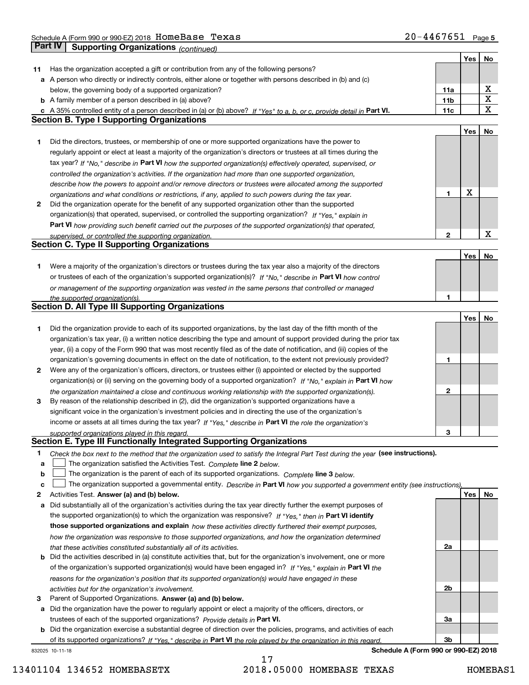Schedule A (Form 990 or 990-EZ) 2018 Page HomeBase Texas 20-4467651 **Part IV Supporting Organizations** *(continued)*

|    |                                                                                                                                   |                 | Yes | No                      |
|----|-----------------------------------------------------------------------------------------------------------------------------------|-----------------|-----|-------------------------|
| 11 | Has the organization accepted a gift or contribution from any of the following persons?                                           |                 |     |                         |
|    | a A person who directly or indirectly controls, either alone or together with persons described in (b) and (c)                    |                 |     |                         |
|    | below, the governing body of a supported organization?                                                                            | 11a             |     | х                       |
|    | <b>b</b> A family member of a person described in (a) above?                                                                      | 11 <sub>b</sub> |     | $\overline{\textbf{X}}$ |
|    | c A 35% controlled entity of a person described in (a) or (b) above? If "Yes" to a, b, or c, provide detail in Part VI.           | 11c             |     | X                       |
|    | <b>Section B. Type I Supporting Organizations</b>                                                                                 |                 |     |                         |
|    |                                                                                                                                   |                 | Yes | No                      |
| 1  | Did the directors, trustees, or membership of one or more supported organizations have the power to                               |                 |     |                         |
|    | regularly appoint or elect at least a majority of the organization's directors or trustees at all times during the                |                 |     |                         |
|    |                                                                                                                                   |                 |     |                         |
|    | tax year? If "No," describe in Part VI how the supported organization(s) effectively operated, supervised, or                     |                 |     |                         |
|    | controlled the organization's activities. If the organization had more than one supported organization,                           |                 |     |                         |
|    | describe how the powers to appoint and/or remove directors or trustees were allocated among the supported                         |                 | X   |                         |
|    | organizations and what conditions or restrictions, if any, applied to such powers during the tax year.                            | 1               |     |                         |
| 2  | Did the organization operate for the benefit of any supported organization other than the supported                               |                 |     |                         |
|    | organization(s) that operated, supervised, or controlled the supporting organization? If "Yes," explain in                        |                 |     |                         |
|    | Part VI how providing such benefit carried out the purposes of the supported organization(s) that operated,                       |                 |     |                         |
|    | supervised, or controlled the supporting organization.                                                                            | 2               |     | X                       |
|    | <b>Section C. Type II Supporting Organizations</b>                                                                                |                 |     |                         |
|    |                                                                                                                                   |                 | Yes | No                      |
| 1  | Were a majority of the organization's directors or trustees during the tax year also a majority of the directors                  |                 |     |                         |
|    | or trustees of each of the organization's supported organization(s)? If "No." describe in Part VI how control                     |                 |     |                         |
|    | or management of the supporting organization was vested in the same persons that controlled or managed                            |                 |     |                         |
|    | the supported organization(s).                                                                                                    | 1               |     |                         |
|    | <b>Section D. All Type III Supporting Organizations</b>                                                                           |                 |     |                         |
|    |                                                                                                                                   |                 | Yes | No                      |
| 1  | Did the organization provide to each of its supported organizations, by the last day of the fifth month of the                    |                 |     |                         |
|    | organization's tax year, (i) a written notice describing the type and amount of support provided during the prior tax             |                 |     |                         |
|    | year, (ii) a copy of the Form 990 that was most recently filed as of the date of notification, and (iii) copies of the            |                 |     |                         |
|    | organization's governing documents in effect on the date of notification, to the extent not previously provided?                  | 1               |     |                         |
| 2  | Were any of the organization's officers, directors, or trustees either (i) appointed or elected by the supported                  |                 |     |                         |
|    | organization(s) or (ii) serving on the governing body of a supported organization? If "No," explain in Part VI how                |                 |     |                         |
|    | the organization maintained a close and continuous working relationship with the supported organization(s).                       | $\mathbf{2}$    |     |                         |
| з  | By reason of the relationship described in (2), did the organization's supported organizations have a                             |                 |     |                         |
|    | significant voice in the organization's investment policies and in directing the use of the organization's                        |                 |     |                         |
|    | income or assets at all times during the tax year? If "Yes," describe in Part VI the role the organization's                      |                 |     |                         |
|    | supported organizations played in this regard.                                                                                    | 3               |     |                         |
|    | Section E. Type III Functionally Integrated Supporting Organizations                                                              |                 |     |                         |
| 1  | Check the box next to the method that the organization used to satisfy the Integral Part Test during the year (see instructions). |                 |     |                         |
| a  | The organization satisfied the Activities Test. Complete line 2 below.                                                            |                 |     |                         |
| b  | The organization is the parent of each of its supported organizations. Complete line 3 below.                                     |                 |     |                         |
| C  | The organization supported a governmental entity. Describe in Part VI how you supported a government entity (see instructions),   |                 |     |                         |
| 2  | Activities Test. Answer (a) and (b) below.                                                                                        |                 | Yes | No                      |
| a  | Did substantially all of the organization's activities during the tax year directly further the exempt purposes of                |                 |     |                         |
|    | the supported organization(s) to which the organization was responsive? If "Yes," then in Part VI identify                        |                 |     |                         |
|    | those supported organizations and explain how these activities directly furthered their exempt purposes,                          |                 |     |                         |
|    | how the organization was responsive to those supported organizations, and how the organization determined                         |                 |     |                         |
|    | that these activities constituted substantially all of its activities.                                                            | 2a              |     |                         |
|    | <b>b</b> Did the activities described in (a) constitute activities that, but for the organization's involvement, one or more      |                 |     |                         |
|    | of the organization's supported organization(s) would have been engaged in? If "Yes," explain in Part VI the                      |                 |     |                         |
|    | reasons for the organization's position that its supported organization(s) would have engaged in these                            |                 |     |                         |
|    | activities but for the organization's involvement.                                                                                | 2b              |     |                         |
| з  | Parent of Supported Organizations. Answer (a) and (b) below.                                                                      |                 |     |                         |
| а  | Did the organization have the power to regularly appoint or elect a majority of the officers, directors, or                       |                 |     |                         |
|    | trustees of each of the supported organizations? Provide details in Part VI.                                                      | За              |     |                         |
|    | <b>b</b> Did the organization exercise a substantial degree of direction over the policies, programs, and activities of each      |                 |     |                         |
|    | of its supported organizations? If "Yes," describe in Part VI the role played by the organization in this regard.                 | Зb              |     |                         |
|    | Schedule A (Form 990 or 990-EZ) 2018<br>832025 10-11-18                                                                           |                 |     |                         |

13401104 134652 HOMEBASETX 2018.05000 HOMEBASE TEXAS HOMEBAS1

17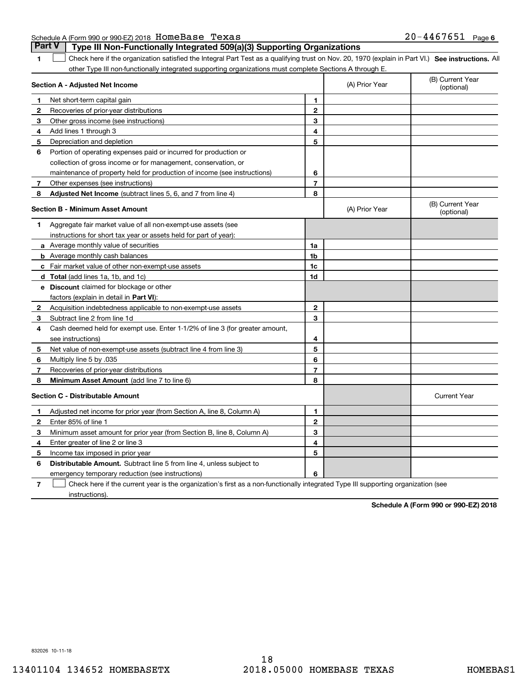| Schedule A (Form 990 or 990-EZ) 2018 HOMeBase Texas |  | $20 - 4467651$ Page 6 |  |
|-----------------------------------------------------|--|-----------------------|--|
|                                                     |  |                       |  |

|              | <b>Part V</b><br>Type III Non-Functionally Integrated 509(a)(3) Supporting Organizations                                                          |                |                |                                |
|--------------|---------------------------------------------------------------------------------------------------------------------------------------------------|----------------|----------------|--------------------------------|
| 1            | Check here if the organization satisfied the Integral Part Test as a qualifying trust on Nov. 20, 1970 (explain in Part VI.) See instructions. Al |                |                |                                |
|              | other Type III non-functionally integrated supporting organizations must complete Sections A through E.                                           |                |                |                                |
|              | Section A - Adjusted Net Income                                                                                                                   |                | (A) Prior Year | (B) Current Year<br>(optional) |
| 1            | Net short-term capital gain                                                                                                                       | 1              |                |                                |
| 2            | Recoveries of prior-year distributions                                                                                                            | $\mathbf{2}$   |                |                                |
| 3            | Other gross income (see instructions)                                                                                                             | 3              |                |                                |
| 4            | Add lines 1 through 3                                                                                                                             | 4              |                |                                |
| 5            | Depreciation and depletion                                                                                                                        | 5              |                |                                |
| 6            | Portion of operating expenses paid or incurred for production or<br>collection of gross income or for management, conservation, or                |                |                |                                |
|              | maintenance of property held for production of income (see instructions)                                                                          | 6              |                |                                |
| 7            | Other expenses (see instructions)                                                                                                                 | $\overline{7}$ |                |                                |
| 8            | Adjusted Net Income (subtract lines 5, 6, and 7 from line 4)                                                                                      | 8              |                |                                |
|              | <b>Section B - Minimum Asset Amount</b>                                                                                                           |                | (A) Prior Year | (B) Current Year<br>(optional) |
| 1            | Aggregate fair market value of all non-exempt-use assets (see                                                                                     |                |                |                                |
|              | instructions for short tax year or assets held for part of year):                                                                                 |                |                |                                |
|              | a Average monthly value of securities                                                                                                             | 1a             |                |                                |
|              | <b>b</b> Average monthly cash balances                                                                                                            | 1 <sub>b</sub> |                |                                |
|              | c Fair market value of other non-exempt-use assets                                                                                                | 1 <sub>c</sub> |                |                                |
|              | <b>d</b> Total (add lines 1a, 1b, and 1c)                                                                                                         | 1d             |                |                                |
|              | <b>e</b> Discount claimed for blockage or other                                                                                                   |                |                |                                |
|              | factors (explain in detail in Part VI):                                                                                                           |                |                |                                |
| $\mathbf{2}$ | Acquisition indebtedness applicable to non-exempt-use assets                                                                                      | $\mathbf{2}$   |                |                                |
| 3            | Subtract line 2 from line 1d                                                                                                                      | 3              |                |                                |
| 4            | Cash deemed held for exempt use. Enter 1-1/2% of line 3 (for greater amount,                                                                      |                |                |                                |
|              | see instructions)                                                                                                                                 | 4              |                |                                |
| 5            | Net value of non-exempt-use assets (subtract line 4 from line 3)                                                                                  | 5              |                |                                |
| 6            | Multiply line 5 by .035                                                                                                                           | 6              |                |                                |
| 7            | Recoveries of prior-year distributions                                                                                                            | $\overline{7}$ |                |                                |
| 8            | Minimum Asset Amount (add line 7 to line 6)                                                                                                       | 8              |                |                                |
|              | <b>Section C - Distributable Amount</b>                                                                                                           |                |                | <b>Current Year</b>            |
| 1            | Adjusted net income for prior year (from Section A, line 8, Column A)                                                                             | 1              |                |                                |
| 2            | Enter 85% of line 1                                                                                                                               | $\mathbf{2}$   |                |                                |
| з            | Minimum asset amount for prior year (from Section B, line 8, Column A)                                                                            | 3              |                |                                |
| 4            | Enter greater of line 2 or line 3                                                                                                                 | 4              |                |                                |
| 5            | Income tax imposed in prior year                                                                                                                  | 5              |                |                                |
| 6            | <b>Distributable Amount.</b> Subtract line 5 from line 4, unless subject to                                                                       |                |                |                                |
|              | emergency temporary reduction (see instructions)                                                                                                  | 6              |                |                                |

**7**Check here if the current year is the organization's first as a non-functionally integrated Type III supporting organization (see instructions).

**Schedule A (Form 990 or 990-EZ) 2018**

832026 10-11-18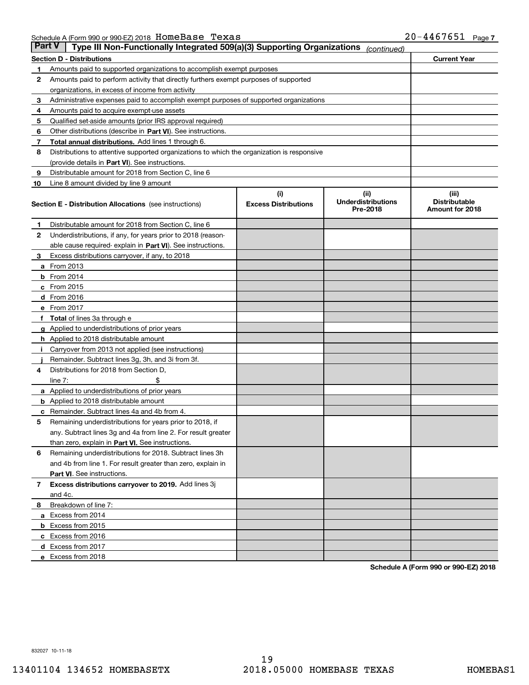| Part V | Type III Non-Functionally Integrated 509(a)(3) Supporting Organizations                    |                                    | (continued)                                   |                                                  |
|--------|--------------------------------------------------------------------------------------------|------------------------------------|-----------------------------------------------|--------------------------------------------------|
|        | <b>Section D - Distributions</b>                                                           |                                    |                                               | <b>Current Year</b>                              |
| 1      | Amounts paid to supported organizations to accomplish exempt purposes                      |                                    |                                               |                                                  |
| 2      | Amounts paid to perform activity that directly furthers exempt purposes of supported       |                                    |                                               |                                                  |
|        | organizations, in excess of income from activity                                           |                                    |                                               |                                                  |
| з      | Administrative expenses paid to accomplish exempt purposes of supported organizations      |                                    |                                               |                                                  |
| 4      | Amounts paid to acquire exempt-use assets                                                  |                                    |                                               |                                                  |
| 5      | Qualified set-aside amounts (prior IRS approval required)                                  |                                    |                                               |                                                  |
| 6      | Other distributions (describe in Part VI). See instructions.                               |                                    |                                               |                                                  |
| 7      | Total annual distributions. Add lines 1 through 6.                                         |                                    |                                               |                                                  |
| 8      | Distributions to attentive supported organizations to which the organization is responsive |                                    |                                               |                                                  |
|        | (provide details in Part VI). See instructions.                                            |                                    |                                               |                                                  |
| 9      | Distributable amount for 2018 from Section C, line 6                                       |                                    |                                               |                                                  |
| 10     | Line 8 amount divided by line 9 amount                                                     |                                    |                                               |                                                  |
|        | Section E - Distribution Allocations (see instructions)                                    | (i)<br><b>Excess Distributions</b> | (ii)<br><b>Underdistributions</b><br>Pre-2018 | (iii)<br><b>Distributable</b><br>Amount for 2018 |
| 1      | Distributable amount for 2018 from Section C, line 6                                       |                                    |                                               |                                                  |
| 2      | Underdistributions, if any, for years prior to 2018 (reason-                               |                                    |                                               |                                                  |
|        | able cause required- explain in Part VI). See instructions.                                |                                    |                                               |                                                  |
| з      | Excess distributions carryover, if any, to 2018                                            |                                    |                                               |                                                  |
|        | <b>a</b> From 2013                                                                         |                                    |                                               |                                                  |
|        | <b>b</b> From 2014                                                                         |                                    |                                               |                                                  |
|        | $c$ From 2015                                                                              |                                    |                                               |                                                  |
|        | <b>d</b> From 2016                                                                         |                                    |                                               |                                                  |
|        | e From 2017                                                                                |                                    |                                               |                                                  |
|        | <b>Total</b> of lines 3a through e                                                         |                                    |                                               |                                                  |
|        | <b>g</b> Applied to underdistributions of prior years                                      |                                    |                                               |                                                  |
|        | <b>h</b> Applied to 2018 distributable amount                                              |                                    |                                               |                                                  |
|        | Carryover from 2013 not applied (see instructions)                                         |                                    |                                               |                                                  |
|        | Remainder. Subtract lines 3g, 3h, and 3i from 3f.                                          |                                    |                                               |                                                  |
| 4      | Distributions for 2018 from Section D,                                                     |                                    |                                               |                                                  |
|        | line $7:$                                                                                  |                                    |                                               |                                                  |
|        | <b>a</b> Applied to underdistributions of prior years                                      |                                    |                                               |                                                  |
|        | <b>b</b> Applied to 2018 distributable amount                                              |                                    |                                               |                                                  |
| c      | Remainder. Subtract lines 4a and 4b from 4.                                                |                                    |                                               |                                                  |
| 5      | Remaining underdistributions for years prior to 2018, if                                   |                                    |                                               |                                                  |
|        | any. Subtract lines 3g and 4a from line 2. For result greater                              |                                    |                                               |                                                  |
|        | than zero, explain in Part VI. See instructions.                                           |                                    |                                               |                                                  |
| 6      | Remaining underdistributions for 2018. Subtract lines 3h                                   |                                    |                                               |                                                  |
|        | and 4b from line 1. For result greater than zero, explain in                               |                                    |                                               |                                                  |
|        | Part VI. See instructions.                                                                 |                                    |                                               |                                                  |
| 7      | Excess distributions carryover to 2019. Add lines 3j                                       |                                    |                                               |                                                  |
|        | and 4c.                                                                                    |                                    |                                               |                                                  |
| 8      | Breakdown of line 7:                                                                       |                                    |                                               |                                                  |
|        | a Excess from 2014                                                                         |                                    |                                               |                                                  |
|        | <b>b</b> Excess from 2015                                                                  |                                    |                                               |                                                  |
|        | c Excess from 2016                                                                         |                                    |                                               |                                                  |
|        | d Excess from 2017                                                                         |                                    |                                               |                                                  |
|        | e Excess from 2018                                                                         |                                    |                                               |                                                  |

**Schedule A (Form 990 or 990-EZ) 2018**

832027 10-11-18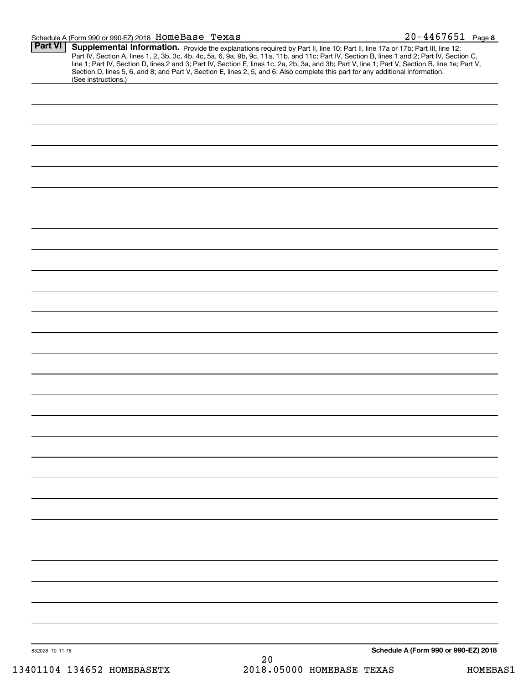#### Schedule A (Form 990 or 990-EZ) 2018 **HOMEBase 'I'exas** Z U -4 4 b 7 b 5 L Page HomeBase Texas 20-4467651

| Supplemental Information. Provide the explanations required by Part II, line 10; Part II, line 17a or 17b; Part III, line 12;<br>(See instructions.) | Part IV, Section A, lines 1, 2, 3b, 3c, 4b, 4c, 5a, 6, 9a, 9b, 9c, 11a, 11b, and 11c; Part IV, Section B, lines 1 and 2; Part IV, Section C,<br>line 1; Part IV, Section D, lines 2 and 3; Part IV, Section E, lines 1c, 2a, 2b, 3a, and 3b; Part V, line 1; Part V, Section B, line 1e; Part V,<br>Section D, lines 5, 6, and 8; and Part V, Section E, lines 2, 5, and 6. Also complete this part for any additional information. |
|------------------------------------------------------------------------------------------------------------------------------------------------------|-------------------------------------------------------------------------------------------------------------------------------------------------------------------------------------------------------------------------------------------------------------------------------------------------------------------------------------------------------------------------------------------------------------------------------------|
|                                                                                                                                                      |                                                                                                                                                                                                                                                                                                                                                                                                                                     |
|                                                                                                                                                      |                                                                                                                                                                                                                                                                                                                                                                                                                                     |
|                                                                                                                                                      |                                                                                                                                                                                                                                                                                                                                                                                                                                     |
|                                                                                                                                                      |                                                                                                                                                                                                                                                                                                                                                                                                                                     |
|                                                                                                                                                      |                                                                                                                                                                                                                                                                                                                                                                                                                                     |
|                                                                                                                                                      |                                                                                                                                                                                                                                                                                                                                                                                                                                     |
|                                                                                                                                                      |                                                                                                                                                                                                                                                                                                                                                                                                                                     |
|                                                                                                                                                      |                                                                                                                                                                                                                                                                                                                                                                                                                                     |
|                                                                                                                                                      |                                                                                                                                                                                                                                                                                                                                                                                                                                     |
|                                                                                                                                                      |                                                                                                                                                                                                                                                                                                                                                                                                                                     |
|                                                                                                                                                      |                                                                                                                                                                                                                                                                                                                                                                                                                                     |
|                                                                                                                                                      |                                                                                                                                                                                                                                                                                                                                                                                                                                     |
|                                                                                                                                                      |                                                                                                                                                                                                                                                                                                                                                                                                                                     |
|                                                                                                                                                      |                                                                                                                                                                                                                                                                                                                                                                                                                                     |
|                                                                                                                                                      |                                                                                                                                                                                                                                                                                                                                                                                                                                     |
|                                                                                                                                                      |                                                                                                                                                                                                                                                                                                                                                                                                                                     |
|                                                                                                                                                      |                                                                                                                                                                                                                                                                                                                                                                                                                                     |
|                                                                                                                                                      |                                                                                                                                                                                                                                                                                                                                                                                                                                     |
|                                                                                                                                                      |                                                                                                                                                                                                                                                                                                                                                                                                                                     |
|                                                                                                                                                      |                                                                                                                                                                                                                                                                                                                                                                                                                                     |
|                                                                                                                                                      |                                                                                                                                                                                                                                                                                                                                                                                                                                     |
|                                                                                                                                                      |                                                                                                                                                                                                                                                                                                                                                                                                                                     |
|                                                                                                                                                      |                                                                                                                                                                                                                                                                                                                                                                                                                                     |
|                                                                                                                                                      |                                                                                                                                                                                                                                                                                                                                                                                                                                     |
|                                                                                                                                                      |                                                                                                                                                                                                                                                                                                                                                                                                                                     |
|                                                                                                                                                      |                                                                                                                                                                                                                                                                                                                                                                                                                                     |
|                                                                                                                                                      |                                                                                                                                                                                                                                                                                                                                                                                                                                     |
|                                                                                                                                                      |                                                                                                                                                                                                                                                                                                                                                                                                                                     |
|                                                                                                                                                      |                                                                                                                                                                                                                                                                                                                                                                                                                                     |
|                                                                                                                                                      |                                                                                                                                                                                                                                                                                                                                                                                                                                     |
|                                                                                                                                                      |                                                                                                                                                                                                                                                                                                                                                                                                                                     |
|                                                                                                                                                      |                                                                                                                                                                                                                                                                                                                                                                                                                                     |
|                                                                                                                                                      |                                                                                                                                                                                                                                                                                                                                                                                                                                     |
|                                                                                                                                                      |                                                                                                                                                                                                                                                                                                                                                                                                                                     |
|                                                                                                                                                      |                                                                                                                                                                                                                                                                                                                                                                                                                                     |
|                                                                                                                                                      |                                                                                                                                                                                                                                                                                                                                                                                                                                     |
|                                                                                                                                                      |                                                                                                                                                                                                                                                                                                                                                                                                                                     |
|                                                                                                                                                      |                                                                                                                                                                                                                                                                                                                                                                                                                                     |
|                                                                                                                                                      |                                                                                                                                                                                                                                                                                                                                                                                                                                     |
|                                                                                                                                                      |                                                                                                                                                                                                                                                                                                                                                                                                                                     |
|                                                                                                                                                      |                                                                                                                                                                                                                                                                                                                                                                                                                                     |
|                                                                                                                                                      |                                                                                                                                                                                                                                                                                                                                                                                                                                     |
|                                                                                                                                                      |                                                                                                                                                                                                                                                                                                                                                                                                                                     |
|                                                                                                                                                      |                                                                                                                                                                                                                                                                                                                                                                                                                                     |
|                                                                                                                                                      |                                                                                                                                                                                                                                                                                                                                                                                                                                     |
| 832028 10-11-18                                                                                                                                      | Schedule A (Form 990 or 990-EZ) 2018                                                                                                                                                                                                                                                                                                                                                                                                |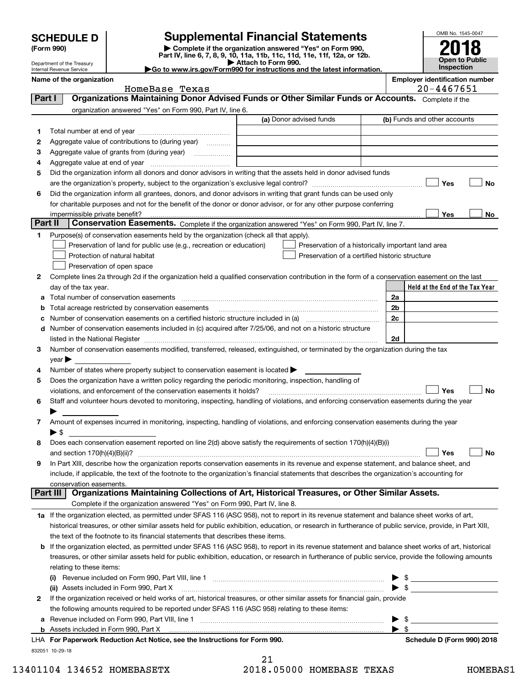| <b>SCHEDULE D</b> |  |
|-------------------|--|
|-------------------|--|

Department of the Treasury

| (Form 990) |
|------------|
|            |

# **Supplemental Financial Statements**

**(Form 990)** (**Form 990,**<br>Part IV, line 6, 7, 8, 9, 10, 11a, 11b, 11c, 11d, 11e, 11f, 12a, or 12b.<br>Department of the Treasury **and Exercise Connect Connect Connect Connect Connect Connect Connect Connect Connect** 



Internal Revenue Service

|                                                                        | Attach to Form 990. |  |
|------------------------------------------------------------------------|---------------------|--|
| Go to www.irs.gov/Form990 for instructions and the latest information. |                     |  |

|  | nployer identification number |  |
|--|-------------------------------|--|
|--|-------------------------------|--|

|         | Name of the organization<br>HomeBase Texas                                                                                                                 |                                                    | <b>Employer identification number</b><br>20-4467651 |
|---------|------------------------------------------------------------------------------------------------------------------------------------------------------------|----------------------------------------------------|-----------------------------------------------------|
| Part I  | Organizations Maintaining Donor Advised Funds or Other Similar Funds or Accounts. Complete if the                                                          |                                                    |                                                     |
|         | organization answered "Yes" on Form 990, Part IV, line 6.                                                                                                  |                                                    |                                                     |
|         |                                                                                                                                                            | (a) Donor advised funds                            | (b) Funds and other accounts                        |
|         |                                                                                                                                                            |                                                    |                                                     |
| 1       |                                                                                                                                                            |                                                    |                                                     |
| 2       | Aggregate value of contributions to (during year)                                                                                                          |                                                    |                                                     |
| 3       | Aggregate value of grants from (during year)                                                                                                               |                                                    |                                                     |
| 4       |                                                                                                                                                            |                                                    |                                                     |
| 5       | Did the organization inform all donors and donor advisors in writing that the assets held in donor advised funds                                           |                                                    |                                                     |
|         |                                                                                                                                                            |                                                    | Yes<br><b>No</b>                                    |
| 6       | Did the organization inform all grantees, donors, and donor advisors in writing that grant funds can be used only                                          |                                                    |                                                     |
|         | for charitable purposes and not for the benefit of the donor or donor advisor, or for any other purpose conferring                                         |                                                    |                                                     |
|         |                                                                                                                                                            |                                                    | Yes<br>No                                           |
| Part II | Conservation Easements. Complete if the organization answered "Yes" on Form 990, Part IV, line 7.                                                          |                                                    |                                                     |
| 1       | Purpose(s) of conservation easements held by the organization (check all that apply).                                                                      |                                                    |                                                     |
|         | Preservation of land for public use (e.g., recreation or education)                                                                                        | Preservation of a historically important land area |                                                     |
|         | Protection of natural habitat                                                                                                                              | Preservation of a certified historic structure     |                                                     |
|         | Preservation of open space                                                                                                                                 |                                                    |                                                     |
| 2       | Complete lines 2a through 2d if the organization held a qualified conservation contribution in the form of a conservation easement on the last             |                                                    |                                                     |
|         | day of the tax year.                                                                                                                                       |                                                    | Held at the End of the Tax Year                     |
|         | a Total number of conservation easements                                                                                                                   |                                                    | 2a                                                  |
| b       | Total acreage restricted by conservation easements                                                                                                         |                                                    | 2 <sub>b</sub>                                      |
| c       | Number of conservation easements on a certified historic structure included in (a) manufacture included in (a)                                             |                                                    | 2c                                                  |
|         | d Number of conservation easements included in (c) acquired after 7/25/06, and not on a historic structure                                                 |                                                    |                                                     |
|         |                                                                                                                                                            |                                                    | 2d                                                  |
| 3       | Number of conservation easements modified, transferred, released, extinguished, or terminated by the organization during the tax                           |                                                    |                                                     |
|         | year $\blacktriangleright$ $\_\_$                                                                                                                          |                                                    |                                                     |
| 4       | Number of states where property subject to conservation easement is located $\blacktriangleright$                                                          |                                                    |                                                     |
| 5       | Does the organization have a written policy regarding the periodic monitoring, inspection, handling of                                                     |                                                    |                                                     |
|         | violations, and enforcement of the conservation easements it holds?                                                                                        |                                                    | Yes<br><b>No</b>                                    |
| 6       | Staff and volunteer hours devoted to monitoring, inspecting, handling of violations, and enforcing conservation easements during the year                  |                                                    |                                                     |
|         |                                                                                                                                                            |                                                    |                                                     |
| 7       | Amount of expenses incurred in monitoring, inspecting, handling of violations, and enforcing conservation easements during the year                        |                                                    |                                                     |
|         | $\blacktriangleright$ \$                                                                                                                                   |                                                    |                                                     |
| 8       | Does each conservation easement reported on line 2(d) above satisfy the requirements of section 170(h)(4)(B)(i)                                            |                                                    |                                                     |
|         |                                                                                                                                                            |                                                    | Yes<br><b>No</b>                                    |
|         | In Part XIII, describe how the organization reports conservation easements in its revenue and expense statement, and balance sheet, and                    |                                                    |                                                     |
|         | include, if applicable, the text of the footnote to the organization's financial statements that describes the organization's accounting for               |                                                    |                                                     |
|         | conservation easements.                                                                                                                                    |                                                    |                                                     |
|         | Organizations Maintaining Collections of Art, Historical Treasures, or Other Similar Assets.<br>Part III                                                   |                                                    |                                                     |
|         | Complete if the organization answered "Yes" on Form 990, Part IV, line 8.                                                                                  |                                                    |                                                     |
|         | 1a If the organization elected, as permitted under SFAS 116 (ASC 958), not to report in its revenue statement and balance sheet works of art,              |                                                    |                                                     |
|         | historical treasures, or other similar assets held for public exhibition, education, or research in furtherance of public service, provide, in Part XIII,  |                                                    |                                                     |
|         | the text of the footnote to its financial statements that describes these items.                                                                           |                                                    |                                                     |
|         | <b>b</b> If the organization elected, as permitted under SFAS 116 (ASC 958), to report in its revenue statement and balance sheet works of art, historical |                                                    |                                                     |
|         | treasures, or other similar assets held for public exhibition, education, or research in furtherance of public service, provide the following amounts      |                                                    |                                                     |
|         | relating to these items:                                                                                                                                   |                                                    |                                                     |
|         |                                                                                                                                                            |                                                    | $\blacktriangleright$ \$                            |
|         | (ii) Assets included in Form 990, Part X                                                                                                                   |                                                    | $\blacktriangleright$ \$                            |
| 2       | If the organization received or held works of art, historical treasures, or other similar assets for financial gain, provide                               |                                                    |                                                     |
|         | the following amounts required to be reported under SFAS 116 (ASC 958) relating to these items:                                                            |                                                    |                                                     |
| а       |                                                                                                                                                            |                                                    |                                                     |
|         |                                                                                                                                                            |                                                    | $\blacktriangleright$ \$                            |

21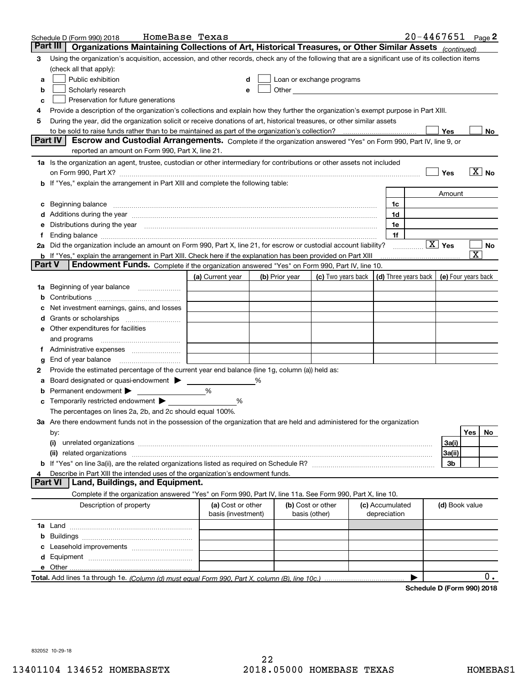| Organizations Maintaining Collections of Art, Historical Treasures, or Other Similar Assets (continued)<br>Part III                                                                                                                  |    |
|--------------------------------------------------------------------------------------------------------------------------------------------------------------------------------------------------------------------------------------|----|
| Using the organization's acquisition, accession, and other records, check any of the following that are a significant use of its collection items<br>3                                                                               |    |
| (check all that apply):                                                                                                                                                                                                              |    |
| Public exhibition<br>Loan or exchange programs<br>a                                                                                                                                                                                  |    |
| Other <u>Charles Charles Charles Charles Charles Charles Charles Charles Charles Charles Charles Charles Charles</u><br>Scholarly research<br>b<br>е                                                                                 |    |
| Preservation for future generations<br>с                                                                                                                                                                                             |    |
| Provide a description of the organization's collections and explain how they further the organization's exempt purpose in Part XIII.<br>4                                                                                            |    |
| During the year, did the organization solicit or receive donations of art, historical treasures, or other similar assets<br>5                                                                                                        |    |
| to be sold to raise funds rather than to be maintained as part of the organization's collection?<br>Yes                                                                                                                              | No |
| Part IV<br>Escrow and Custodial Arrangements. Complete if the organization answered "Yes" on Form 990, Part IV, line 9, or                                                                                                           |    |
| reported an amount on Form 990, Part X, line 21.                                                                                                                                                                                     |    |
| 1a Is the organization an agent, trustee, custodian or other intermediary for contributions or other assets not included                                                                                                             |    |
| $\overline{X}$ No<br>Yes<br>on Form 990, Part X? [11] matter contracts and contracts and contracts are contracted as a form 990, Part X?                                                                                             |    |
| b If "Yes," explain the arrangement in Part XIII and complete the following table:                                                                                                                                                   |    |
| Amount                                                                                                                                                                                                                               |    |
| Beginning balance material continuum contracts and contact the contract of the contract of the contract of the<br>1c<br>c                                                                                                            |    |
| 1d<br>Additions during the year manufactured and an account of the state of the state of the state of the state of the state of the state of the state of the state of the state of the state of the state of the state of the state |    |
| Distributions during the year manufactured and continuum and continuum and continuum and continuum and continuum<br>1e                                                                                                               |    |
| 1f<br>Ť.                                                                                                                                                                                                                             |    |
| $\boxed{\text{X}}$ Yes<br>2a Did the organization include an amount on Form 990, Part X, line 21, for escrow or custodial account liability?<br>.<br>$\overline{\text{X}}$                                                           | No |
| <b>b</b> If "Yes," explain the arrangement in Part XIII. Check here if the explanation has been provided on Part XIII<br>Part V<br>Endowment Funds. Complete if the organization answered "Yes" on Form 990, Part IV, line 10.       |    |
| (d) Three years back<br>(a) Current year<br>(c) Two years back<br>(e) Four years back<br>(b) Prior year                                                                                                                              |    |
| Beginning of year balance                                                                                                                                                                                                            |    |
| 1a                                                                                                                                                                                                                                   |    |
| Net investment earnings, gains, and losses                                                                                                                                                                                           |    |
| a                                                                                                                                                                                                                                    |    |
| e Other expenditures for facilities                                                                                                                                                                                                  |    |
| and programs                                                                                                                                                                                                                         |    |
|                                                                                                                                                                                                                                      |    |
| End of year balance<br>g                                                                                                                                                                                                             |    |
| Provide the estimated percentage of the current year end balance (line 1g, column (a)) held as:<br>2                                                                                                                                 |    |
| Board designated or quasi-endowment<br>%<br>а                                                                                                                                                                                        |    |
| Permanent endowment ><br>%                                                                                                                                                                                                           |    |
| Temporarily restricted endowment<br>%                                                                                                                                                                                                |    |
| The percentages on lines 2a, 2b, and 2c should equal 100%.                                                                                                                                                                           |    |
| 3a Are there endowment funds not in the possession of the organization that are held and administered for the organization                                                                                                           |    |
| Yes<br>by:                                                                                                                                                                                                                           | No |
| 3a(i)<br>(i)                                                                                                                                                                                                                         |    |
| 3a(ii)                                                                                                                                                                                                                               |    |
| 3b                                                                                                                                                                                                                                   |    |
| Describe in Part XIII the intended uses of the organization's endowment funds.                                                                                                                                                       |    |
| Land, Buildings, and Equipment.<br>Part VI                                                                                                                                                                                           |    |
| Complete if the organization answered "Yes" on Form 990, Part IV, line 11a. See Form 990, Part X, line 10.                                                                                                                           |    |
| Description of property<br>(a) Cost or other<br>(b) Cost or other<br>(c) Accumulated<br>(d) Book value<br>basis (investment)<br>basis (other)<br>depreciation                                                                        |    |
|                                                                                                                                                                                                                                      |    |
| b                                                                                                                                                                                                                                    |    |
|                                                                                                                                                                                                                                      |    |
|                                                                                                                                                                                                                                      |    |
|                                                                                                                                                                                                                                      |    |
|                                                                                                                                                                                                                                      | 0. |

**Schedule D (Form 990) 2018**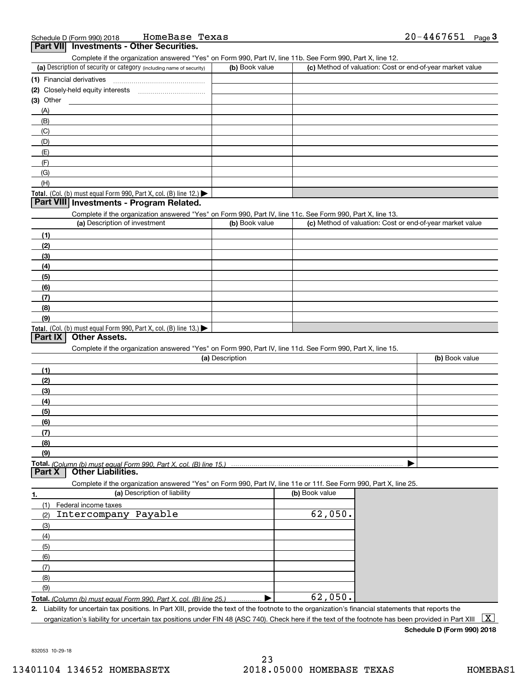| HomeBase Texas<br>Schedule D (Form 990) 2018                                                                                                         |                 |                | 20-4467651<br>Page $3$                                    |
|------------------------------------------------------------------------------------------------------------------------------------------------------|-----------------|----------------|-----------------------------------------------------------|
| <b>Investments - Other Securities.</b><br><b>Part VII</b>                                                                                            |                 |                |                                                           |
| Complete if the organization answered "Yes" on Form 990, Part IV, line 11b. See Form 990, Part X, line 12.                                           |                 |                |                                                           |
| (a) Description of security or category (including name of security)                                                                                 | (b) Book value  |                | (c) Method of valuation: Cost or end-of-year market value |
| (1) Financial derivatives                                                                                                                            |                 |                |                                                           |
|                                                                                                                                                      |                 |                |                                                           |
| (3) Other                                                                                                                                            |                 |                |                                                           |
| (A)                                                                                                                                                  |                 |                |                                                           |
| (B)                                                                                                                                                  |                 |                |                                                           |
| (C)                                                                                                                                                  |                 |                |                                                           |
| (D)                                                                                                                                                  |                 |                |                                                           |
| (E)<br>(F)                                                                                                                                           |                 |                |                                                           |
| (G)                                                                                                                                                  |                 |                |                                                           |
| (H)                                                                                                                                                  |                 |                |                                                           |
| Total. (Col. (b) must equal Form 990, Part X, col. (B) line 12.)                                                                                     |                 |                |                                                           |
| Part VIII Investments - Program Related.                                                                                                             |                 |                |                                                           |
| Complete if the organization answered "Yes" on Form 990, Part IV, line 11c. See Form 990, Part X, line 13.                                           |                 |                |                                                           |
| (a) Description of investment                                                                                                                        | (b) Book value  |                | (c) Method of valuation: Cost or end-of-year market value |
| (1)                                                                                                                                                  |                 |                |                                                           |
| (2)                                                                                                                                                  |                 |                |                                                           |
| (3)                                                                                                                                                  |                 |                |                                                           |
| (4)                                                                                                                                                  |                 |                |                                                           |
| (5)                                                                                                                                                  |                 |                |                                                           |
| (6)                                                                                                                                                  |                 |                |                                                           |
| (7)                                                                                                                                                  |                 |                |                                                           |
| (8)                                                                                                                                                  |                 |                |                                                           |
| (9)                                                                                                                                                  |                 |                |                                                           |
| Total. (Col. (b) must equal Form 990, Part X, col. (B) line 13.)                                                                                     |                 |                |                                                           |
| Part IX<br><b>Other Assets.</b>                                                                                                                      |                 |                |                                                           |
| Complete if the organization answered "Yes" on Form 990, Part IV, line 11d. See Form 990, Part X, line 15.                                           |                 |                |                                                           |
|                                                                                                                                                      | (a) Description |                | (b) Book value                                            |
| (1)                                                                                                                                                  |                 |                |                                                           |
| (2)                                                                                                                                                  |                 |                |                                                           |
| (3)                                                                                                                                                  |                 |                |                                                           |
| (4)                                                                                                                                                  |                 |                |                                                           |
| (5)                                                                                                                                                  |                 |                |                                                           |
| (6)                                                                                                                                                  |                 |                |                                                           |
| (7)                                                                                                                                                  |                 |                |                                                           |
| (8)<br>(9)                                                                                                                                           |                 |                |                                                           |
|                                                                                                                                                      |                 |                |                                                           |
| Total. (Column (b) must equal Form 990. Part X, col. (B) line 15.)<br><b>Other Liabilities.</b><br>Part X                                            |                 |                |                                                           |
| Complete if the organization answered "Yes" on Form 990, Part IV, line 11e or 11f. See Form 990, Part X, line 25.                                    |                 |                |                                                           |
| (a) Description of liability<br>1.                                                                                                                   |                 | (b) Book value |                                                           |
| (1)<br>Federal income taxes                                                                                                                          |                 |                |                                                           |
| Intercompany Payable<br>(2)                                                                                                                          |                 | 62,050.        |                                                           |
| (3)                                                                                                                                                  |                 |                |                                                           |
| (4)                                                                                                                                                  |                 |                |                                                           |
| (5)                                                                                                                                                  |                 |                |                                                           |
| (6)                                                                                                                                                  |                 |                |                                                           |
| (7)                                                                                                                                                  |                 |                |                                                           |
| (8)                                                                                                                                                  |                 |                |                                                           |
| (9)                                                                                                                                                  |                 |                |                                                           |
| Total. (Column (b) must equal Form 990, Part X, col. (B) line 25.)                                                                                   |                 | 62,050.        |                                                           |
| 2. Liability for uncertain tax positions. In Part XIII, provide the text of the footnote to the organization's financial statements that reports the |                 |                |                                                           |

organization's liability for uncertain tax positions under FIN 48 (ASC 740). Check here if the text of the footnote has been provided in Part XIII  $~\boxed{\rm X}$ 

**Schedule D (Form 990) 2018**

832053 10-29-18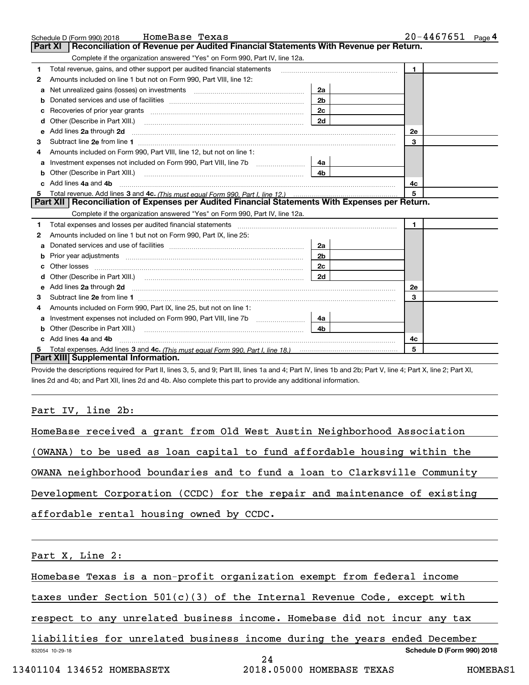|   | HomeBase Texas<br>Schedule D (Form 990) 2018                                                                             |                | $20 - 4467651$ Page 4 |
|---|--------------------------------------------------------------------------------------------------------------------------|----------------|-----------------------|
|   | Reconciliation of Revenue per Audited Financial Statements With Revenue per Return.<br><b>Part XI</b>                    |                |                       |
|   | Complete if the organization answered "Yes" on Form 990, Part IV, line 12a.                                              |                |                       |
| 1 | Total revenue, gains, and other support per audited financial statements                                                 |                | $\mathbf{1}$          |
| 2 | Amounts included on line 1 but not on Form 990, Part VIII, line 12:                                                      |                |                       |
| a |                                                                                                                          | 2a             |                       |
| b |                                                                                                                          | 2 <sub>b</sub> |                       |
| c |                                                                                                                          | 2c             |                       |
| d | Other (Describe in Part XIII.)                                                                                           | 2d             |                       |
| е | Add lines 2a through 2d                                                                                                  |                | 2e                    |
| з |                                                                                                                          |                | 3                     |
|   | Amounts included on Form 990, Part VIII, line 12, but not on line 1:                                                     |                |                       |
| a | Investment expenses not included on Form 990, Part VIII, line 7b                                                         | 4a             |                       |
| b | Other (Describe in Part XIII.)                                                                                           | 4b             |                       |
|   | Add lines 4a and 4b                                                                                                      |                | 4с                    |
| 5 |                                                                                                                          |                | 5                     |
|   | Part XII   Reconciliation of Expenses per Audited Financial Statements With Expenses per Return.                         |                |                       |
|   | Complete if the organization answered "Yes" on Form 990, Part IV, line 12a.                                              |                |                       |
| 1 |                                                                                                                          |                | $\mathbf{1}$          |
| 2 | Amounts included on line 1 but not on Form 990, Part IX, line 25:                                                        |                |                       |
| a |                                                                                                                          | 2a             |                       |
| b |                                                                                                                          | 2b             |                       |
|   |                                                                                                                          | 2 <sub>c</sub> |                       |
|   |                                                                                                                          | 2d             |                       |
| е | Add lines 2a through 2d <b>must be a constructed as the constant of the constant of the constant of the construction</b> |                | 2e                    |
| 3 |                                                                                                                          |                | 3                     |
| 4 | Amounts included on Form 990, Part IX, line 25, but not on line 1:                                                       |                |                       |
| a |                                                                                                                          | 4a             |                       |
|   |                                                                                                                          | 4b.            |                       |
|   | Add lines 4a and 4b                                                                                                      |                | 4c                    |
|   |                                                                                                                          |                | 5                     |
|   | Part XIII Supplemental Information.                                                                                      |                |                       |

Provide the descriptions required for Part II, lines 3, 5, and 9; Part III, lines 1a and 4; Part IV, lines 1b and 2b; Part V, line 4; Part X, line 2; Part XI, lines 2d and 4b; and Part XII, lines 2d and 4b. Also complete this part to provide any additional information.

# Part IV, line 2b:

| HomeBase received a grant from Old West Austin Neighborhood Association   |
|---------------------------------------------------------------------------|
| (OWANA) to be used as loan capital to fund affordable housing within the  |
| OWANA neighborhood boundaries and to fund a loan to Clarksville Community |
| Development Corporation (CCDC) for the repair and maintenance of existing |
| affordable rental housing owned by CCDC.                                  |
|                                                                           |
| Part X, Line 2:                                                           |
| Homebase Texas is a non-profit organization exempt from federal income    |
| taxes under Section $501(c)(3)$ of the Internal Revenue Code, except with |
| respect to any unrelated business income. Homebase did not incur any tax  |
| liabilities for unrelated business income during the years ended December |
| Schedule D (Form 990) 2018<br>832054 10-29-18<br>24                       |
| 13401104 134652 HOMEBASETX<br>2018.05000 HOMEBASE TEXAS<br>HOMEBAS1       |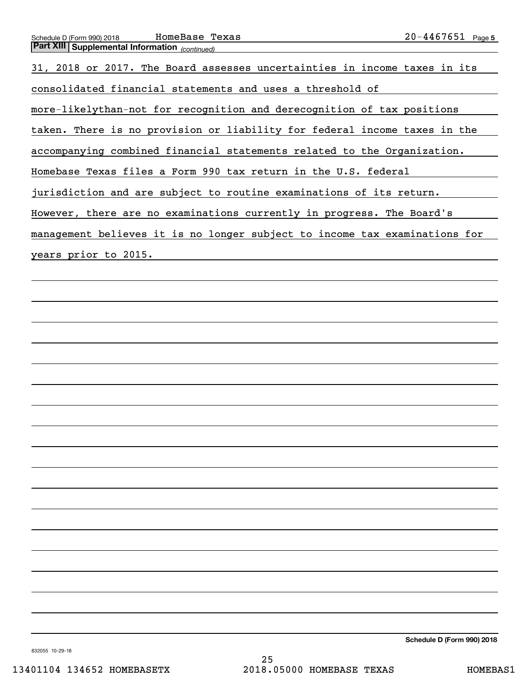| Schedule D (Form 990) 2018 | HomeBase Texas | $20 - 4467651$<br>Page 5 |
|----------------------------|----------------|--------------------------|
| <b>B.</b> D. VIII A        |                |                          |

| <b>Part XIII Supplemental Information</b> (continued)                      |
|----------------------------------------------------------------------------|
| 31, 2018 or 2017. The Board assesses uncertainties in income taxes in its  |
| consolidated financial statements and uses a threshold of                  |
| more-likelythan-not for recognition and derecognition of tax positions     |
| taken. There is no provision or liability for federal income taxes in the  |
| accompanying combined financial statements related to the Organization.    |
| Homebase Texas files a Form 990 tax return in the U.S. federal             |
| jurisdiction and are subject to routine examinations of its return.        |
| However, there are no examinations currently in progress. The Board's      |
| management believes it is no longer subject to income tax examinations for |
| years prior to 2015.                                                       |
|                                                                            |
|                                                                            |
|                                                                            |
|                                                                            |
|                                                                            |
|                                                                            |
|                                                                            |
|                                                                            |

**Schedule D (Form 990) 2018**

832055 10-29-18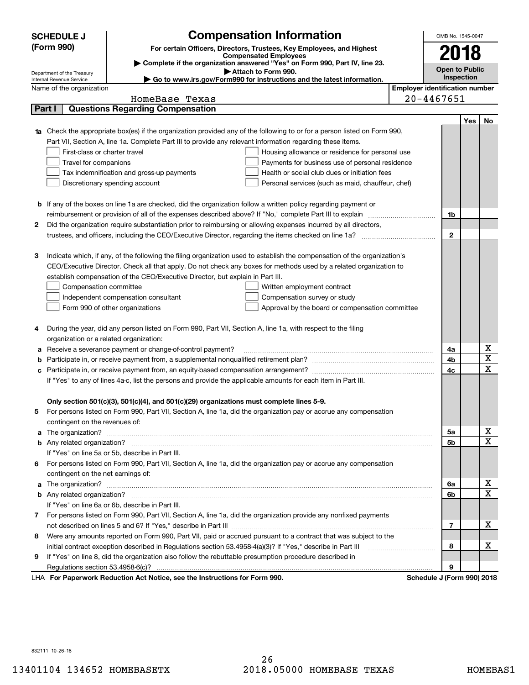|        | <b>SCHEDULE J</b>                       | OMB No. 1545-0047                                                                                             |                                                                                                                                                                                                                                      |                                       |     |             |
|--------|-----------------------------------------|---------------------------------------------------------------------------------------------------------------|--------------------------------------------------------------------------------------------------------------------------------------------------------------------------------------------------------------------------------------|---------------------------------------|-----|-------------|
|        | (Form 990)                              |                                                                                                               | <b>Compensation Information</b><br>For certain Officers, Directors, Trustees, Key Employees, and Highest                                                                                                                             |                                       |     |             |
|        |                                         |                                                                                                               | <b>Compensated Employees</b>                                                                                                                                                                                                         | 2018                                  |     |             |
|        | Department of the Treasury              |                                                                                                               | Complete if the organization answered "Yes" on Form 990, Part IV, line 23.<br>Attach to Form 990.                                                                                                                                    | <b>Open to Public</b>                 |     |             |
|        | Internal Revenue Service                |                                                                                                               | ► Go to www.irs.gov/Form990 for instructions and the latest information.                                                                                                                                                             | Inspection                            |     |             |
|        | Name of the organization                |                                                                                                               |                                                                                                                                                                                                                                      | <b>Employer identification number</b> |     |             |
|        |                                         | HomeBase Texas                                                                                                |                                                                                                                                                                                                                                      | $20 - 4467651$                        |     |             |
| Part I |                                         | <b>Questions Regarding Compensation</b>                                                                       |                                                                                                                                                                                                                                      |                                       |     |             |
|        |                                         |                                                                                                               |                                                                                                                                                                                                                                      |                                       | Yes | No          |
|        |                                         |                                                                                                               | Check the appropriate box(es) if the organization provided any of the following to or for a person listed on Form 990,                                                                                                               |                                       |     |             |
|        |                                         | Part VII, Section A, line 1a. Complete Part III to provide any relevant information regarding these items.    |                                                                                                                                                                                                                                      |                                       |     |             |
|        | First-class or charter travel           |                                                                                                               | Housing allowance or residence for personal use                                                                                                                                                                                      |                                       |     |             |
|        | Travel for companions                   |                                                                                                               | Payments for business use of personal residence                                                                                                                                                                                      |                                       |     |             |
|        |                                         | Tax indemnification and gross-up payments                                                                     | Health or social club dues or initiation fees                                                                                                                                                                                        |                                       |     |             |
|        |                                         | Discretionary spending account                                                                                | Personal services (such as maid, chauffeur, chef)                                                                                                                                                                                    |                                       |     |             |
|        |                                         |                                                                                                               |                                                                                                                                                                                                                                      |                                       |     |             |
|        |                                         |                                                                                                               | <b>b</b> If any of the boxes on line 1a are checked, did the organization follow a written policy regarding payment or                                                                                                               |                                       |     |             |
|        |                                         |                                                                                                               |                                                                                                                                                                                                                                      | 1b                                    |     |             |
| 2      |                                         |                                                                                                               | Did the organization require substantiation prior to reimbursing or allowing expenses incurred by all directors,                                                                                                                     | $\mathbf{2}$                          |     |             |
|        |                                         |                                                                                                               |                                                                                                                                                                                                                                      |                                       |     |             |
| З      |                                         |                                                                                                               | Indicate which, if any, of the following the filing organization used to establish the compensation of the organization's                                                                                                            |                                       |     |             |
|        |                                         |                                                                                                               | CEO/Executive Director. Check all that apply. Do not check any boxes for methods used by a related organization to                                                                                                                   |                                       |     |             |
|        |                                         | establish compensation of the CEO/Executive Director, but explain in Part III.                                |                                                                                                                                                                                                                                      |                                       |     |             |
|        | Compensation committee                  |                                                                                                               | Written employment contract                                                                                                                                                                                                          |                                       |     |             |
|        |                                         | Independent compensation consultant                                                                           | Compensation survey or study                                                                                                                                                                                                         |                                       |     |             |
|        |                                         | Form 990 of other organizations                                                                               | Approval by the board or compensation committee                                                                                                                                                                                      |                                       |     |             |
|        |                                         |                                                                                                               |                                                                                                                                                                                                                                      |                                       |     |             |
| 4      |                                         | During the year, did any person listed on Form 990, Part VII, Section A, line 1a, with respect to the filing  |                                                                                                                                                                                                                                      |                                       |     |             |
|        | organization or a related organization: |                                                                                                               |                                                                                                                                                                                                                                      |                                       |     |             |
| а      |                                         | Receive a severance payment or change-of-control payment?                                                     |                                                                                                                                                                                                                                      | 4a                                    |     | х           |
|        |                                         |                                                                                                               |                                                                                                                                                                                                                                      | 4b                                    |     | X           |
|        |                                         |                                                                                                               |                                                                                                                                                                                                                                      | 4c                                    |     | $\mathbf X$ |
|        |                                         | If "Yes" to any of lines 4a-c, list the persons and provide the applicable amounts for each item in Part III. |                                                                                                                                                                                                                                      |                                       |     |             |
|        |                                         |                                                                                                               |                                                                                                                                                                                                                                      |                                       |     |             |
|        |                                         | Only section 501(c)(3), 501(c)(4), and 501(c)(29) organizations must complete lines 5-9.                      |                                                                                                                                                                                                                                      |                                       |     |             |
|        |                                         |                                                                                                               | For persons listed on Form 990, Part VII, Section A, line 1a, did the organization pay or accrue any compensation                                                                                                                    |                                       |     |             |
|        | contingent on the revenues of:          |                                                                                                               |                                                                                                                                                                                                                                      |                                       |     |             |
| a      |                                         |                                                                                                               | The organization? <b>With the organization</b> ? <b>With the organization with the organization? With the organization?</b>                                                                                                          | 5a                                    |     | x           |
|        |                                         |                                                                                                               |                                                                                                                                                                                                                                      | 5b                                    |     | $\mathbf X$ |
|        |                                         | If "Yes" on line 5a or 5b, describe in Part III.                                                              |                                                                                                                                                                                                                                      |                                       |     |             |
|        |                                         |                                                                                                               | 6 For persons listed on Form 990, Part VII, Section A, line 1a, did the organization pay or accrue any compensation                                                                                                                  |                                       |     |             |
|        | contingent on the net earnings of:      |                                                                                                               |                                                                                                                                                                                                                                      |                                       |     |             |
| a      |                                         |                                                                                                               | The organization? <b>With the contract of the contract of the contract of the contract of the contract of the contract of the contract of the contract of the contract of the contract of the contract of the contract of the co</b> | 6a                                    |     | х           |
|        |                                         |                                                                                                               |                                                                                                                                                                                                                                      | 6b                                    |     | $\mathbf X$ |
|        |                                         | If "Yes" on line 6a or 6b, describe in Part III.                                                              |                                                                                                                                                                                                                                      |                                       |     |             |
|        |                                         |                                                                                                               | 7 For persons listed on Form 990, Part VII, Section A, line 1a, did the organization provide any nonfixed payments                                                                                                                   |                                       |     |             |
|        |                                         |                                                                                                               |                                                                                                                                                                                                                                      | 7                                     |     | х           |
| 8      |                                         |                                                                                                               | Were any amounts reported on Form 990, Part VII, paid or accrued pursuant to a contract that was subject to the                                                                                                                      |                                       |     |             |
|        |                                         | initial contract exception described in Regulations section 53.4958-4(a)(3)? If "Yes," describe in Part III   |                                                                                                                                                                                                                                      | 8                                     |     | х           |
| 9      |                                         | If "Yes" on line 8, did the organization also follow the rebuttable presumption procedure described in        |                                                                                                                                                                                                                                      |                                       |     |             |
|        |                                         |                                                                                                               |                                                                                                                                                                                                                                      | 9                                     |     |             |
|        |                                         | LHA For Paperwork Reduction Act Notice, see the Instructions for Form 990.                                    |                                                                                                                                                                                                                                      | Schedule J (Form 990) 2018            |     |             |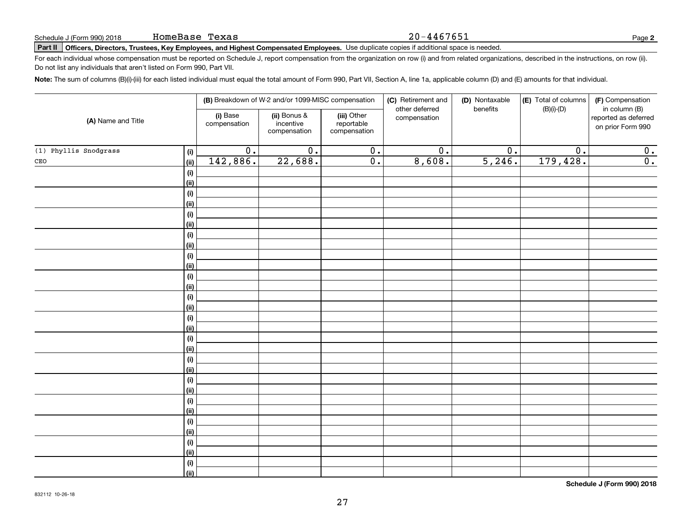# Schedule J (Form 990) 2018 **HOMEBASE 'L'EXAS**<br>Part II **Officers, Directors, Trustees, Key Employees, and Highest Compensated Employees.** Use duplicate copies if additional space is needed.

For each individual whose compensation must be reported on Schedule J, report compensation from the organization on row (i) and from related organizations, described in the instructions, on row (ii). Do not list any individuals that aren't listed on Form 990, Part VII.

**Note:**  The sum of columns (B)(i)-(iii) for each listed individual must equal the total amount of Form 990, Part VII, Section A, line 1a, applicable column (D) and (E) amounts for that individual.

|                              |                          | (B) Breakdown of W-2 and/or 1099-MISC compensation |                                           | (C) Retirement and             | (D) Nontaxable<br>benefits | (E) Total of columns | (F) Compensation                                           |
|------------------------------|--------------------------|----------------------------------------------------|-------------------------------------------|--------------------------------|----------------------------|----------------------|------------------------------------------------------------|
| (A) Name and Title           | (i) Base<br>compensation | (ii) Bonus &<br>incentive<br>compensation          | (iii) Other<br>reportable<br>compensation | other deferred<br>compensation |                            | $(B)(i)-(D)$         | in column (B)<br>reported as deferred<br>on prior Form 990 |
| (1) Phyllis Snodgrass<br>(i) | $\overline{0}$ .         | $\overline{0}$ .                                   | $\overline{0}$ .                          | $\overline{0}$ .               | $\overline{0}$ .           | $\overline{0}$ .     | $\overline{0}$ .                                           |
| $\mathtt{CEO}$<br>(ii)       | 142,886.                 | 22,688.                                            | $\overline{0}$ .                          | 8,608.                         | 5,246.                     | 179,428.             | $\overline{0}$ .                                           |
| (i)                          |                          |                                                    |                                           |                                |                            |                      |                                                            |
| (ii)                         |                          |                                                    |                                           |                                |                            |                      |                                                            |
| (i)                          |                          |                                                    |                                           |                                |                            |                      |                                                            |
| (ii)                         |                          |                                                    |                                           |                                |                            |                      |                                                            |
| (i)                          |                          |                                                    |                                           |                                |                            |                      |                                                            |
| (ii)                         |                          |                                                    |                                           |                                |                            |                      |                                                            |
| (i)                          |                          |                                                    |                                           |                                |                            |                      |                                                            |
| (ii)                         |                          |                                                    |                                           |                                |                            |                      |                                                            |
| (i)                          |                          |                                                    |                                           |                                |                            |                      |                                                            |
| (ii)                         |                          |                                                    |                                           |                                |                            |                      |                                                            |
| (i)                          |                          |                                                    |                                           |                                |                            |                      |                                                            |
| (ii)                         |                          |                                                    |                                           |                                |                            |                      |                                                            |
| (i)                          |                          |                                                    |                                           |                                |                            |                      |                                                            |
| (ii)                         |                          |                                                    |                                           |                                |                            |                      |                                                            |
| (i)                          |                          |                                                    |                                           |                                |                            |                      |                                                            |
| (ii)                         |                          |                                                    |                                           |                                |                            |                      |                                                            |
| (i)                          |                          |                                                    |                                           |                                |                            |                      |                                                            |
| (ii)<br>(i)                  |                          |                                                    |                                           |                                |                            |                      |                                                            |
| (ii)                         |                          |                                                    |                                           |                                |                            |                      |                                                            |
| (i)                          |                          |                                                    |                                           |                                |                            |                      |                                                            |
| (ii)                         |                          |                                                    |                                           |                                |                            |                      |                                                            |
| (i)                          |                          |                                                    |                                           |                                |                            |                      |                                                            |
| (ii)                         |                          |                                                    |                                           |                                |                            |                      |                                                            |
| (i)                          |                          |                                                    |                                           |                                |                            |                      |                                                            |
| (ii)                         |                          |                                                    |                                           |                                |                            |                      |                                                            |
| (i)                          |                          |                                                    |                                           |                                |                            |                      |                                                            |
| (ii)                         |                          |                                                    |                                           |                                |                            |                      |                                                            |
| $\qquad \qquad \textbf{(i)}$ |                          |                                                    |                                           |                                |                            |                      |                                                            |
| (ii)                         |                          |                                                    |                                           |                                |                            |                      |                                                            |

**Schedule J (Form 990) 2018**

20-4467651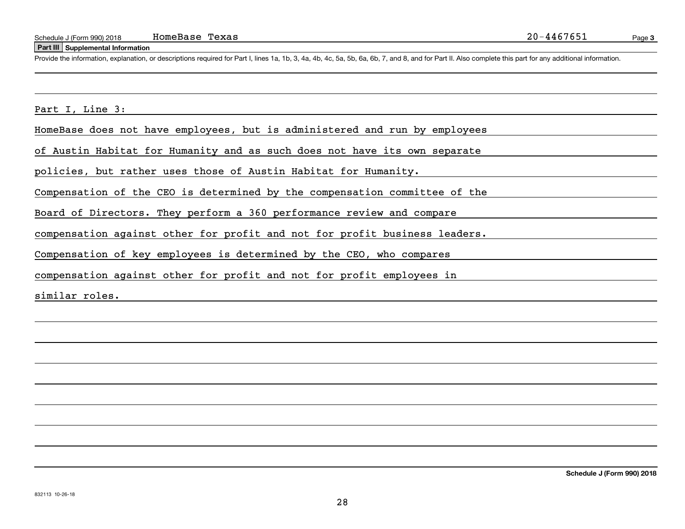#### **Part III Supplemental Information**

Schedule J (Form 990) 2018 HomeBase Texas 20-4467651<br>
Part III Supplemental Information<br>
Provide the information, explanation, or descriptions required for Part I, lines 1a, 1b, 3, 4a, 4b, 4c, 5a, 5b, 6a, 6b, 7, and 8, an

Part I, Line 3:

HomeBase does not have employees, but is administered and run by employees

of Austin Habitat for Humanity and as such does not have its own separate

policies, but rather uses those of Austin Habitat for Humanity.

Compensation of the CEO is determined by the compensation committee of the

Board of Directors. They perform a 360 performance review and compare

compensation against other for profit and not for profit business leaders.

Compensation of key employees is determined by the CEO, who compares

compensation against other for profit and not for profit employees in

similar roles.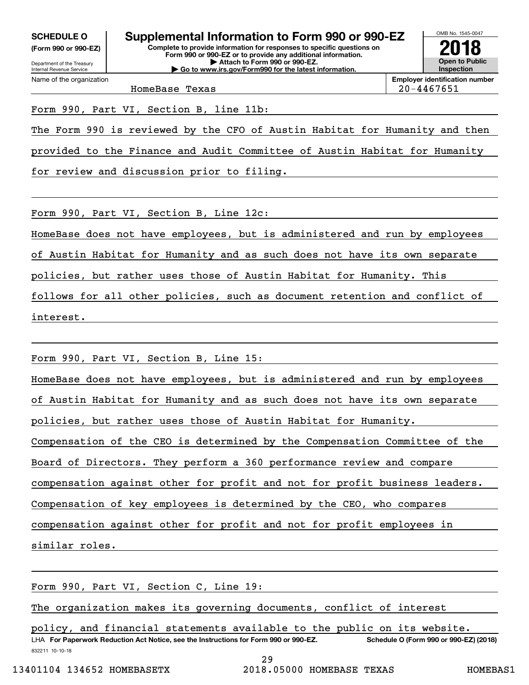**(Form 990 or 990-EZ)**

Department of the Treasury Internal Revenue Service Name of the organization

**Complete to provide information for responses to specific questions on Form 990 or 990-EZ or to provide any additional information. | Attach to Form 990 or 990-EZ. | Go to www.irs.gov/Form990 for the latest information. SCHEDULE O Supplemental Information to Form 990 or 990-EZ**



**Employer identification number** HomeBase Texas 20-4467651

Form 990, Part VI, Section B, line 11b:

The Form 990 is reviewed by the CFO of Austin Habitat for Humanity and then

provided to the Finance and Audit Committee of Austin Habitat for Humanity

for review and discussion prior to filing.

Form 990, Part VI, Section B, Line 12c:

HomeBase does not have employees, but is administered and run by employees

of Austin Habitat for Humanity and as such does not have its own separate

policies, but rather uses those of Austin Habitat for Humanity. This

follows for all other policies, such as document retention and conflict of

interest.

Form 990, Part VI, Section B, Line 15:

HomeBase does not have employees, but is administered and run by employees

of Austin Habitat for Humanity and as such does not have its own separate

policies, but rather uses those of Austin Habitat for Humanity.

Compensation of the CEO is determined by the Compensation Committee of the

Board of Directors. They perform a 360 performance review and compare

compensation against other for profit and not for profit business leaders.

Compensation of key employees is determined by the CEO, who compares

compensation against other for profit and not for profit employees in

similar roles.

Form 990, Part VI, Section C, Line 19:

The organization makes its governing documents, conflict of interest

832211 10-10-18 LHA For Paperwork Reduction Act Notice, see the Instructions for Form 990 or 990-EZ. Schedule O (Form 990 or 990-EZ) (2018) policy, and financial statements available to the public on its website.

29

13401104 134652 HOMEBASETX 2018.05000 HOMEBASE TEXAS HOMEBAS1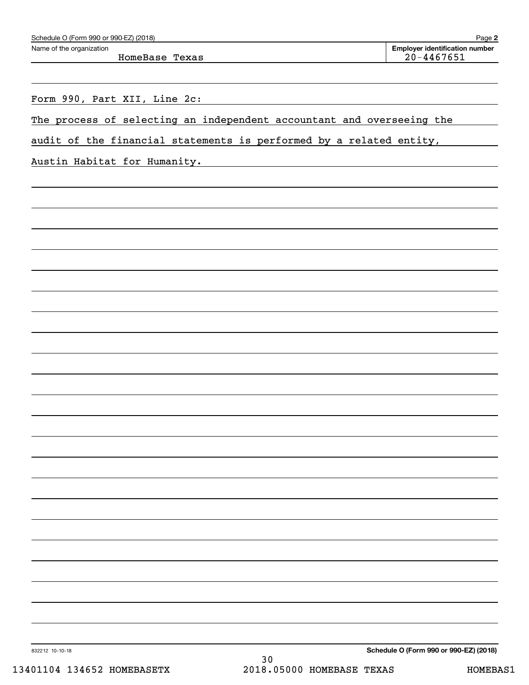HomeBase Texas 20-4467651

**2** Echedule O (Form 990 or 990-EZ) (2018)<br>Name of the organization **number** Name of the organization **page Name of the organization number** 

Form 990, Part XII, Line 2c:

The process of selecting an independent accountant and overseeing the

audit of the financial statements is performed by a related entity,

Austin Habitat for Humanity.

**Schedule O (Form 990 or 990-EZ) (2018)**

832212 10-10-18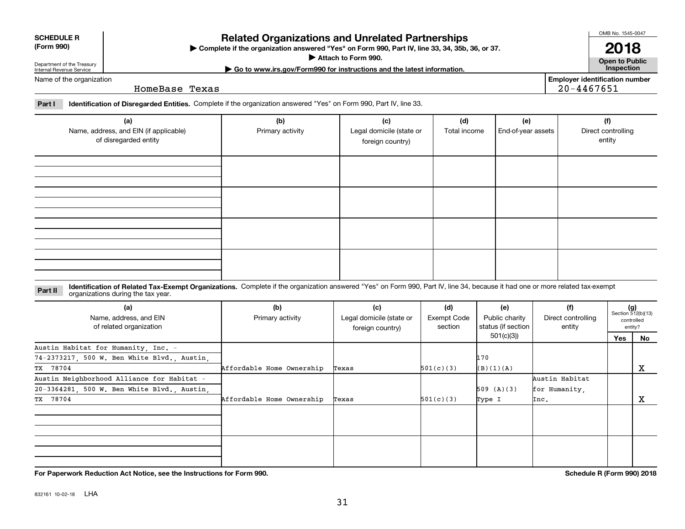**For Paperwork Reduction Act Notice, see the Instructions for Form 990. Schedule R (Form 990) 2018**

## **SCHEDULE R (Form 990)**

Name of the organization

Department of the Treasury Internal Revenue Service

# **Related Organizations and Unrelated Partnerships**

**Complete if the organization answered "Yes" on Form 990, Part IV, line 33, 34, 35b, 36, or 37.** |

**Attach to Form 990.**  |

OMB No. 1545-0047

**Employer identification number**

20-4467651

**Part I Identification of Disregarded Entities.**  Complete if the organization answered "Yes" on Form 990, Part IV, line 33.

HomeBase Texas

| (a)<br>Name, address, and EIN (if applicable)<br>of disregarded entity | (b)<br>Primary activity | (c)<br>Legal domicile (state or<br>foreign country) | (d)<br>Total income | (e)<br>End-of-year assets | (f)<br>Direct controlling<br>entity |
|------------------------------------------------------------------------|-------------------------|-----------------------------------------------------|---------------------|---------------------------|-------------------------------------|
|                                                                        |                         |                                                     |                     |                           |                                     |
|                                                                        |                         |                                                     |                     |                           |                                     |
|                                                                        |                         |                                                     |                     |                           |                                     |
|                                                                        |                         |                                                     |                     |                           |                                     |

**Identification of Related Tax-Exempt Organizations.** Complete if the organization answered "Yes" on Form 990, Part IV, line 34, because it had one or more related tax-exempt **Part II** organizations during the tax year.

| (a)<br>Name, address, and EIN<br>of related organization | (b)<br>Primary activity   | (c)<br>Legal domicile (state or<br>foreign country) | (d)<br>Exempt Code<br>section | (e)<br>Public charity<br>status (if section | (f)<br>Direct controlling<br>entity |     | $(g)$<br>Section 512(b)(13)<br>controlled<br>entity? |
|----------------------------------------------------------|---------------------------|-----------------------------------------------------|-------------------------------|---------------------------------------------|-------------------------------------|-----|------------------------------------------------------|
|                                                          |                           |                                                     |                               | 501(c)(3))                                  |                                     | Yes | No                                                   |
| Austin Habitat for Humanity, Inc. -                      |                           |                                                     |                               |                                             |                                     |     |                                                      |
| 74-2373217, 500 W. Ben White Blvd., Austin,              |                           |                                                     |                               | 170                                         |                                     |     |                                                      |
| TX 78704                                                 | Affordable Home Ownership | Texas                                               | 501(c)(3)                     | (B)(1)(A)                                   |                                     |     | X                                                    |
| Austin Neighborhood Alliance for Habitat -               |                           |                                                     |                               |                                             | Austin Habitat                      |     |                                                      |
| 20-3364281, 500 W. Ben White Blvd., Austin,              |                           |                                                     |                               | 509 (A)(3)                                  | for Humanity.                       |     |                                                      |
| TX 78704                                                 | Affordable Home Ownership | Texas                                               | 501(c)(3)                     | Type I                                      | Inc.                                |     | X                                                    |
|                                                          |                           |                                                     |                               |                                             |                                     |     |                                                      |
|                                                          |                           |                                                     |                               |                                             |                                     |     |                                                      |
|                                                          |                           |                                                     |                               |                                             |                                     |     |                                                      |
|                                                          |                           |                                                     |                               |                                             |                                     |     |                                                      |
|                                                          |                           |                                                     |                               |                                             |                                     |     |                                                      |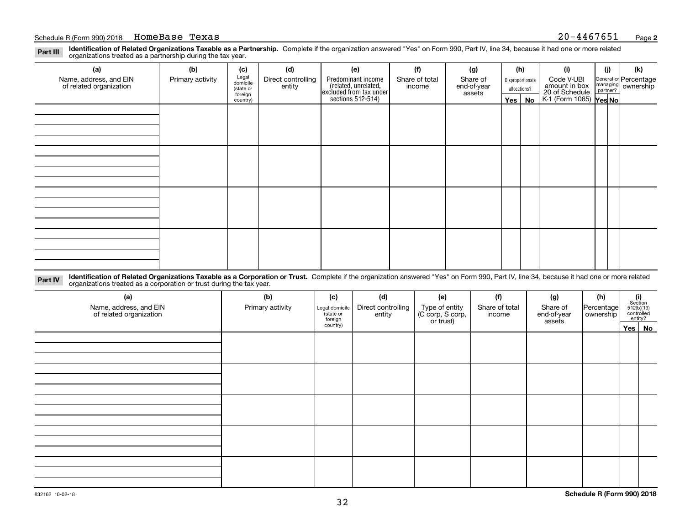**Identification of Related Organizations Taxable as a Partnership.** Complete if the organization answered "Yes" on Form 990, Part IV, line 34, because it had one or more related **Part III** organizations treated as a partnership during the tax year.

| (a)                                               | (b)              | (c)                  | (d)                          | (e)                                                                  | (f)                      | (g)                     |              | (h)              | (i)                                                       | (j) | (k)                                                       |  |  |  |  |
|---------------------------------------------------|------------------|----------------------|------------------------------|----------------------------------------------------------------------|--------------------------|-------------------------|--------------|------------------|-----------------------------------------------------------|-----|-----------------------------------------------------------|--|--|--|--|
| Name, address, and EIN<br>of related organization | Primary activity | Legal<br>domicile    | Direct controlling<br>entity | Predominant income                                                   | Share of total<br>income | Share of<br>end-of-year |              | Disproportionate | Code V-UBI                                                |     | General or Percentage<br>managing<br>partner?<br>partner? |  |  |  |  |
|                                                   |                  | (state or<br>foreign |                              |                                                                      |                          | assets                  | allocations? |                  |                                                           |     |                                                           |  |  |  |  |
|                                                   |                  | country)             |                              | (related, unrelated,<br>excluded from tax under<br>sections 512-514) |                          |                         |              | Yes   No         | amount in box<br>20 of Schedule<br>K-1 (Form 1065) Yes No |     |                                                           |  |  |  |  |
|                                                   |                  |                      |                              |                                                                      |                          |                         |              |                  |                                                           |     |                                                           |  |  |  |  |
|                                                   |                  |                      |                              |                                                                      |                          |                         |              |                  |                                                           |     |                                                           |  |  |  |  |
|                                                   |                  |                      |                              |                                                                      |                          |                         |              |                  |                                                           |     |                                                           |  |  |  |  |
|                                                   |                  |                      |                              |                                                                      |                          |                         |              |                  |                                                           |     |                                                           |  |  |  |  |
|                                                   |                  |                      |                              |                                                                      |                          |                         |              |                  |                                                           |     |                                                           |  |  |  |  |
|                                                   |                  |                      |                              |                                                                      |                          |                         |              |                  |                                                           |     |                                                           |  |  |  |  |
|                                                   |                  |                      |                              |                                                                      |                          |                         |              |                  |                                                           |     |                                                           |  |  |  |  |
|                                                   |                  |                      |                              |                                                                      |                          |                         |              |                  |                                                           |     |                                                           |  |  |  |  |
|                                                   |                  |                      |                              |                                                                      |                          |                         |              |                  |                                                           |     |                                                           |  |  |  |  |
|                                                   |                  |                      |                              |                                                                      |                          |                         |              |                  |                                                           |     |                                                           |  |  |  |  |
|                                                   |                  |                      |                              |                                                                      |                          |                         |              |                  |                                                           |     |                                                           |  |  |  |  |
|                                                   |                  |                      |                              |                                                                      |                          |                         |              |                  |                                                           |     |                                                           |  |  |  |  |
|                                                   |                  |                      |                              |                                                                      |                          |                         |              |                  |                                                           |     |                                                           |  |  |  |  |
|                                                   |                  |                      |                              |                                                                      |                          |                         |              |                  |                                                           |     |                                                           |  |  |  |  |
|                                                   |                  |                      |                              |                                                                      |                          |                         |              |                  |                                                           |     |                                                           |  |  |  |  |
|                                                   |                  |                      |                              |                                                                      |                          |                         |              |                  |                                                           |     |                                                           |  |  |  |  |
|                                                   |                  |                      |                              |                                                                      |                          |                         |              |                  |                                                           |     |                                                           |  |  |  |  |

**Identification of Related Organizations Taxable as a Corporation or Trust.** Complete if the organization answered "Yes" on Form 990, Part IV, line 34, because it had one or more related **Part IV** organizations treated as a corporation or trust during the tax year.

| (a)<br>Name, address, and EIN<br>of related organization | (b)<br>(c)<br>Primary activity<br>(state or<br>foreign<br>country) |  | (d)<br>Direct controlling<br>Type of entity<br>(C corp, S corp,<br>or trust)<br>Legal domicile<br>entity |  | (f)<br>Share of total<br>income | (g)<br>Share of<br>end-of-year<br>assets | (h)<br>Percentage<br>ownership | $\begin{array}{c} \textbf{(i)}\\ \text{Section}\\ 512 \text{(b)} \text{(13)}\\ \text{controlled}\\ \text{entity?} \end{array}$ |        |  |
|----------------------------------------------------------|--------------------------------------------------------------------|--|----------------------------------------------------------------------------------------------------------|--|---------------------------------|------------------------------------------|--------------------------------|--------------------------------------------------------------------------------------------------------------------------------|--------|--|
|                                                          |                                                                    |  |                                                                                                          |  |                                 |                                          |                                |                                                                                                                                | Yes No |  |
|                                                          |                                                                    |  |                                                                                                          |  |                                 |                                          |                                |                                                                                                                                |        |  |
|                                                          |                                                                    |  |                                                                                                          |  |                                 |                                          |                                |                                                                                                                                |        |  |
|                                                          |                                                                    |  |                                                                                                          |  |                                 |                                          |                                |                                                                                                                                |        |  |
|                                                          |                                                                    |  |                                                                                                          |  |                                 |                                          |                                |                                                                                                                                |        |  |
|                                                          |                                                                    |  |                                                                                                          |  |                                 |                                          |                                |                                                                                                                                |        |  |
|                                                          |                                                                    |  |                                                                                                          |  |                                 |                                          |                                |                                                                                                                                |        |  |
|                                                          |                                                                    |  |                                                                                                          |  |                                 |                                          |                                |                                                                                                                                |        |  |
|                                                          |                                                                    |  |                                                                                                          |  |                                 |                                          |                                |                                                                                                                                |        |  |
|                                                          |                                                                    |  |                                                                                                          |  |                                 |                                          |                                |                                                                                                                                |        |  |
|                                                          |                                                                    |  |                                                                                                          |  |                                 |                                          |                                |                                                                                                                                |        |  |
|                                                          |                                                                    |  |                                                                                                          |  |                                 |                                          |                                |                                                                                                                                |        |  |
|                                                          |                                                                    |  |                                                                                                          |  |                                 |                                          |                                |                                                                                                                                |        |  |
|                                                          |                                                                    |  |                                                                                                          |  |                                 |                                          |                                |                                                                                                                                |        |  |
|                                                          |                                                                    |  |                                                                                                          |  |                                 |                                          |                                |                                                                                                                                |        |  |
|                                                          |                                                                    |  |                                                                                                          |  |                                 |                                          |                                |                                                                                                                                |        |  |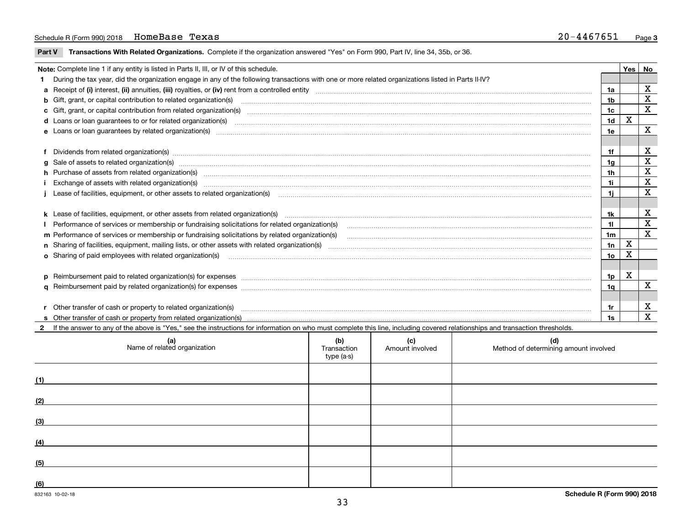#### Schedule R (Form 990) 2018 Page HomeBase Texas 20-4467651

**Part V** T**ransactions With Related Organizations.** Complete if the organization answered "Yes" on Form 990, Part IV, line 34, 35b, or 36.

| Note: Complete line 1 if any entity is listed in Parts II, III, or IV of this schedule.                                                                                                                                        |                | Yes | No                      |
|--------------------------------------------------------------------------------------------------------------------------------------------------------------------------------------------------------------------------------|----------------|-----|-------------------------|
| 1 During the tax year, did the organization engage in any of the following transactions with one or more related organizations listed in Parts II-IV?                                                                          |                |     |                         |
|                                                                                                                                                                                                                                | 1a             |     | X                       |
| b Gift, grant, or capital contribution to related organization(s) material contracts and contribution to related organization(s)                                                                                               | 1b             |     | X                       |
| c Gift, grant, or capital contribution from related organization(s) manufaction contribution from related organization(s) manufaction contribution from related organization(s) manufaction contribution from related organiza | 1c             |     | $\overline{\mathbf{x}}$ |
| <b>d</b> Loans or loan quarantees to or for related organization(s)                                                                                                                                                            | 1 <sub>d</sub> | X   |                         |
| e Loans or loan guarantees by related organization(s) www.communically.communically.communically and a loans or loan guarantees by related organization(s) www.communically.communically and a loan of loans or loan guarantee | 1e             |     | X                       |
|                                                                                                                                                                                                                                |                |     |                         |
| f Dividends from related organization(s) machinesis and content to the control of the control of the control of the content of the control of the content of the content of the content of the content of the content of the c | 1f             |     | х                       |
| g Sale of assets to related organization(s) www.assetsion.com/www.assetsion.com/www.assetsion.com/www.assetsion.com/www.assetsion.com/www.assetsion.com/www.assetsion.com/www.assetsion.com/www.assetsion.com/www.assetsion.co | 1a             |     | х                       |
| h Purchase of assets from related organization(s) manufactured and content and content and content and content and content and content and content and content and content and content and content and content and content and | 1h             |     | X                       |
| Exchange of assets with related organization(s) www.wallen.com/www.wallen.com/www.wallen.com/www.wallen.com/www.wallen.com/www.wallen.com/www.wallen.com/www.wallen.com/www.wallen.com/www.wallen.com/www.wallen.com/www.walle | 1i.            |     | X                       |
| Lease of facilities, equipment, or other assets to related organization(s) The manufaction content to the manufacture of facilities, equipment, or other assets to related organization(s)                                     | 1i.            |     | X                       |
|                                                                                                                                                                                                                                |                |     |                         |
|                                                                                                                                                                                                                                | 1k             |     | X                       |
|                                                                                                                                                                                                                                | 11             |     | X                       |
| m Performance of services or membership or fundraising solicitations by related organization(s)                                                                                                                                | 1 <sub>m</sub> |     | $\overline{\mathbf{x}}$ |
|                                                                                                                                                                                                                                | 1n             | X   |                         |
| o Sharing of paid employees with related organization(s)                                                                                                                                                                       | 1о             | х   |                         |
|                                                                                                                                                                                                                                |                |     |                         |
| p Reimbursement paid to related organization(s) for expenses [11111] [12] reasonal content of the separation (s) for expenses [11111] [12] reasonal content in the separation (s) for expenses [1111] [12] reasonal content in | 1p             | X   |                         |
|                                                                                                                                                                                                                                | 1q             |     | $\mathbf{x}$            |
|                                                                                                                                                                                                                                |                |     |                         |
| r Other transfer of cash or property to related organization(s)                                                                                                                                                                | 1r             |     | х                       |
|                                                                                                                                                                                                                                | 1s             |     | X                       |
| 2 If the answer to any of the above is "Yes," see the instructions for information on who must complete this line, including covered relationships and transaction thresholds.                                                 |                |     |                         |

**(a) (b) (c) (d) (1) (2) (3) (4) (5) (6)**Name of related organization  $\vert$  Transaction type (a-s) Amount involved letter are method of determining amount involved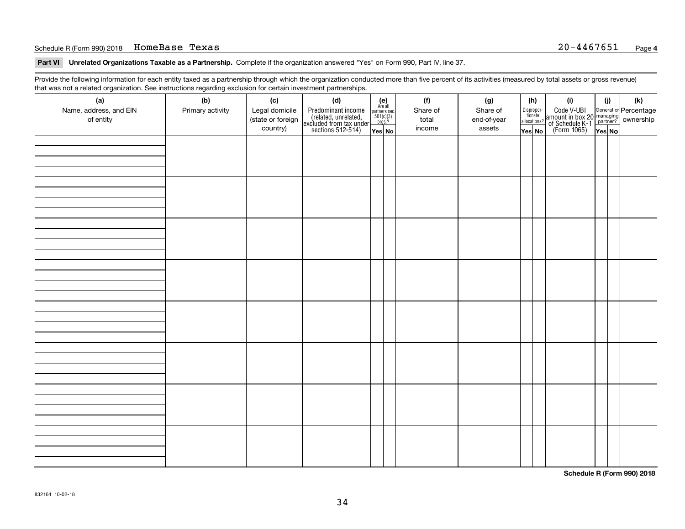#### Schedule R (Form 990) 2018 Page HomeBase Texas 20-4467651

**Part VI Unrelated Organizations Taxable as a Partnership. Complete if the organization answered "Yes" on Form 990, Part IV, line 37.** 

Provide the following information for each entity taxed as a partnership through which the organization conducted more than five percent of its activities (measured by total assets or gross revenue) that was not a related organization. See instructions regarding exclusion for certain investment partnerships.

| ັ                      | ັ<br>ັ           |                   | . .                                                                                        |                                                                                                                 |  |          |             |                                  |                                                                                                  |        |     |  |  |
|------------------------|------------------|-------------------|--------------------------------------------------------------------------------------------|-----------------------------------------------------------------------------------------------------------------|--|----------|-------------|----------------------------------|--------------------------------------------------------------------------------------------------|--------|-----|--|--|
| (a)                    | (b)              | (c)               | (d)                                                                                        | $\begin{array}{c} \textbf{(e)}\\ \text{Are all} \\ \text{partners sec}\\ 501(c)(3)\\ \text{orgs.?} \end{array}$ |  | (f)      | (g)         | (h)                              | (i)                                                                                              | (i)    | (k) |  |  |
| Name, address, and EIN | Primary activity | Legal domicile    |                                                                                            |                                                                                                                 |  | Share of | Share of    |                                  |                                                                                                  |        |     |  |  |
| of entity              |                  | (state or foreign |                                                                                            |                                                                                                                 |  | total    | end-of-year | Disproportionate<br>allocations? |                                                                                                  |        |     |  |  |
|                        |                  | country)          | Predominant income<br>(related, unrelated,<br>excluded from tax under<br>sections 512-514) | Yes No                                                                                                          |  | income   | assets      | Yes No                           | Code V-UBI<br>amount in box 20 managing<br>of Schedule K-1<br>(Form 1065)<br>$\overline{Yes}$ No | Yes No |     |  |  |
|                        |                  |                   |                                                                                            |                                                                                                                 |  |          |             |                                  |                                                                                                  |        |     |  |  |
|                        |                  |                   |                                                                                            |                                                                                                                 |  |          |             |                                  |                                                                                                  |        |     |  |  |
|                        |                  |                   |                                                                                            |                                                                                                                 |  |          |             |                                  |                                                                                                  |        |     |  |  |
|                        |                  |                   |                                                                                            |                                                                                                                 |  |          |             |                                  |                                                                                                  |        |     |  |  |
|                        |                  |                   |                                                                                            |                                                                                                                 |  |          |             |                                  |                                                                                                  |        |     |  |  |
|                        |                  |                   |                                                                                            |                                                                                                                 |  |          |             |                                  |                                                                                                  |        |     |  |  |
|                        |                  |                   |                                                                                            |                                                                                                                 |  |          |             |                                  |                                                                                                  |        |     |  |  |
|                        |                  |                   |                                                                                            |                                                                                                                 |  |          |             |                                  |                                                                                                  |        |     |  |  |
|                        |                  |                   |                                                                                            |                                                                                                                 |  |          |             |                                  |                                                                                                  |        |     |  |  |
|                        |                  |                   |                                                                                            |                                                                                                                 |  |          |             |                                  |                                                                                                  |        |     |  |  |
|                        |                  |                   |                                                                                            |                                                                                                                 |  |          |             |                                  |                                                                                                  |        |     |  |  |
|                        |                  |                   |                                                                                            |                                                                                                                 |  |          |             |                                  |                                                                                                  |        |     |  |  |
|                        |                  |                   |                                                                                            |                                                                                                                 |  |          |             |                                  |                                                                                                  |        |     |  |  |
|                        |                  |                   |                                                                                            |                                                                                                                 |  |          |             |                                  |                                                                                                  |        |     |  |  |
|                        |                  |                   |                                                                                            |                                                                                                                 |  |          |             |                                  |                                                                                                  |        |     |  |  |
|                        |                  |                   |                                                                                            |                                                                                                                 |  |          |             |                                  |                                                                                                  |        |     |  |  |
|                        |                  |                   |                                                                                            |                                                                                                                 |  |          |             |                                  |                                                                                                  |        |     |  |  |
|                        |                  |                   |                                                                                            |                                                                                                                 |  |          |             |                                  |                                                                                                  |        |     |  |  |
|                        |                  |                   |                                                                                            |                                                                                                                 |  |          |             |                                  |                                                                                                  |        |     |  |  |
|                        |                  |                   |                                                                                            |                                                                                                                 |  |          |             |                                  |                                                                                                  |        |     |  |  |
|                        |                  |                   |                                                                                            |                                                                                                                 |  |          |             |                                  |                                                                                                  |        |     |  |  |
|                        |                  |                   |                                                                                            |                                                                                                                 |  |          |             |                                  |                                                                                                  |        |     |  |  |
|                        |                  |                   |                                                                                            |                                                                                                                 |  |          |             |                                  |                                                                                                  |        |     |  |  |
|                        |                  |                   |                                                                                            |                                                                                                                 |  |          |             |                                  |                                                                                                  |        |     |  |  |
|                        |                  |                   |                                                                                            |                                                                                                                 |  |          |             |                                  |                                                                                                  |        |     |  |  |
|                        |                  |                   |                                                                                            |                                                                                                                 |  |          |             |                                  |                                                                                                  |        |     |  |  |
|                        |                  |                   |                                                                                            |                                                                                                                 |  |          |             |                                  |                                                                                                  |        |     |  |  |
|                        |                  |                   |                                                                                            |                                                                                                                 |  |          |             |                                  |                                                                                                  |        |     |  |  |
|                        |                  |                   |                                                                                            |                                                                                                                 |  |          |             |                                  |                                                                                                  |        |     |  |  |
|                        |                  |                   |                                                                                            |                                                                                                                 |  |          |             |                                  |                                                                                                  |        |     |  |  |
|                        |                  |                   |                                                                                            |                                                                                                                 |  |          |             |                                  |                                                                                                  |        |     |  |  |
|                        |                  |                   |                                                                                            |                                                                                                                 |  |          |             |                                  |                                                                                                  |        |     |  |  |
|                        |                  |                   |                                                                                            |                                                                                                                 |  |          |             |                                  |                                                                                                  |        |     |  |  |
|                        |                  |                   |                                                                                            |                                                                                                                 |  |          |             |                                  |                                                                                                  |        |     |  |  |
|                        |                  |                   |                                                                                            |                                                                                                                 |  |          |             |                                  |                                                                                                  |        |     |  |  |
|                        |                  |                   |                                                                                            |                                                                                                                 |  |          |             |                                  |                                                                                                  |        |     |  |  |
|                        |                  |                   |                                                                                            |                                                                                                                 |  |          |             |                                  |                                                                                                  |        |     |  |  |
|                        |                  |                   |                                                                                            |                                                                                                                 |  |          |             |                                  |                                                                                                  |        |     |  |  |
|                        |                  |                   |                                                                                            |                                                                                                                 |  |          |             |                                  |                                                                                                  |        |     |  |  |
|                        |                  |                   |                                                                                            |                                                                                                                 |  |          |             |                                  |                                                                                                  |        |     |  |  |

**Schedule R (Form 990) 2018**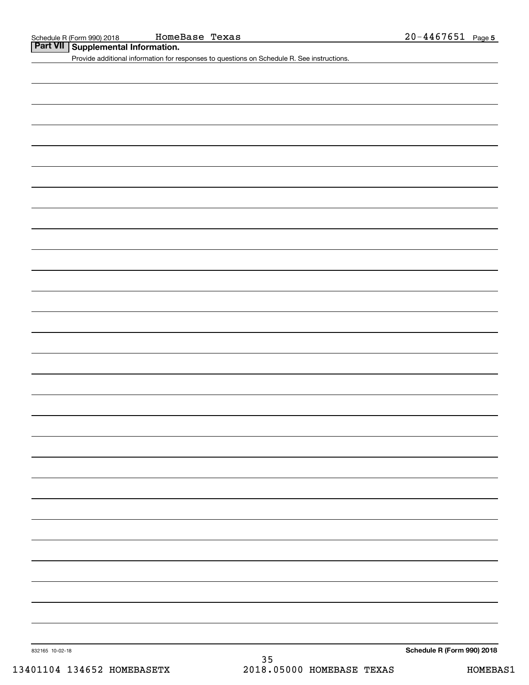**Part VII Supplemental Information.**

Provide additional information for responses to questions on Schedule R. See instructions.

832165 10-02-18

**Schedule R (Form 990) 2018**